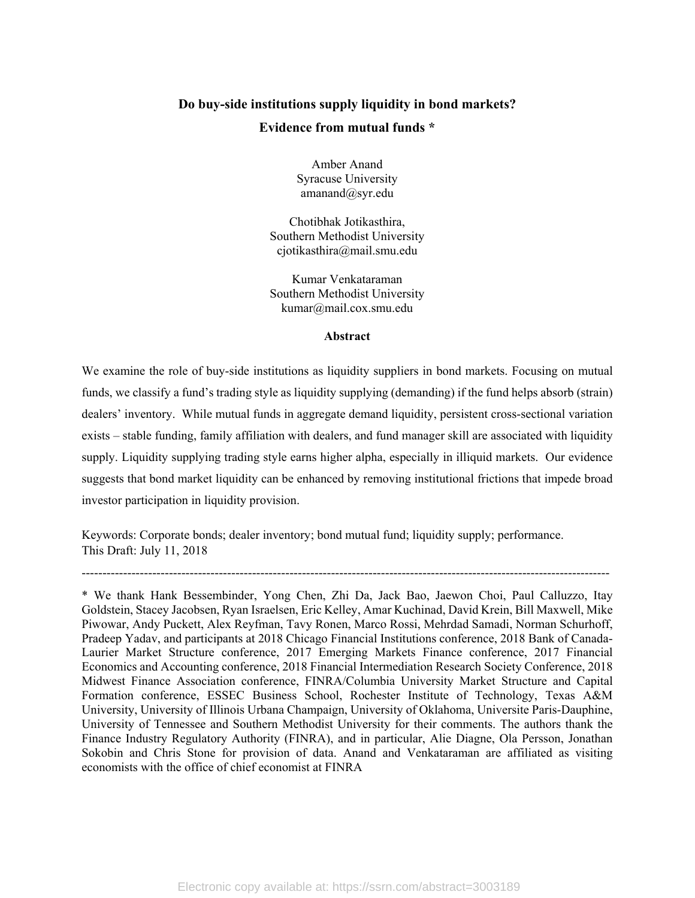## **Do buy-side institutions supply liquidity in bond markets? Evidence from mutual funds \***

Amber Anand Syracuse University amanand@syr.edu

Chotibhak Jotikasthira, Southern Methodist University cjotikasthira@mail.smu.edu

Kumar Venkataraman Southern Methodist University kumar@mail.cox.smu.edu

## **Abstract**

We examine the role of buy-side institutions as liquidity suppliers in bond markets. Focusing on mutual funds, we classify a fund's trading style as liquidity supplying (demanding) if the fund helps absorb (strain) dealers' inventory. While mutual funds in aggregate demand liquidity, persistent cross-sectional variation exists – stable funding, family affiliation with dealers, and fund manager skill are associated with liquidity supply. Liquidity supplying trading style earns higher alpha, especially in illiquid markets. Our evidence suggests that bond market liquidity can be enhanced by removing institutional frictions that impede broad investor participation in liquidity provision.

Keywords: Corporate bonds; dealer inventory; bond mutual fund; liquidity supply; performance. This Draft: July 11, 2018

-------------------------------------------------------------------------------------------------------------------------------

<sup>\*</sup> We thank Hank Bessembinder, Yong Chen, Zhi Da, Jack Bao, Jaewon Choi, Paul Calluzzo, Itay Goldstein, Stacey Jacobsen, Ryan Israelsen, Eric Kelley, Amar Kuchinad, David Krein, Bill Maxwell, Mike Piwowar, Andy Puckett, Alex Reyfman, Tavy Ronen, Marco Rossi, Mehrdad Samadi, Norman Schurhoff, Pradeep Yadav, and participants at 2018 Chicago Financial Institutions conference, 2018 Bank of Canada-Laurier Market Structure conference, 2017 Emerging Markets Finance conference, 2017 Financial Economics and Accounting conference, 2018 Financial Intermediation Research Society Conference, 2018 Midwest Finance Association conference, FINRA/Columbia University Market Structure and Capital Formation conference, ESSEC Business School, Rochester Institute of Technology, Texas A&M University, University of Illinois Urbana Champaign, University of Oklahoma, Universite Paris-Dauphine, University of Tennessee and Southern Methodist University for their comments. The authors thank the Finance Industry Regulatory Authority (FINRA), and in particular, Alie Diagne, Ola Persson, Jonathan Sokobin and Chris Stone for provision of data. Anand and Venkataraman are affiliated as visiting economists with the office of chief economist at FINRA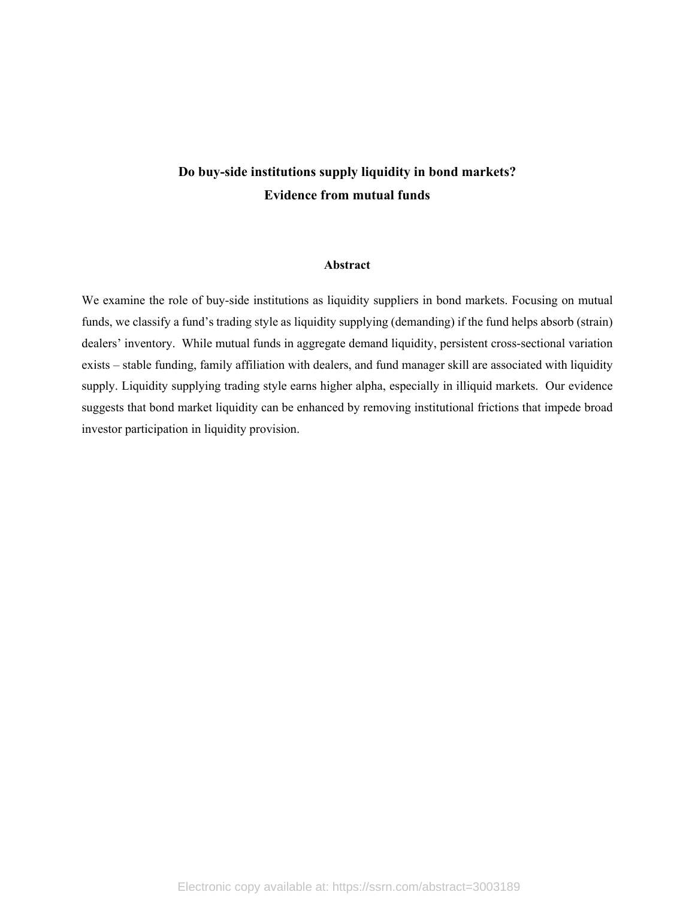# **Do buy-side institutions supply liquidity in bond markets? Evidence from mutual funds**

## **Abstract**

We examine the role of buy-side institutions as liquidity suppliers in bond markets. Focusing on mutual funds, we classify a fund's trading style as liquidity supplying (demanding) if the fund helps absorb (strain) dealers' inventory. While mutual funds in aggregate demand liquidity, persistent cross-sectional variation exists – stable funding, family affiliation with dealers, and fund manager skill are associated with liquidity supply. Liquidity supplying trading style earns higher alpha, especially in illiquid markets. Our evidence suggests that bond market liquidity can be enhanced by removing institutional frictions that impede broad investor participation in liquidity provision.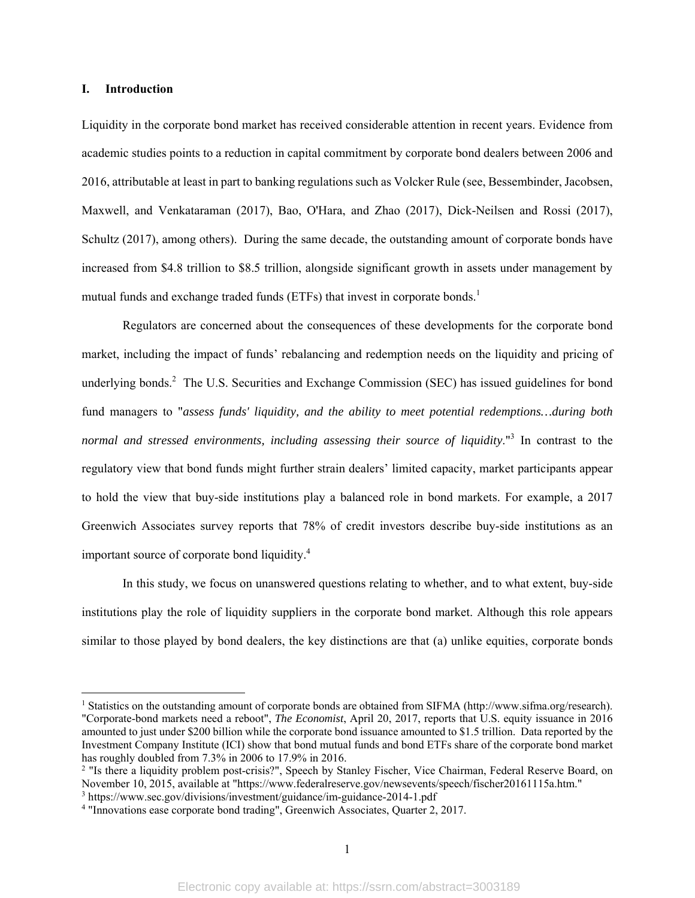## **I. Introduction**

Liquidity in the corporate bond market has received considerable attention in recent years. Evidence from academic studies points to a reduction in capital commitment by corporate bond dealers between 2006 and 2016, attributable at least in part to banking regulations such as Volcker Rule (see, Bessembinder, Jacobsen, Maxwell, and Venkataraman (2017), Bao, O'Hara, and Zhao (2017), Dick-Neilsen and Rossi (2017), Schultz (2017), among others). During the same decade, the outstanding amount of corporate bonds have increased from \$4.8 trillion to \$8.5 trillion, alongside significant growth in assets under management by mutual funds and exchange traded funds (ETFs) that invest in corporate bonds.<sup>1</sup>

Regulators are concerned about the consequences of these developments for the corporate bond market, including the impact of funds' rebalancing and redemption needs on the liquidity and pricing of underlying bonds.<sup>2</sup> The U.S. Securities and Exchange Commission (SEC) has issued guidelines for bond fund managers to "*assess funds' liquidity, and the ability to meet potential redemptions…during both*  normal and stressed environments, including assessing their source of liquidity."<sup>3</sup> In contrast to the regulatory view that bond funds might further strain dealers' limited capacity, market participants appear to hold the view that buy-side institutions play a balanced role in bond markets. For example, a 2017 Greenwich Associates survey reports that 78% of credit investors describe buy-side institutions as an important source of corporate bond liquidity.<sup>4</sup>

In this study, we focus on unanswered questions relating to whether, and to what extent, buy-side institutions play the role of liquidity suppliers in the corporate bond market. Although this role appears similar to those played by bond dealers, the key distinctions are that (a) unlike equities, corporate bonds

<sup>&</sup>lt;sup>1</sup> Statistics on the outstanding amount of corporate bonds are obtained from SIFMA (http://www.sifma.org/research). "Corporate-bond markets need a reboot", *The Economist*, April 20, 2017, reports that U.S. equity issuance in 2016 amounted to just under \$200 billion while the corporate bond issuance amounted to \$1.5 trillion. Data reported by the Investment Company Institute (ICI) show that bond mutual funds and bond ETFs share of the corporate bond market has roughly doubled from 7.3% in 2006 to 17.9% in 2016.

<sup>&</sup>lt;sup>2</sup> "Is there a liquidity problem post-crisis?", Speech by Stanley Fischer, Vice Chairman, Federal Reserve Board, on November 10, 2015, available at "https://www.federalreserve.gov/newsevents/speech/fischer20161115a.htm."

<sup>&</sup>lt;sup>3</sup> https://www.sec.gov/divisions/investment/guidance/im-guidance-2014-1.pdf<br><sup>4</sup> "Innovations ease corporate bond trading", Greenwich Associates, Quarter 2

<sup>&</sup>lt;sup>4</sup> "Innovations ease corporate bond trading", Greenwich Associates, Quarter 2, 2017.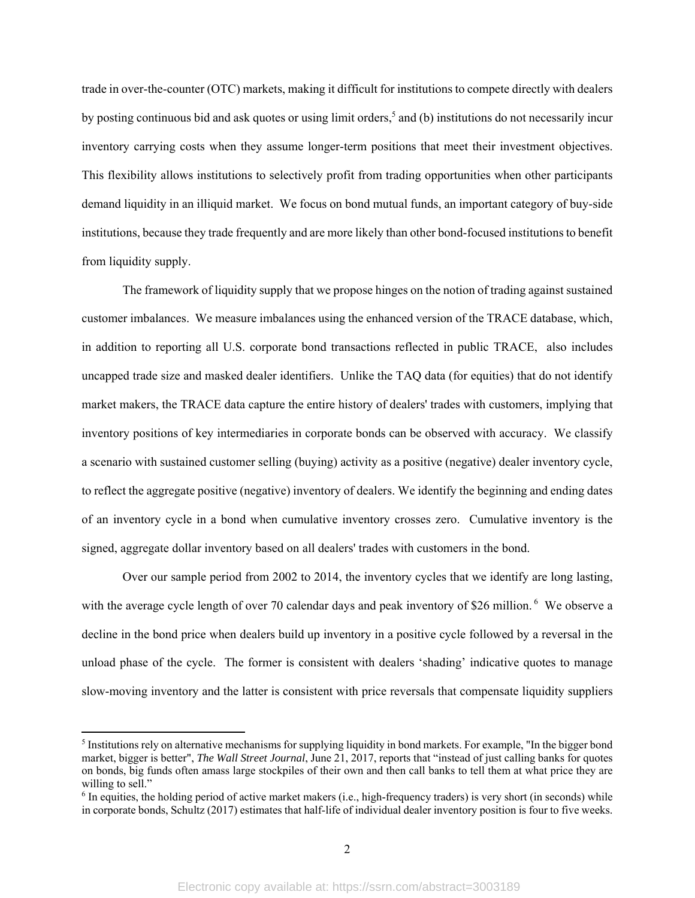trade in over-the-counter (OTC) markets, making it difficult for institutions to compete directly with dealers by posting continuous bid and ask quotes or using limit orders,<sup>5</sup> and (b) institutions do not necessarily incur inventory carrying costs when they assume longer-term positions that meet their investment objectives. This flexibility allows institutions to selectively profit from trading opportunities when other participants demand liquidity in an illiquid market. We focus on bond mutual funds, an important category of buy-side institutions, because they trade frequently and are more likely than other bond-focused institutions to benefit from liquidity supply.

The framework of liquidity supply that we propose hinges on the notion of trading against sustained customer imbalances. We measure imbalances using the enhanced version of the TRACE database, which, in addition to reporting all U.S. corporate bond transactions reflected in public TRACE, also includes uncapped trade size and masked dealer identifiers. Unlike the TAQ data (for equities) that do not identify market makers, the TRACE data capture the entire history of dealers' trades with customers, implying that inventory positions of key intermediaries in corporate bonds can be observed with accuracy. We classify a scenario with sustained customer selling (buying) activity as a positive (negative) dealer inventory cycle, to reflect the aggregate positive (negative) inventory of dealers. We identify the beginning and ending dates of an inventory cycle in a bond when cumulative inventory crosses zero. Cumulative inventory is the signed, aggregate dollar inventory based on all dealers' trades with customers in the bond.

Over our sample period from 2002 to 2014, the inventory cycles that we identify are long lasting, with the average cycle length of over 70 calendar days and peak inventory of \$26 million.<sup>6</sup> We observe a decline in the bond price when dealers build up inventory in a positive cycle followed by a reversal in the unload phase of the cycle. The former is consistent with dealers 'shading' indicative quotes to manage slow-moving inventory and the latter is consistent with price reversals that compensate liquidity suppliers

 $<sup>5</sup>$  Institutions rely on alternative mechanisms for supplying liquidity in bond markets. For example, "In the bigger bond</sup> market, bigger is better", *The Wall Street Journal*, June 21, 2017, reports that "instead of just calling banks for quotes on bonds, big funds often amass large stockpiles of their own and then call banks to tell them at what price they are willing to sell."

<sup>&</sup>lt;sup>6</sup> In equities, the holding period of active market makers (i.e., high-frequency traders) is very short (in seconds) while in corporate bonds, Schultz (2017) estimates that half-life of individual dealer inventory position is four to five weeks.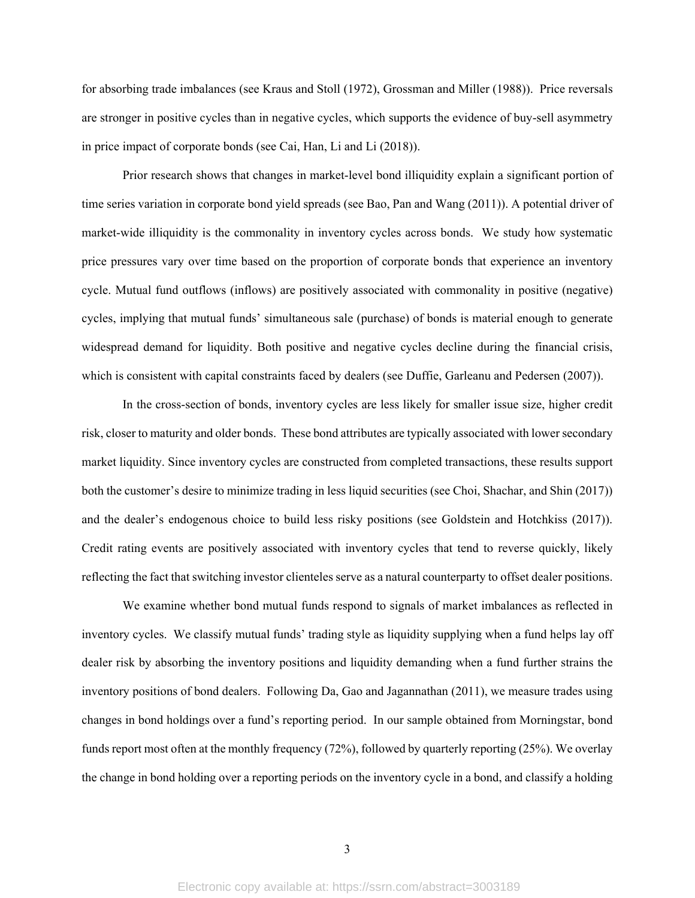for absorbing trade imbalances (see Kraus and Stoll (1972), Grossman and Miller (1988)). Price reversals are stronger in positive cycles than in negative cycles, which supports the evidence of buy-sell asymmetry in price impact of corporate bonds (see Cai, Han, Li and Li (2018)).

Prior research shows that changes in market-level bond illiquidity explain a significant portion of time series variation in corporate bond yield spreads (see Bao, Pan and Wang (2011)). A potential driver of market-wide illiquidity is the commonality in inventory cycles across bonds. We study how systematic price pressures vary over time based on the proportion of corporate bonds that experience an inventory cycle. Mutual fund outflows (inflows) are positively associated with commonality in positive (negative) cycles, implying that mutual funds' simultaneous sale (purchase) of bonds is material enough to generate widespread demand for liquidity. Both positive and negative cycles decline during the financial crisis, which is consistent with capital constraints faced by dealers (see Duffie, Garleanu and Pedersen (2007)).

In the cross-section of bonds, inventory cycles are less likely for smaller issue size, higher credit risk, closer to maturity and older bonds. These bond attributes are typically associated with lower secondary market liquidity. Since inventory cycles are constructed from completed transactions, these results support both the customer's desire to minimize trading in less liquid securities (see Choi, Shachar, and Shin (2017)) and the dealer's endogenous choice to build less risky positions (see Goldstein and Hotchkiss (2017)). Credit rating events are positively associated with inventory cycles that tend to reverse quickly, likely reflecting the fact that switching investor clienteles serve as a natural counterparty to offset dealer positions.

We examine whether bond mutual funds respond to signals of market imbalances as reflected in inventory cycles. We classify mutual funds' trading style as liquidity supplying when a fund helps lay off dealer risk by absorbing the inventory positions and liquidity demanding when a fund further strains the inventory positions of bond dealers. Following Da, Gao and Jagannathan (2011), we measure trades using changes in bond holdings over a fund's reporting period. In our sample obtained from Morningstar, bond funds report most often at the monthly frequency (72%), followed by quarterly reporting (25%). We overlay the change in bond holding over a reporting periods on the inventory cycle in a bond, and classify a holding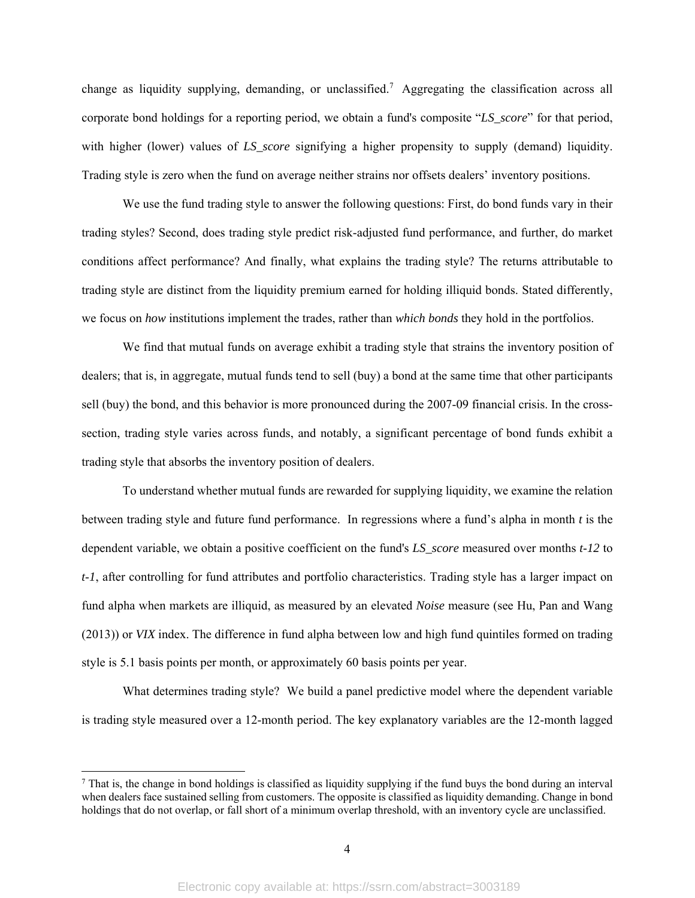change as liquidity supplying, demanding, or unclassified.<sup>7</sup> Aggregating the classification across all corporate bond holdings for a reporting period, we obtain a fund's composite "*LS\_score*" for that period, with higher (lower) values of *LS* score signifying a higher propensity to supply (demand) liquidity. Trading style is zero when the fund on average neither strains nor offsets dealers' inventory positions.

We use the fund trading style to answer the following questions: First, do bond funds vary in their trading styles? Second, does trading style predict risk-adjusted fund performance, and further, do market conditions affect performance? And finally, what explains the trading style? The returns attributable to trading style are distinct from the liquidity premium earned for holding illiquid bonds. Stated differently, we focus on *how* institutions implement the trades, rather than *which bonds* they hold in the portfolios.

We find that mutual funds on average exhibit a trading style that strains the inventory position of dealers; that is, in aggregate, mutual funds tend to sell (buy) a bond at the same time that other participants sell (buy) the bond, and this behavior is more pronounced during the 2007-09 financial crisis. In the crosssection, trading style varies across funds, and notably, a significant percentage of bond funds exhibit a trading style that absorbs the inventory position of dealers.

To understand whether mutual funds are rewarded for supplying liquidity, we examine the relation between trading style and future fund performance. In regressions where a fund's alpha in month *t* is the dependent variable, we obtain a positive coefficient on the fund's *LS\_score* measured over months *t*-*12* to *t*-*1*, after controlling for fund attributes and portfolio characteristics. Trading style has a larger impact on fund alpha when markets are illiquid, as measured by an elevated *Noise* measure (see Hu, Pan and Wang (2013)) or *VIX* index. The difference in fund alpha between low and high fund quintiles formed on trading style is 5.1 basis points per month, or approximately 60 basis points per year.

What determines trading style? We build a panel predictive model where the dependent variable is trading style measured over a 12-month period. The key explanatory variables are the 12-month lagged

 $^7$  That is, the change in bond holdings is classified as liquidity supplying if the fund buys the bond during an interval when dealers face sustained selling from customers. The opposite is classified as liquidity demanding. Change in bond holdings that do not overlap, or fall short of a minimum overlap threshold, with an inventory cycle are unclassified.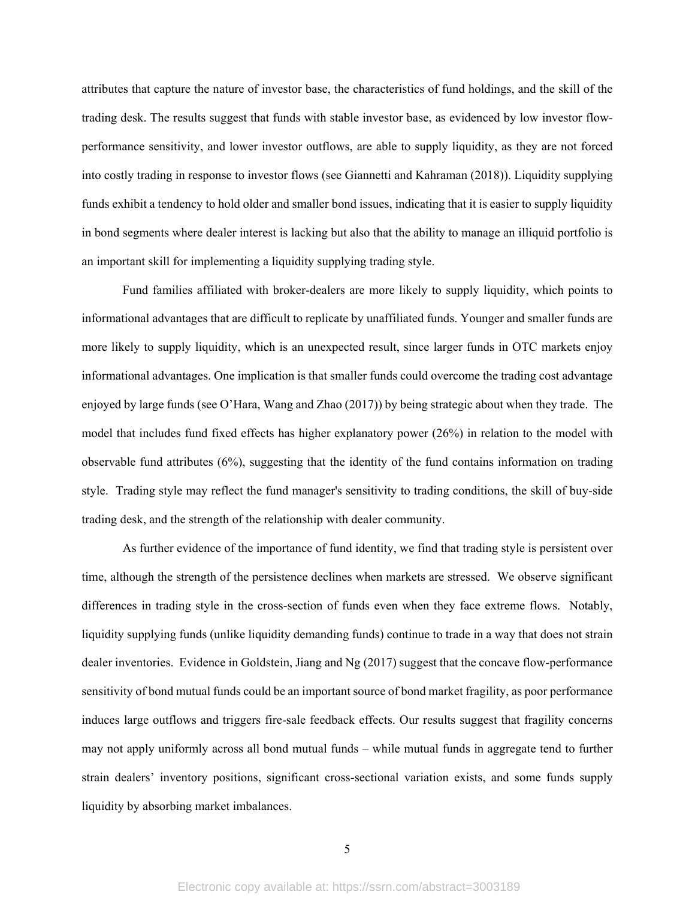attributes that capture the nature of investor base, the characteristics of fund holdings, and the skill of the trading desk. The results suggest that funds with stable investor base, as evidenced by low investor flowperformance sensitivity, and lower investor outflows, are able to supply liquidity, as they are not forced into costly trading in response to investor flows (see Giannetti and Kahraman (2018)). Liquidity supplying funds exhibit a tendency to hold older and smaller bond issues, indicating that it is easier to supply liquidity in bond segments where dealer interest is lacking but also that the ability to manage an illiquid portfolio is an important skill for implementing a liquidity supplying trading style.

Fund families affiliated with broker-dealers are more likely to supply liquidity, which points to informational advantages that are difficult to replicate by unaffiliated funds. Younger and smaller funds are more likely to supply liquidity, which is an unexpected result, since larger funds in OTC markets enjoy informational advantages. One implication is that smaller funds could overcome the trading cost advantage enjoyed by large funds (see O'Hara, Wang and Zhao (2017)) by being strategic about when they trade. The model that includes fund fixed effects has higher explanatory power (26%) in relation to the model with observable fund attributes (6%), suggesting that the identity of the fund contains information on trading style. Trading style may reflect the fund manager's sensitivity to trading conditions, the skill of buy-side trading desk, and the strength of the relationship with dealer community.

As further evidence of the importance of fund identity, we find that trading style is persistent over time, although the strength of the persistence declines when markets are stressed. We observe significant differences in trading style in the cross-section of funds even when they face extreme flows. Notably, liquidity supplying funds (unlike liquidity demanding funds) continue to trade in a way that does not strain dealer inventories. Evidence in Goldstein, Jiang and Ng (2017) suggest that the concave flow-performance sensitivity of bond mutual funds could be an important source of bond market fragility, as poor performance induces large outflows and triggers fire-sale feedback effects. Our results suggest that fragility concerns may not apply uniformly across all bond mutual funds – while mutual funds in aggregate tend to further strain dealers' inventory positions, significant cross-sectional variation exists, and some funds supply liquidity by absorbing market imbalances.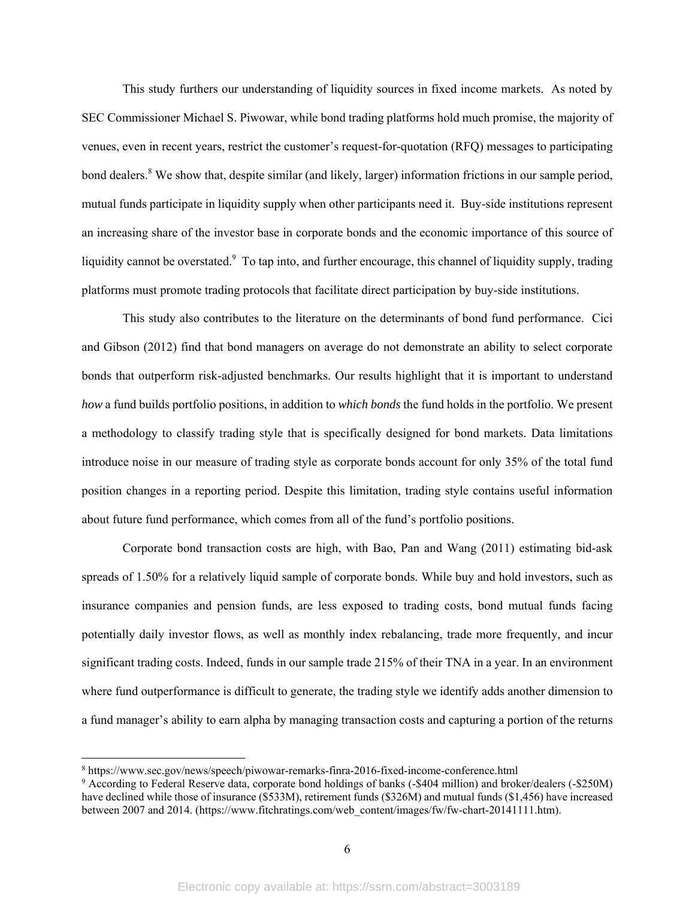This study furthers our understanding of liquidity sources in fixed income markets. As noted by SEC Commissioner Michael S. Piwowar, while bond trading platforms hold much promise, the majority of venues, even in recent years, restrict the customer's request-for-quotation (RFQ) messages to participating bond dealers.<sup>8</sup> We show that, despite similar (and likely, larger) information frictions in our sample period, mutual funds participate in liquidity supply when other participants need it. Buy-side institutions represent an increasing share of the investor base in corporate bonds and the economic importance of this source of liquidity cannot be overstated. To tap into, and further encourage, this channel of liquidity supply, trading platforms must promote trading protocols that facilitate direct participation by buy-side institutions.

This study also contributes to the literature on the determinants of bond fund performance. Cici and Gibson (2012) find that bond managers on average do not demonstrate an ability to select corporate bonds that outperform risk-adjusted benchmarks. Our results highlight that it is important to understand *how* a fund builds portfolio positions, in addition to *which bonds* the fund holds in the portfolio. We present a methodology to classify trading style that is specifically designed for bond markets. Data limitations introduce noise in our measure of trading style as corporate bonds account for only 35% of the total fund position changes in a reporting period. Despite this limitation, trading style contains useful information about future fund performance, which comes from all of the fund's portfolio positions.

Corporate bond transaction costs are high, with Bao, Pan and Wang (2011) estimating bid-ask spreads of 1.50% for a relatively liquid sample of corporate bonds. While buy and hold investors, such as insurance companies and pension funds, are less exposed to trading costs, bond mutual funds facing potentially daily investor flows, as well as monthly index rebalancing, trade more frequently, and incur significant trading costs. Indeed, funds in our sample trade 215% of their TNA in a year. In an environment where fund outperformance is difficult to generate, the trading style we identify adds another dimension to a fund manager's ability to earn alpha by managing transaction costs and capturing a portion of the returns

<sup>8</sup> https://www.sec.gov/news/speech/piwowar-remarks-finra-2016-fixed-income-conference.html

<sup>9</sup> According to Federal Reserve data, corporate bond holdings of banks (-\$404 million) and broker/dealers (-\$250M) have declined while those of insurance (\$533M), retirement funds (\$326M) and mutual funds (\$1,456) have increased between 2007 and 2014. (https://www.fitchratings.com/web\_content/images/fw/fw-chart-20141111.htm).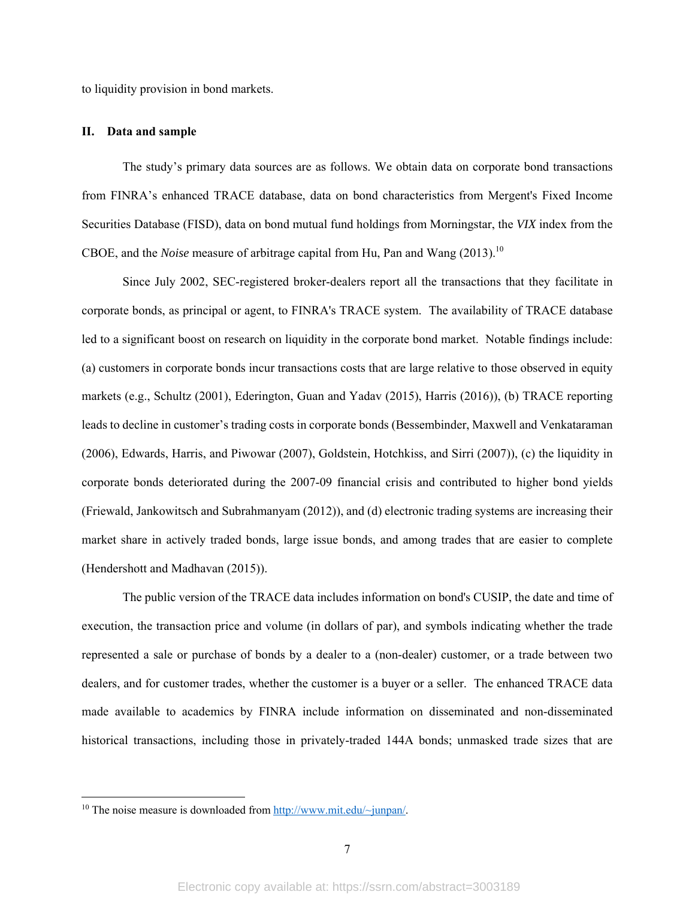to liquidity provision in bond markets.

## **II. Data and sample**

The study's primary data sources are as follows. We obtain data on corporate bond transactions from FINRA's enhanced TRACE database, data on bond characteristics from Mergent's Fixed Income Securities Database (FISD), data on bond mutual fund holdings from Morningstar, the *VIX* index from the CBOE, and the *Noise* measure of arbitrage capital from Hu, Pan and Wang (2013).<sup>10</sup>

Since July 2002, SEC-registered broker-dealers report all the transactions that they facilitate in corporate bonds, as principal or agent, to FINRA's TRACE system. The availability of TRACE database led to a significant boost on research on liquidity in the corporate bond market. Notable findings include: (a) customers in corporate bonds incur transactions costs that are large relative to those observed in equity markets (e.g., Schultz (2001), Ederington, Guan and Yadav (2015), Harris (2016)), (b) TRACE reporting leads to decline in customer's trading costs in corporate bonds (Bessembinder, Maxwell and Venkataraman (2006), Edwards, Harris, and Piwowar (2007), Goldstein, Hotchkiss, and Sirri (2007)), (c) the liquidity in corporate bonds deteriorated during the 2007-09 financial crisis and contributed to higher bond yields (Friewald, Jankowitsch and Subrahmanyam (2012)), and (d) electronic trading systems are increasing their market share in actively traded bonds, large issue bonds, and among trades that are easier to complete (Hendershott and Madhavan (2015)).

The public version of the TRACE data includes information on bond's CUSIP, the date and time of execution, the transaction price and volume (in dollars of par), and symbols indicating whether the trade represented a sale or purchase of bonds by a dealer to a (non-dealer) customer, or a trade between two dealers, and for customer trades, whether the customer is a buyer or a seller. The enhanced TRACE data made available to academics by FINRA include information on disseminated and non-disseminated historical transactions, including those in privately-traded 144A bonds; unmasked trade sizes that are

<sup>&</sup>lt;sup>10</sup> The noise measure is downloaded from http://www.mit.edu/~junpan/.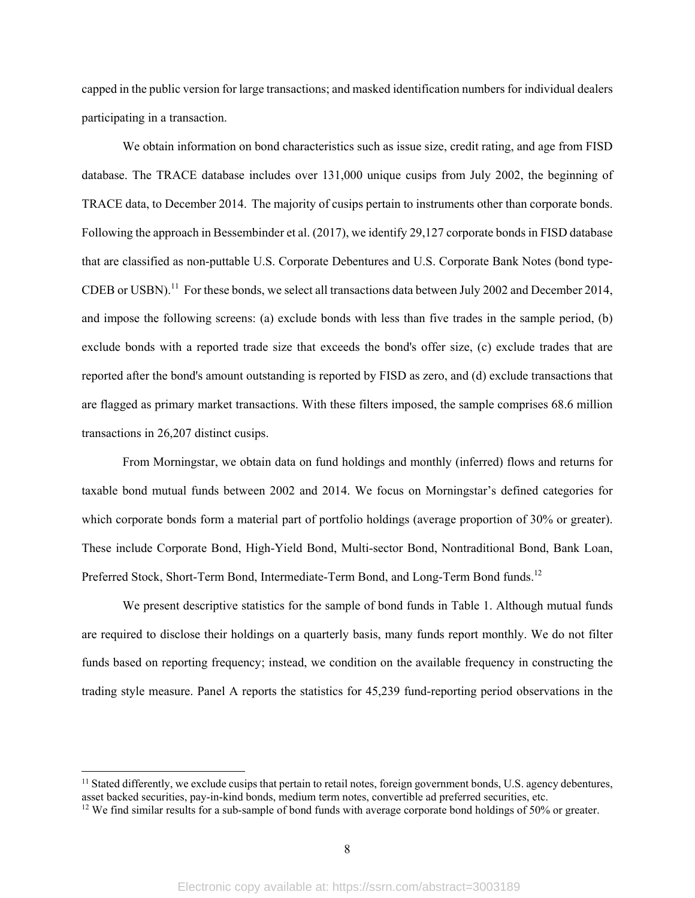capped in the public version for large transactions; and masked identification numbers for individual dealers participating in a transaction.

We obtain information on bond characteristics such as issue size, credit rating, and age from FISD database. The TRACE database includes over 131,000 unique cusips from July 2002, the beginning of TRACE data, to December 2014. The majority of cusips pertain to instruments other than corporate bonds. Following the approach in Bessembinder et al. (2017), we identify 29,127 corporate bonds in FISD database that are classified as non-puttable U.S. Corporate Debentures and U.S. Corporate Bank Notes (bond type-CDEB or USBN).<sup>11</sup> For these bonds, we select all transactions data between July 2002 and December 2014, and impose the following screens: (a) exclude bonds with less than five trades in the sample period, (b) exclude bonds with a reported trade size that exceeds the bond's offer size, (c) exclude trades that are reported after the bond's amount outstanding is reported by FISD as zero, and (d) exclude transactions that are flagged as primary market transactions. With these filters imposed, the sample comprises 68.6 million transactions in 26,207 distinct cusips.

From Morningstar, we obtain data on fund holdings and monthly (inferred) flows and returns for taxable bond mutual funds between 2002 and 2014. We focus on Morningstar's defined categories for which corporate bonds form a material part of portfolio holdings (average proportion of 30% or greater). These include Corporate Bond, High-Yield Bond, Multi-sector Bond, Nontraditional Bond, Bank Loan, Preferred Stock, Short-Term Bond, Intermediate-Term Bond, and Long-Term Bond funds.<sup>12</sup>

We present descriptive statistics for the sample of bond funds in Table 1. Although mutual funds are required to disclose their holdings on a quarterly basis, many funds report monthly. We do not filter funds based on reporting frequency; instead, we condition on the available frequency in constructing the trading style measure. Panel A reports the statistics for 45,239 fund-reporting period observations in the

 $<sup>11</sup>$  Stated differently, we exclude cusips that pertain to retail notes, foreign government bonds, U.S. agency debentures,</sup> asset backed securities, pay-in-kind bonds, medium term notes, convertible ad preferred securities, etc. <sup>12</sup> We find similar results for a sub-sample of bond funds with average corporate bond holdings of 50% or greater.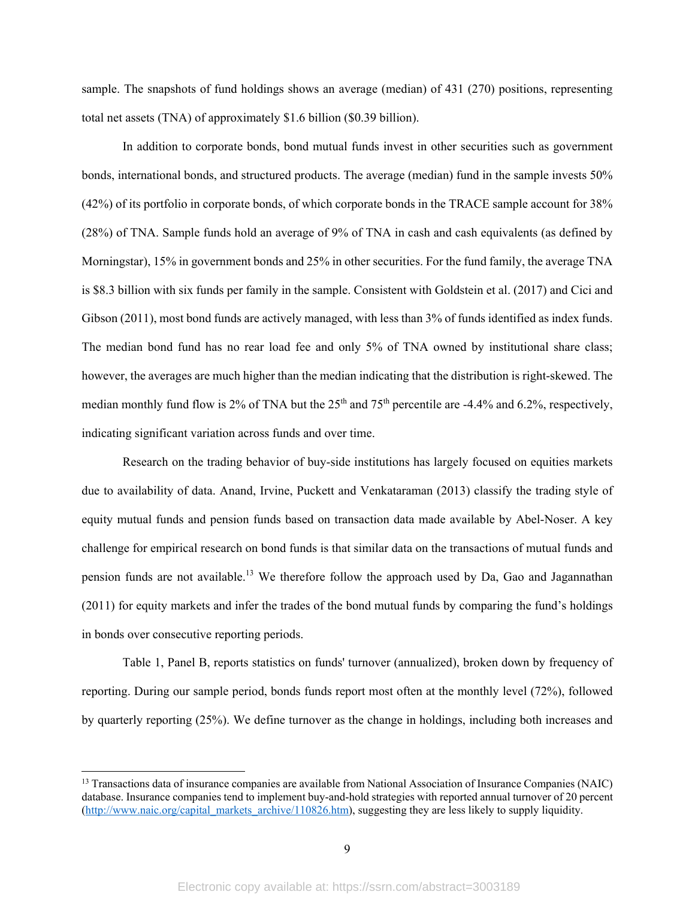sample. The snapshots of fund holdings shows an average (median) of 431 (270) positions, representing total net assets (TNA) of approximately \$1.6 billion (\$0.39 billion).

In addition to corporate bonds, bond mutual funds invest in other securities such as government bonds, international bonds, and structured products. The average (median) fund in the sample invests 50% (42%) of its portfolio in corporate bonds, of which corporate bonds in the TRACE sample account for 38% (28%) of TNA. Sample funds hold an average of 9% of TNA in cash and cash equivalents (as defined by Morningstar), 15% in government bonds and 25% in other securities. For the fund family, the average TNA is \$8.3 billion with six funds per family in the sample. Consistent with Goldstein et al. (2017) and Cici and Gibson (2011), most bond funds are actively managed, with less than 3% of funds identified as index funds. The median bond fund has no rear load fee and only 5% of TNA owned by institutional share class; however, the averages are much higher than the median indicating that the distribution is right-skewed. The median monthly fund flow is 2% of TNA but the  $25<sup>th</sup>$  and  $75<sup>th</sup>$  percentile are -4.4% and 6.2%, respectively, indicating significant variation across funds and over time.

Research on the trading behavior of buy-side institutions has largely focused on equities markets due to availability of data. Anand, Irvine, Puckett and Venkataraman (2013) classify the trading style of equity mutual funds and pension funds based on transaction data made available by Abel-Noser. A key challenge for empirical research on bond funds is that similar data on the transactions of mutual funds and pension funds are not available.13 We therefore follow the approach used by Da, Gao and Jagannathan (2011) for equity markets and infer the trades of the bond mutual funds by comparing the fund's holdings in bonds over consecutive reporting periods.

Table 1, Panel B, reports statistics on funds' turnover (annualized), broken down by frequency of reporting. During our sample period, bonds funds report most often at the monthly level (72%), followed by quarterly reporting (25%). We define turnover as the change in holdings, including both increases and

<sup>&</sup>lt;sup>13</sup> Transactions data of insurance companies are available from National Association of Insurance Companies (NAIC) database. Insurance companies tend to implement buy-and-hold strategies with reported annual turnover of 20 percent (http://www.naic.org/capital\_markets\_archive/110826.htm), suggesting they are less likely to supply liquidity.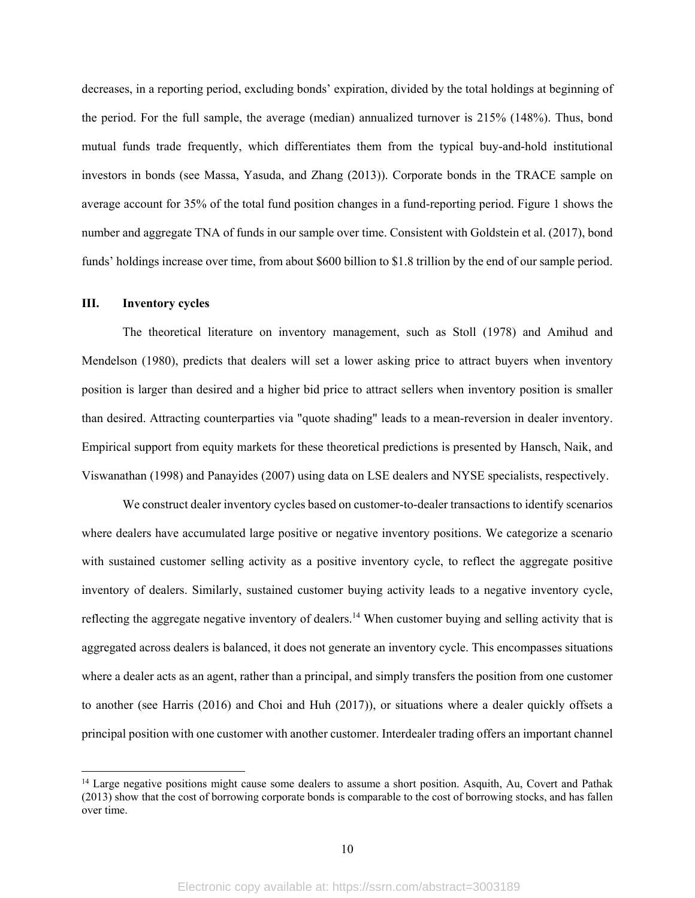decreases, in a reporting period, excluding bonds' expiration, divided by the total holdings at beginning of the period. For the full sample, the average (median) annualized turnover is 215% (148%). Thus, bond mutual funds trade frequently, which differentiates them from the typical buy-and-hold institutional investors in bonds (see Massa, Yasuda, and Zhang (2013)). Corporate bonds in the TRACE sample on average account for 35% of the total fund position changes in a fund-reporting period. Figure 1 shows the number and aggregate TNA of funds in our sample over time. Consistent with Goldstein et al. (2017), bond funds' holdings increase over time, from about \$600 billion to \$1.8 trillion by the end of our sample period.

## **III. Inventory cycles**

The theoretical literature on inventory management, such as Stoll (1978) and Amihud and Mendelson (1980), predicts that dealers will set a lower asking price to attract buyers when inventory position is larger than desired and a higher bid price to attract sellers when inventory position is smaller than desired. Attracting counterparties via "quote shading" leads to a mean-reversion in dealer inventory. Empirical support from equity markets for these theoretical predictions is presented by Hansch, Naik, and Viswanathan (1998) and Panayides (2007) using data on LSE dealers and NYSE specialists, respectively.

We construct dealer inventory cycles based on customer-to-dealer transactions to identify scenarios where dealers have accumulated large positive or negative inventory positions. We categorize a scenario with sustained customer selling activity as a positive inventory cycle, to reflect the aggregate positive inventory of dealers. Similarly, sustained customer buying activity leads to a negative inventory cycle, reflecting the aggregate negative inventory of dealers.<sup>14</sup> When customer buying and selling activity that is aggregated across dealers is balanced, it does not generate an inventory cycle. This encompasses situations where a dealer acts as an agent, rather than a principal, and simply transfers the position from one customer to another (see Harris (2016) and Choi and Huh (2017)), or situations where a dealer quickly offsets a principal position with one customer with another customer. Interdealer trading offers an important channel

<sup>&</sup>lt;sup>14</sup> Large negative positions might cause some dealers to assume a short position. Asquith, Au, Covert and Pathak (2013) show that the cost of borrowing corporate bonds is comparable to the cost of borrowing stocks, and has fallen over time.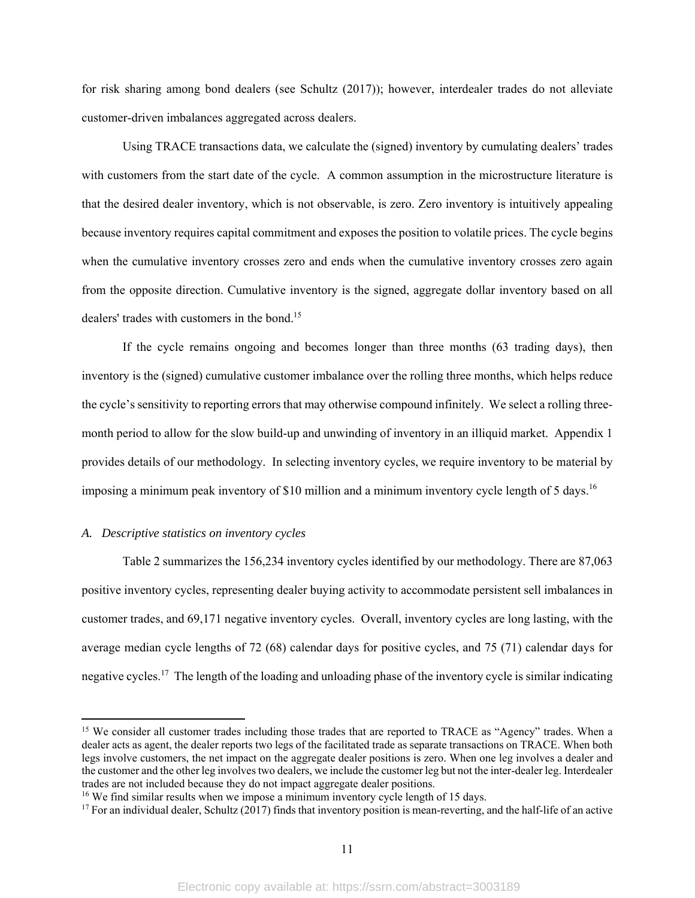for risk sharing among bond dealers (see Schultz (2017)); however, interdealer trades do not alleviate customer-driven imbalances aggregated across dealers.

Using TRACE transactions data, we calculate the (signed) inventory by cumulating dealers' trades with customers from the start date of the cycle. A common assumption in the microstructure literature is that the desired dealer inventory, which is not observable, is zero. Zero inventory is intuitively appealing because inventory requires capital commitment and exposes the position to volatile prices. The cycle begins when the cumulative inventory crosses zero and ends when the cumulative inventory crosses zero again from the opposite direction. Cumulative inventory is the signed, aggregate dollar inventory based on all dealers' trades with customers in the bond.<sup>15</sup>

If the cycle remains ongoing and becomes longer than three months (63 trading days), then inventory is the (signed) cumulative customer imbalance over the rolling three months, which helps reduce the cycle's sensitivity to reporting errors that may otherwise compound infinitely. We select a rolling threemonth period to allow for the slow build-up and unwinding of inventory in an illiquid market. Appendix 1 provides details of our methodology. In selecting inventory cycles, we require inventory to be material by imposing a minimum peak inventory of \$10 million and a minimum inventory cycle length of 5 days.<sup>16</sup>

## *A. Descriptive statistics on inventory cycles*

Table 2 summarizes the 156,234 inventory cycles identified by our methodology. There are 87,063 positive inventory cycles, representing dealer buying activity to accommodate persistent sell imbalances in customer trades, and 69,171 negative inventory cycles. Overall, inventory cycles are long lasting, with the average median cycle lengths of 72 (68) calendar days for positive cycles, and 75 (71) calendar days for negative cycles.17 The length of the loading and unloading phase of the inventory cycle is similar indicating

<sup>&</sup>lt;sup>15</sup> We consider all customer trades including those trades that are reported to TRACE as "Agency" trades. When a dealer acts as agent, the dealer reports two legs of the facilitated trade as separate transactions on TRACE. When both legs involve customers, the net impact on the aggregate dealer positions is zero. When one leg involves a dealer and the customer and the other leg involves two dealers, we include the customer leg but not the inter-dealer leg. Interdealer trades are not included because they do not impact aggregate dealer positions.

<sup>&</sup>lt;sup>16</sup> We find similar results when we impose a minimum inventory cycle length of 15 days.

 $17$  For an individual dealer, Schultz (2017) finds that inventory position is mean-reverting, and the half-life of an active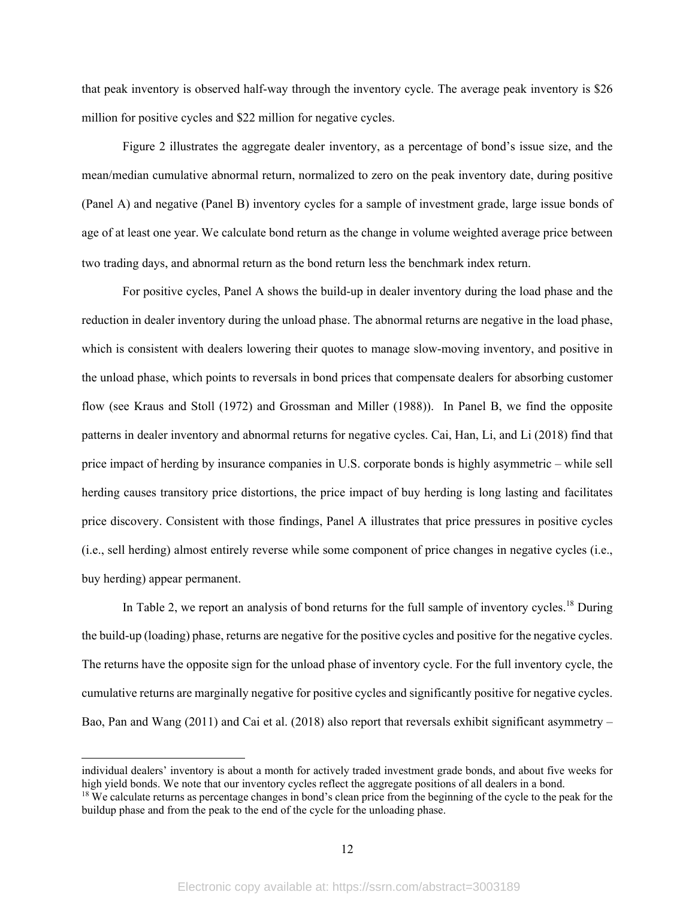that peak inventory is observed half-way through the inventory cycle. The average peak inventory is \$26 million for positive cycles and \$22 million for negative cycles.

Figure 2 illustrates the aggregate dealer inventory, as a percentage of bond's issue size, and the mean/median cumulative abnormal return, normalized to zero on the peak inventory date, during positive (Panel A) and negative (Panel B) inventory cycles for a sample of investment grade, large issue bonds of age of at least one year. We calculate bond return as the change in volume weighted average price between two trading days, and abnormal return as the bond return less the benchmark index return.

For positive cycles, Panel A shows the build-up in dealer inventory during the load phase and the reduction in dealer inventory during the unload phase. The abnormal returns are negative in the load phase, which is consistent with dealers lowering their quotes to manage slow-moving inventory, and positive in the unload phase, which points to reversals in bond prices that compensate dealers for absorbing customer flow (see Kraus and Stoll (1972) and Grossman and Miller (1988)). In Panel B, we find the opposite patterns in dealer inventory and abnormal returns for negative cycles. Cai, Han, Li, and Li (2018) find that price impact of herding by insurance companies in U.S. corporate bonds is highly asymmetric – while sell herding causes transitory price distortions, the price impact of buy herding is long lasting and facilitates price discovery. Consistent with those findings, Panel A illustrates that price pressures in positive cycles (i.e., sell herding) almost entirely reverse while some component of price changes in negative cycles (i.e., buy herding) appear permanent.

In Table 2, we report an analysis of bond returns for the full sample of inventory cycles.<sup>18</sup> During the build-up (loading) phase, returns are negative for the positive cycles and positive for the negative cycles. The returns have the opposite sign for the unload phase of inventory cycle. For the full inventory cycle, the cumulative returns are marginally negative for positive cycles and significantly positive for negative cycles. Bao, Pan and Wang (2011) and Cai et al. (2018) also report that reversals exhibit significant asymmetry –

individual dealers' inventory is about a month for actively traded investment grade bonds, and about five weeks for high yield bonds. We note that our inventory cycles reflect the aggregate positions of all dealers in a bond.

<sup>&</sup>lt;sup>18</sup> We calculate returns as percentage changes in bond's clean price from the beginning of the cycle to the peak for the buildup phase and from the peak to the end of the cycle for the unloading phase.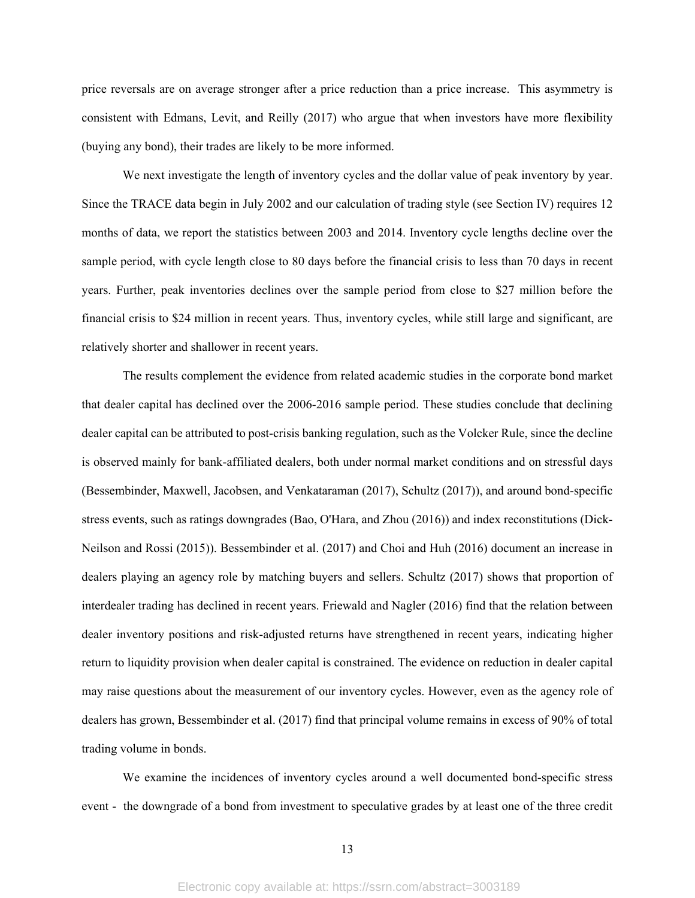price reversals are on average stronger after a price reduction than a price increase. This asymmetry is consistent with Edmans, Levit, and Reilly (2017) who argue that when investors have more flexibility (buying any bond), their trades are likely to be more informed.

We next investigate the length of inventory cycles and the dollar value of peak inventory by year. Since the TRACE data begin in July 2002 and our calculation of trading style (see Section IV) requires 12 months of data, we report the statistics between 2003 and 2014. Inventory cycle lengths decline over the sample period, with cycle length close to 80 days before the financial crisis to less than 70 days in recent years. Further, peak inventories declines over the sample period from close to \$27 million before the financial crisis to \$24 million in recent years. Thus, inventory cycles, while still large and significant, are relatively shorter and shallower in recent years.

The results complement the evidence from related academic studies in the corporate bond market that dealer capital has declined over the 2006-2016 sample period. These studies conclude that declining dealer capital can be attributed to post-crisis banking regulation, such as the Volcker Rule, since the decline is observed mainly for bank-affiliated dealers, both under normal market conditions and on stressful days (Bessembinder, Maxwell, Jacobsen, and Venkataraman (2017), Schultz (2017)), and around bond-specific stress events, such as ratings downgrades (Bao, O'Hara, and Zhou (2016)) and index reconstitutions (Dick-Neilson and Rossi (2015)). Bessembinder et al. (2017) and Choi and Huh (2016) document an increase in dealers playing an agency role by matching buyers and sellers. Schultz (2017) shows that proportion of interdealer trading has declined in recent years. Friewald and Nagler (2016) find that the relation between dealer inventory positions and risk-adjusted returns have strengthened in recent years, indicating higher return to liquidity provision when dealer capital is constrained. The evidence on reduction in dealer capital may raise questions about the measurement of our inventory cycles. However, even as the agency role of dealers has grown, Bessembinder et al. (2017) find that principal volume remains in excess of 90% of total trading volume in bonds.

We examine the incidences of inventory cycles around a well documented bond-specific stress event - the downgrade of a bond from investment to speculative grades by at least one of the three credit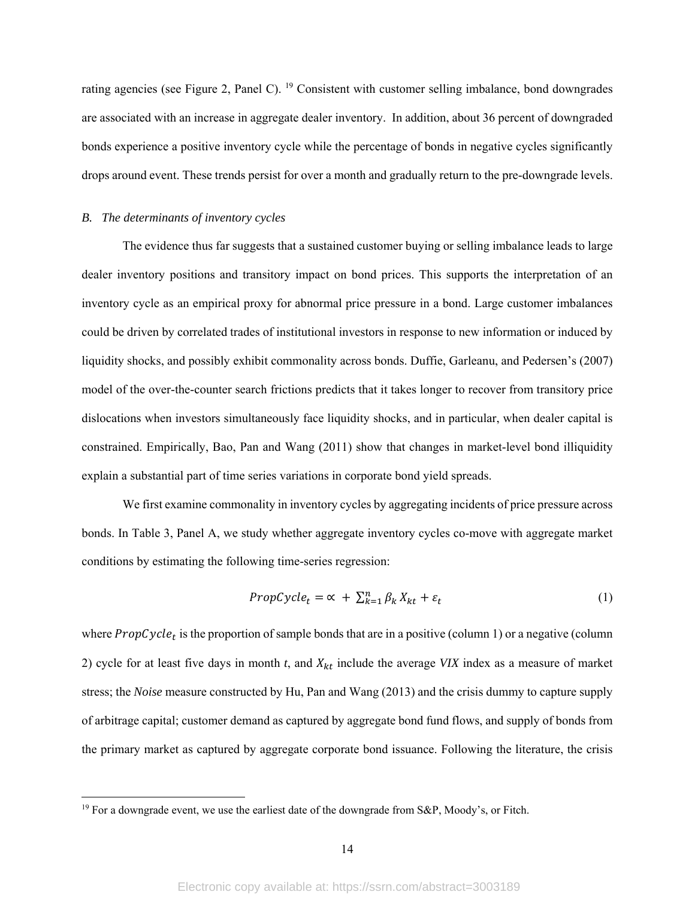rating agencies (see Figure 2, Panel C). 19 Consistent with customer selling imbalance, bond downgrades are associated with an increase in aggregate dealer inventory. In addition, about 36 percent of downgraded bonds experience a positive inventory cycle while the percentage of bonds in negative cycles significantly drops around event. These trends persist for over a month and gradually return to the pre-downgrade levels.

## *B. The determinants of inventory cycles*

The evidence thus far suggests that a sustained customer buying or selling imbalance leads to large dealer inventory positions and transitory impact on bond prices. This supports the interpretation of an inventory cycle as an empirical proxy for abnormal price pressure in a bond. Large customer imbalances could be driven by correlated trades of institutional investors in response to new information or induced by liquidity shocks, and possibly exhibit commonality across bonds. Duffie, Garleanu, and Pedersen's (2007) model of the over-the-counter search frictions predicts that it takes longer to recover from transitory price dislocations when investors simultaneously face liquidity shocks, and in particular, when dealer capital is constrained. Empirically, Bao, Pan and Wang (2011) show that changes in market-level bond illiquidity explain a substantial part of time series variations in corporate bond yield spreads.

We first examine commonality in inventory cycles by aggregating incidents of price pressure across bonds. In Table 3, Panel A, we study whether aggregate inventory cycles co-move with aggregate market conditions by estimating the following time-series regression:

$$
PropCycle_t = \alpha + \sum_{k=1}^{n} \beta_k X_{kt} + \varepsilon_t
$$
\n(1)

where  $PropCycle_t$  is the proportion of sample bonds that are in a positive (column 1) or a negative (column 2) cycle for at least five days in month  $t$ , and  $X_{kt}$  include the average *VIX* index as a measure of market stress; the *Noise* measure constructed by Hu, Pan and Wang (2013) and the crisis dummy to capture supply of arbitrage capital; customer demand as captured by aggregate bond fund flows, and supply of bonds from the primary market as captured by aggregate corporate bond issuance. Following the literature, the crisis

<sup>&</sup>lt;sup>19</sup> For a downgrade event, we use the earliest date of the downgrade from S&P, Moody's, or Fitch.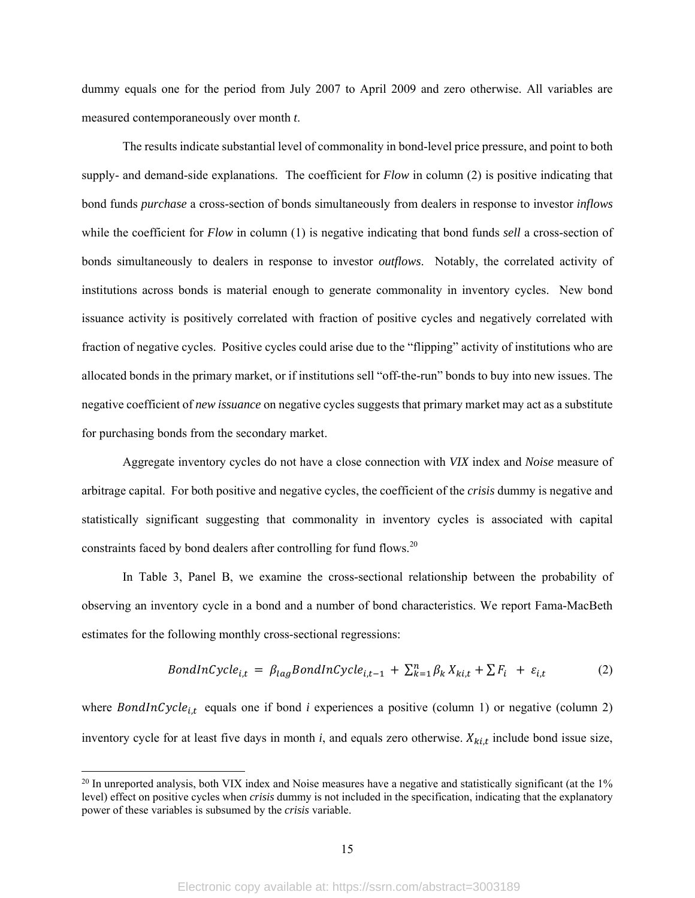dummy equals one for the period from July 2007 to April 2009 and zero otherwise. All variables are measured contemporaneously over month *t*.

The results indicate substantial level of commonality in bond-level price pressure, and point to both supply- and demand-side explanations. The coefficient for *Flow* in column (2) is positive indicating that bond funds *purchase* a cross-section of bonds simultaneously from dealers in response to investor *inflows* while the coefficient for *Flow* in column (1) is negative indicating that bond funds *sell* a cross-section of bonds simultaneously to dealers in response to investor *outflows*. Notably, the correlated activity of institutions across bonds is material enough to generate commonality in inventory cycles. New bond issuance activity is positively correlated with fraction of positive cycles and negatively correlated with fraction of negative cycles. Positive cycles could arise due to the "flipping" activity of institutions who are allocated bonds in the primary market, or if institutions sell "off-the-run" bonds to buy into new issues. The negative coefficient of *new issuance* on negative cycles suggests that primary market may act as a substitute for purchasing bonds from the secondary market.

Aggregate inventory cycles do not have a close connection with *VIX* index and *Noise* measure of arbitrage capital. For both positive and negative cycles, the coefficient of the *crisis* dummy is negative and statistically significant suggesting that commonality in inventory cycles is associated with capital constraints faced by bond dealers after controlling for fund flows.<sup>20</sup>

In Table 3, Panel B, we examine the cross-sectional relationship between the probability of observing an inventory cycle in a bond and a number of bond characteristics. We report Fama-MacBeth estimates for the following monthly cross-sectional regressions:

$$
BondInCycle_{i,t} = \beta_{lag} BondInCycle_{i,t-1} + \sum_{k=1}^{n} \beta_k X_{ki,t} + \sum F_i + \varepsilon_{i,t}
$$
 (2)

where BondInCycle<sub>i,t</sub> equals one if bond *i* experiences a positive (column 1) or negative (column 2) inventory cycle for at least five days in month *i*, and equals zero otherwise.  $X_{kit}$  include bond issue size,

 $^{20}$  In unreported analysis, both VIX index and Noise measures have a negative and statistically significant (at the 1% level) effect on positive cycles when *crisis* dummy is not included in the specification, indicating that the explanatory power of these variables is subsumed by the *crisis* variable.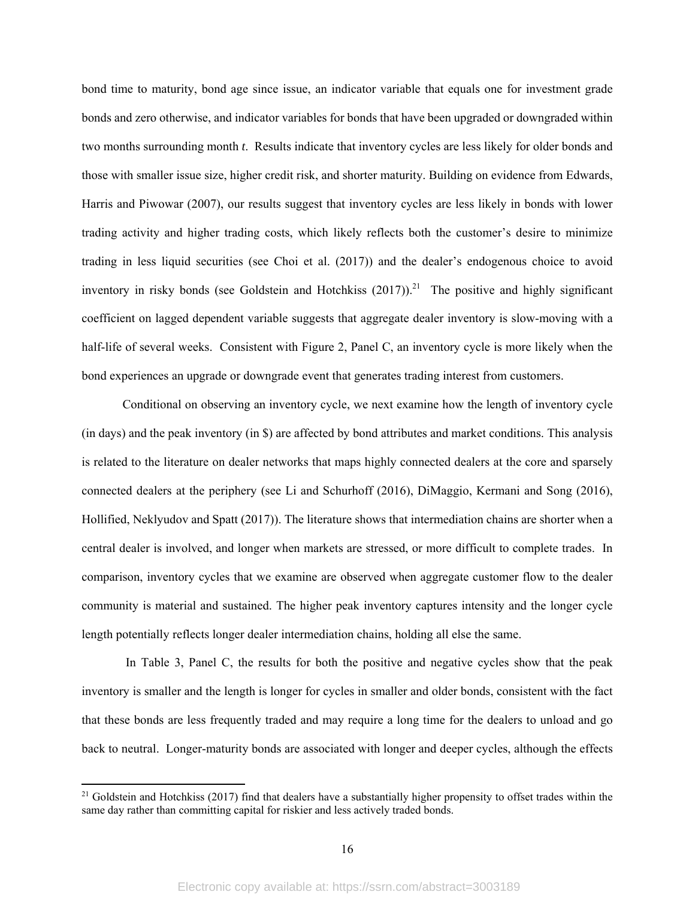bond time to maturity, bond age since issue, an indicator variable that equals one for investment grade bonds and zero otherwise, and indicator variables for bonds that have been upgraded or downgraded within two months surrounding month *t*. Results indicate that inventory cycles are less likely for older bonds and those with smaller issue size, higher credit risk, and shorter maturity. Building on evidence from Edwards, Harris and Piwowar (2007), our results suggest that inventory cycles are less likely in bonds with lower trading activity and higher trading costs, which likely reflects both the customer's desire to minimize trading in less liquid securities (see Choi et al. (2017)) and the dealer's endogenous choice to avoid inventory in risky bonds (see Goldstein and Hotchkiss  $(2017)$ ).<sup>21</sup> The positive and highly significant coefficient on lagged dependent variable suggests that aggregate dealer inventory is slow-moving with a half-life of several weeks. Consistent with Figure 2, Panel C, an inventory cycle is more likely when the bond experiences an upgrade or downgrade event that generates trading interest from customers.

Conditional on observing an inventory cycle, we next examine how the length of inventory cycle (in days) and the peak inventory (in \$) are affected by bond attributes and market conditions. This analysis is related to the literature on dealer networks that maps highly connected dealers at the core and sparsely connected dealers at the periphery (see Li and Schurhoff (2016), DiMaggio, Kermani and Song (2016), Hollified, Neklyudov and Spatt (2017)). The literature shows that intermediation chains are shorter when a central dealer is involved, and longer when markets are stressed, or more difficult to complete trades. In comparison, inventory cycles that we examine are observed when aggregate customer flow to the dealer community is material and sustained. The higher peak inventory captures intensity and the longer cycle length potentially reflects longer dealer intermediation chains, holding all else the same.

 In Table 3, Panel C, the results for both the positive and negative cycles show that the peak inventory is smaller and the length is longer for cycles in smaller and older bonds, consistent with the fact that these bonds are less frequently traded and may require a long time for the dealers to unload and go back to neutral. Longer-maturity bonds are associated with longer and deeper cycles, although the effects

<sup>&</sup>lt;sup>21</sup> Goldstein and Hotchkiss (2017) find that dealers have a substantially higher propensity to offset trades within the same day rather than committing capital for riskier and less actively traded bonds.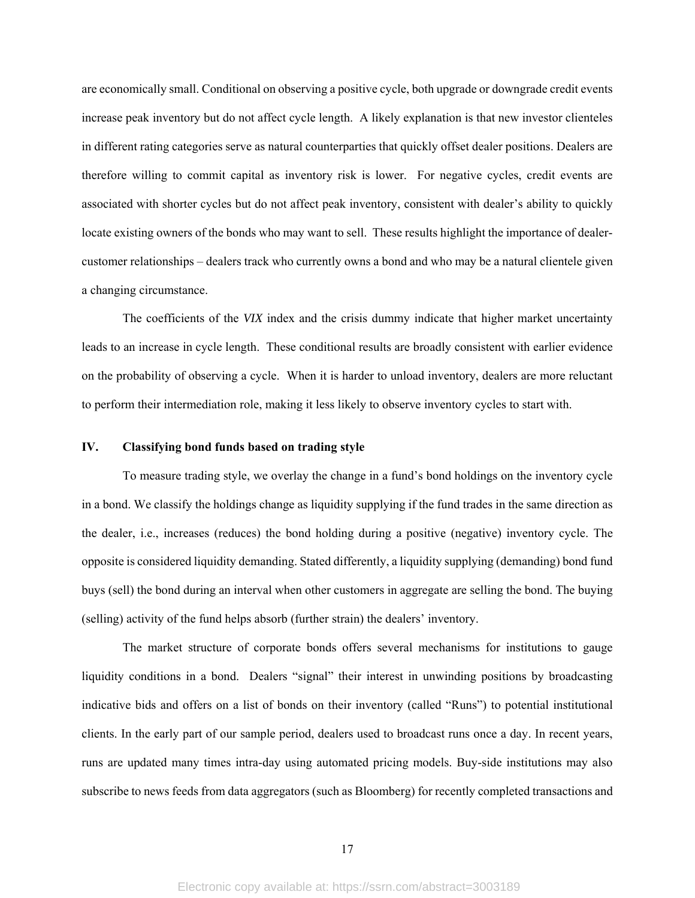are economically small. Conditional on observing a positive cycle, both upgrade or downgrade credit events increase peak inventory but do not affect cycle length. A likely explanation is that new investor clienteles in different rating categories serve as natural counterparties that quickly offset dealer positions. Dealers are therefore willing to commit capital as inventory risk is lower. For negative cycles, credit events are associated with shorter cycles but do not affect peak inventory, consistent with dealer's ability to quickly locate existing owners of the bonds who may want to sell. These results highlight the importance of dealercustomer relationships – dealers track who currently owns a bond and who may be a natural clientele given a changing circumstance.

The coefficients of the *VIX* index and the crisis dummy indicate that higher market uncertainty leads to an increase in cycle length. These conditional results are broadly consistent with earlier evidence on the probability of observing a cycle. When it is harder to unload inventory, dealers are more reluctant to perform their intermediation role, making it less likely to observe inventory cycles to start with.

## **IV. Classifying bond funds based on trading style**

To measure trading style, we overlay the change in a fund's bond holdings on the inventory cycle in a bond. We classify the holdings change as liquidity supplying if the fund trades in the same direction as the dealer, i.e., increases (reduces) the bond holding during a positive (negative) inventory cycle. The opposite is considered liquidity demanding. Stated differently, a liquidity supplying (demanding) bond fund buys (sell) the bond during an interval when other customers in aggregate are selling the bond. The buying (selling) activity of the fund helps absorb (further strain) the dealers' inventory.

The market structure of corporate bonds offers several mechanisms for institutions to gauge liquidity conditions in a bond. Dealers "signal" their interest in unwinding positions by broadcasting indicative bids and offers on a list of bonds on their inventory (called "Runs") to potential institutional clients. In the early part of our sample period, dealers used to broadcast runs once a day. In recent years, runs are updated many times intra-day using automated pricing models. Buy-side institutions may also subscribe to news feeds from data aggregators (such as Bloomberg) for recently completed transactions and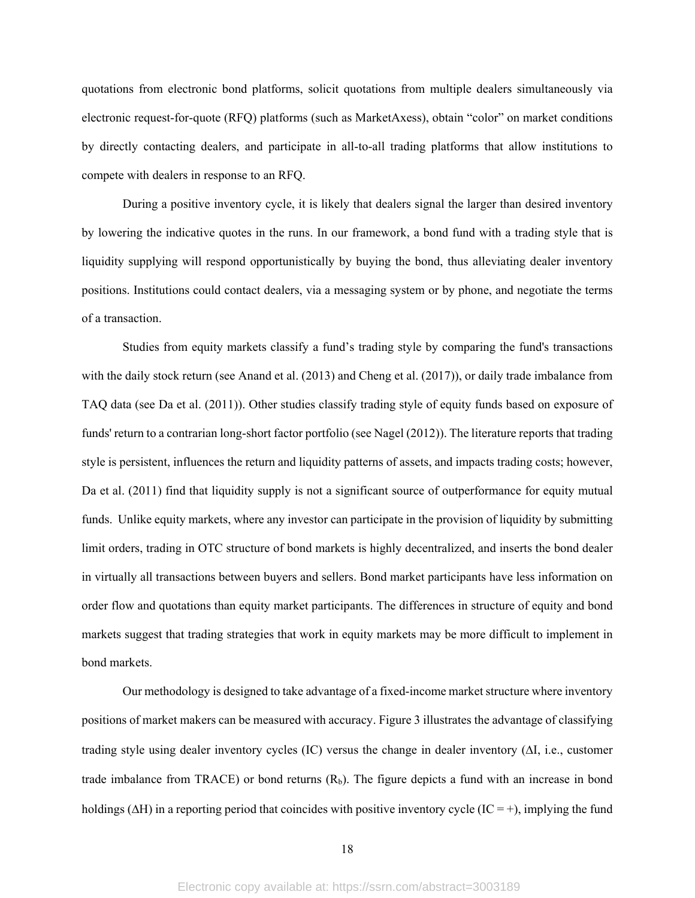quotations from electronic bond platforms, solicit quotations from multiple dealers simultaneously via electronic request-for-quote (RFQ) platforms (such as MarketAxess), obtain "color" on market conditions by directly contacting dealers, and participate in all-to-all trading platforms that allow institutions to compete with dealers in response to an RFQ.

During a positive inventory cycle, it is likely that dealers signal the larger than desired inventory by lowering the indicative quotes in the runs. In our framework, a bond fund with a trading style that is liquidity supplying will respond opportunistically by buying the bond, thus alleviating dealer inventory positions. Institutions could contact dealers, via a messaging system or by phone, and negotiate the terms of a transaction.

Studies from equity markets classify a fund's trading style by comparing the fund's transactions with the daily stock return (see Anand et al. (2013) and Cheng et al. (2017)), or daily trade imbalance from TAQ data (see Da et al. (2011)). Other studies classify trading style of equity funds based on exposure of funds' return to a contrarian long-short factor portfolio (see Nagel (2012)). The literature reports that trading style is persistent, influences the return and liquidity patterns of assets, and impacts trading costs; however, Da et al. (2011) find that liquidity supply is not a significant source of outperformance for equity mutual funds. Unlike equity markets, where any investor can participate in the provision of liquidity by submitting limit orders, trading in OTC structure of bond markets is highly decentralized, and inserts the bond dealer in virtually all transactions between buyers and sellers. Bond market participants have less information on order flow and quotations than equity market participants. The differences in structure of equity and bond markets suggest that trading strategies that work in equity markets may be more difficult to implement in bond markets.

Our methodology is designed to take advantage of a fixed-income market structure where inventory positions of market makers can be measured with accuracy. Figure 3 illustrates the advantage of classifying trading style using dealer inventory cycles (IC) versus the change in dealer inventory  $(\Delta I, i.e.,$  customer trade imbalance from TRACE) or bond returns  $(R_b)$ . The figure depicts a fund with an increase in bond holdings ( $\Delta H$ ) in a reporting period that coincides with positive inventory cycle (IC = +), implying the fund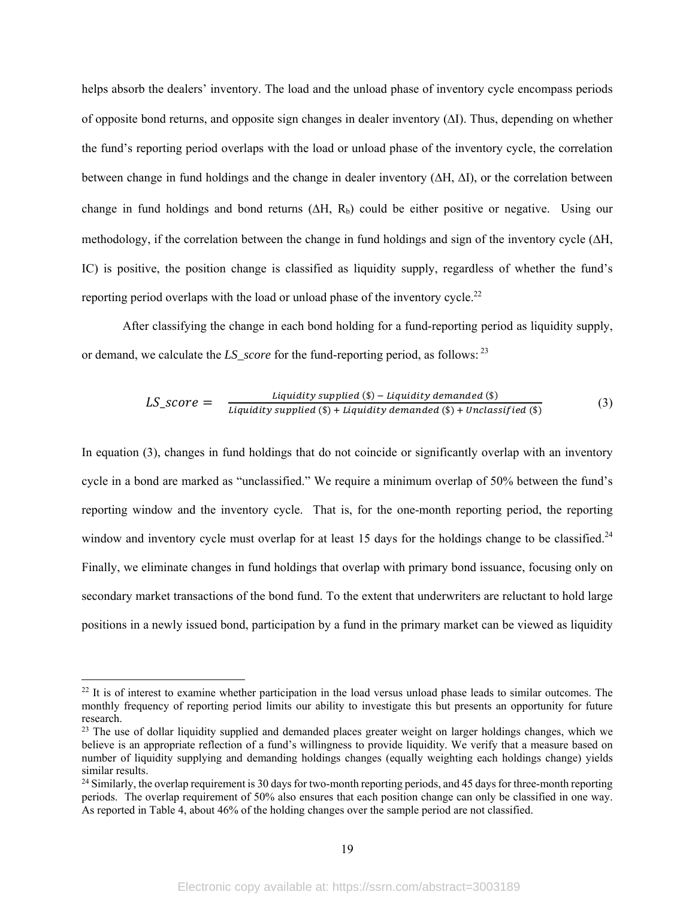helps absorb the dealers' inventory. The load and the unload phase of inventory cycle encompass periods of opposite bond returns, and opposite sign changes in dealer inventory  $(\Delta I)$ . Thus, depending on whether the fund's reporting period overlaps with the load or unload phase of the inventory cycle, the correlation between change in fund holdings and the change in dealer inventory  $(\Delta H, \Delta I)$ , or the correlation between change in fund holdings and bond returns  $(\Delta H, R_b)$  could be either positive or negative. Using our methodology, if the correlation between the change in fund holdings and sign of the inventory cycle  $(\Delta H, \Delta H)$ IC) is positive, the position change is classified as liquidity supply, regardless of whether the fund's reporting period overlaps with the load or unload phase of the inventory cycle.<sup>22</sup>

After classifying the change in each bond holding for a fund-reporting period as liquidity supply, or demand, we calculate the *LS\_score* for the fund-reporting period, as follows: 23

$$
LS\_score = \frac{Lightidity \, supplied \, (\$) - Liquidity \, demanded \, (\$)}{Lightity \, supplied \, (\$) + Liquidity \, demanded \, (\$) + Unclassified \, (\$)}
$$
 (3)

In equation (3), changes in fund holdings that do not coincide or significantly overlap with an inventory cycle in a bond are marked as "unclassified." We require a minimum overlap of 50% between the fund's reporting window and the inventory cycle. That is, for the one-month reporting period, the reporting window and inventory cycle must overlap for at least 15 days for the holdings change to be classified.<sup>24</sup> Finally, we eliminate changes in fund holdings that overlap with primary bond issuance, focusing only on secondary market transactions of the bond fund. To the extent that underwriters are reluctant to hold large positions in a newly issued bond, participation by a fund in the primary market can be viewed as liquidity

<sup>&</sup>lt;sup>22</sup> It is of interest to examine whether participation in the load versus unload phase leads to similar outcomes. The monthly frequency of reporting period limits our ability to investigate this but presents an opportunity for future research.

<sup>&</sup>lt;sup>23</sup> The use of dollar liquidity supplied and demanded places greater weight on larger holdings changes, which we believe is an appropriate reflection of a fund's willingness to provide liquidity. We verify that a measure based on number of liquidity supplying and demanding holdings changes (equally weighting each holdings change) yields similar results.

 $^{24}$  Similarly, the overlap requirement is 30 days for two-month reporting periods, and 45 days for three-month reporting periods. The overlap requirement of 50% also ensures that each position change can only be classified in one way. As reported in Table 4, about 46% of the holding changes over the sample period are not classified.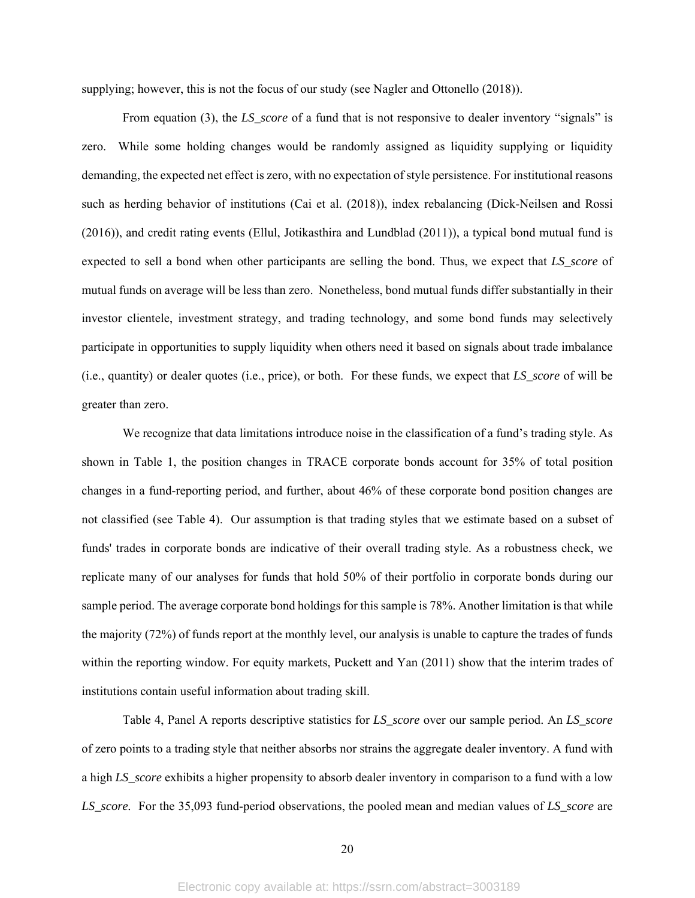supplying; however, this is not the focus of our study (see Nagler and Ottonello (2018)).

From equation (3), the *LS\_score* of a fund that is not responsive to dealer inventory "signals" is zero. While some holding changes would be randomly assigned as liquidity supplying or liquidity demanding, the expected net effect is zero, with no expectation of style persistence. For institutional reasons such as herding behavior of institutions (Cai et al. (2018)), index rebalancing (Dick-Neilsen and Rossi (2016)), and credit rating events (Ellul, Jotikasthira and Lundblad (2011)), a typical bond mutual fund is expected to sell a bond when other participants are selling the bond. Thus, we expect that *LS\_score* of mutual funds on average will be less than zero. Nonetheless, bond mutual funds differ substantially in their investor clientele, investment strategy, and trading technology, and some bond funds may selectively participate in opportunities to supply liquidity when others need it based on signals about trade imbalance (i.e., quantity) or dealer quotes (i.e., price), or both. For these funds, we expect that *LS\_score* of will be greater than zero.

We recognize that data limitations introduce noise in the classification of a fund's trading style. As shown in Table 1, the position changes in TRACE corporate bonds account for 35% of total position changes in a fund-reporting period, and further, about 46% of these corporate bond position changes are not classified (see Table 4). Our assumption is that trading styles that we estimate based on a subset of funds' trades in corporate bonds are indicative of their overall trading style. As a robustness check, we replicate many of our analyses for funds that hold 50% of their portfolio in corporate bonds during our sample period. The average corporate bond holdings for this sample is 78%. Another limitation is that while the majority (72%) of funds report at the monthly level, our analysis is unable to capture the trades of funds within the reporting window. For equity markets, Puckett and Yan (2011) show that the interim trades of institutions contain useful information about trading skill.

Table 4, Panel A reports descriptive statistics for *LS\_score* over our sample period. An *LS\_score* of zero points to a trading style that neither absorbs nor strains the aggregate dealer inventory. A fund with a high *LS\_score* exhibits a higher propensity to absorb dealer inventory in comparison to a fund with a low *LS\_score.* For the 35,093 fund-period observations, the pooled mean and median values of *LS\_score* are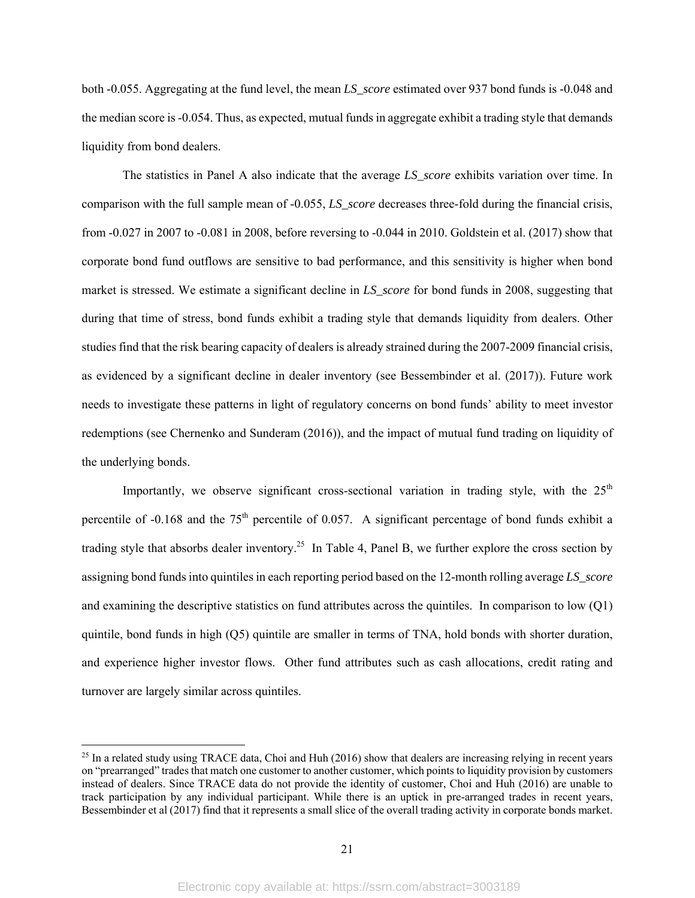both -0.055. Aggregating at the fund level, the mean *LS\_score* estimated over 937 bond funds is -0.048 and the median score is -0.054. Thus, as expected, mutual funds in aggregate exhibit a trading style that demands liquidity from bond dealers.

The statistics in Panel A also indicate that the average *LS\_score* exhibits variation over time. In comparison with the full sample mean of -0.055, *LS\_score* decreases three-fold during the financial crisis, from -0.027 in 2007 to -0.081 in 2008, before reversing to -0.044 in 2010. Goldstein et al. (2017) show that corporate bond fund outflows are sensitive to bad performance, and this sensitivity is higher when bond market is stressed. We estimate a significant decline in *LS\_score* for bond funds in 2008, suggesting that during that time of stress, bond funds exhibit a trading style that demands liquidity from dealers. Other studies find that the risk bearing capacity of dealers is already strained during the 2007-2009 financial crisis, as evidenced by a significant decline in dealer inventory (see Bessembinder et al. (2017)). Future work needs to investigate these patterns in light of regulatory concerns on bond funds' ability to meet investor redemptions (see Chernenko and Sunderam (2016)), and the impact of mutual fund trading on liquidity of the underlying bonds.

Importantly, we observe significant cross-sectional variation in trading style, with the  $25<sup>th</sup>$ percentile of  $-0.168$  and the  $75<sup>th</sup>$  percentile of 0.057. A significant percentage of bond funds exhibit a trading style that absorbs dealer inventory.<sup>25</sup> In Table 4, Panel B, we further explore the cross section by assigning bond funds into quintiles in each reporting period based on the 12-month rolling average *LS\_score* and examining the descriptive statistics on fund attributes across the quintiles. In comparison to low (Q1) quintile, bond funds in high (Q5) quintile are smaller in terms of TNA, hold bonds with shorter duration, and experience higher investor flows. Other fund attributes such as cash allocations, credit rating and turnover are largely similar across quintiles.

 $25$  In a related study using TRACE data, Choi and Huh (2016) show that dealers are increasing relying in recent years on "prearranged" trades that match one customer to another customer, which points to liquidity provision by customers instead of dealers. Since TRACE data do not provide the identity of customer, Choi and Huh (2016) are unable to track participation by any individual participant. While there is an uptick in pre-arranged trades in recent years, Bessembinder et al (2017) find that it represents a small slice of the overall trading activity in corporate bonds market.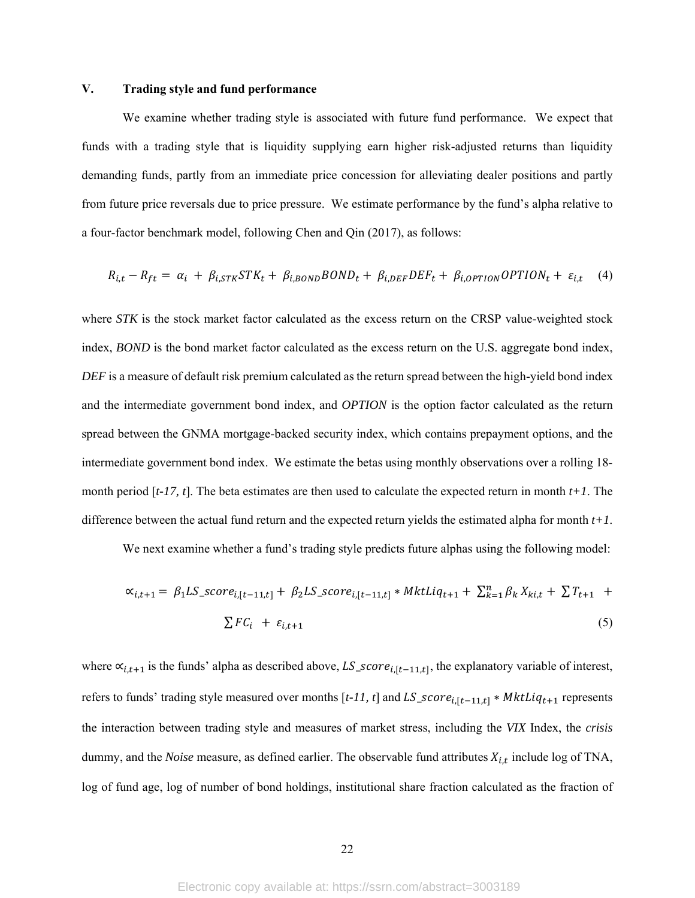## **V. Trading style and fund performance**

We examine whether trading style is associated with future fund performance. We expect that funds with a trading style that is liquidity supplying earn higher risk-adjusted returns than liquidity demanding funds, partly from an immediate price concession for alleviating dealer positions and partly from future price reversals due to price pressure. We estimate performance by the fund's alpha relative to a four-factor benchmark model, following Chen and Qin (2017), as follows:

$$
R_{i,t} - R_{ft} = \alpha_i + \beta_{i,STK} STK_t + \beta_{i,BOND} BOND_t + \beta_{i,DEF} DEF_t + \beta_{i,OPTION} OPTION_t + \varepsilon_{i,t} \tag{4}
$$

where *STK* is the stock market factor calculated as the excess return on the CRSP value-weighted stock index, *BOND* is the bond market factor calculated as the excess return on the U.S. aggregate bond index, *DEF* is a measure of default risk premium calculated as the return spread between the high-yield bond index and the intermediate government bond index, and *OPTION* is the option factor calculated as the return spread between the GNMA mortgage-backed security index, which contains prepayment options, and the intermediate government bond index. We estimate the betas using monthly observations over a rolling 18 month period [*t-17, t*]. The beta estimates are then used to calculate the expected return in month *t+1*. The difference between the actual fund return and the expected return yields the estimated alpha for month *t+1*.

We next examine whether a fund's trading style predicts future alphas using the following model:

$$
\alpha_{i,t+1} = \beta_1 LS\_score_{i,[t-11,t]} + \beta_2 LS\_score_{i,[t-11,t]} * MktLiq_{t+1} + \sum_{k=1}^{n} \beta_k X_{ki,t} + \sum T_{t+1} + \sum F_{i,t+1}
$$
\n
$$
(5)
$$

where  $\alpha_{i,t+1}$  is the funds' alpha as described above, LS\_score<sub>i,[t-11,t]</sub>, the explanatory variable of interest, refers to funds' trading style measured over months  $[t-11, t]$  and  $LS\_score_{i,[t-11,t]} * MktLiq_{t+1}$  represents the interaction between trading style and measures of market stress, including the *VIX* Index, the *crisis*  dummy, and the *Noise* measure, as defined earlier. The observable fund attributes  $X_{i,t}$  include log of TNA, log of fund age, log of number of bond holdings, institutional share fraction calculated as the fraction of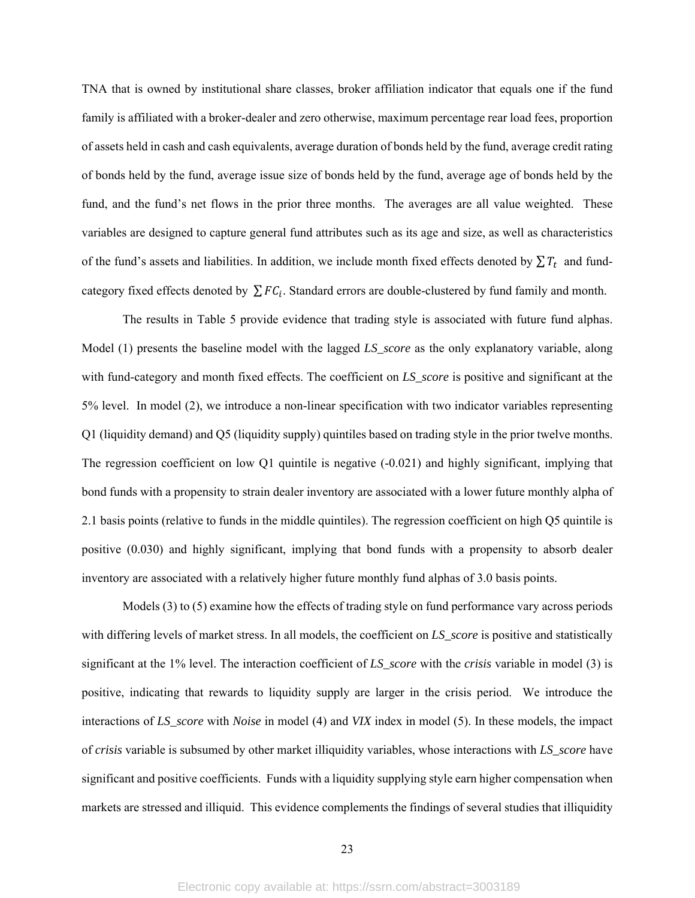TNA that is owned by institutional share classes, broker affiliation indicator that equals one if the fund family is affiliated with a broker-dealer and zero otherwise, maximum percentage rear load fees, proportion of assets held in cash and cash equivalents, average duration of bonds held by the fund, average credit rating of bonds held by the fund, average issue size of bonds held by the fund, average age of bonds held by the fund, and the fund's net flows in the prior three months. The averages are all value weighted. These variables are designed to capture general fund attributes such as its age and size, as well as characteristics of the fund's assets and liabilities. In addition, we include month fixed effects denoted by  $\sum T_t$  and fundcategory fixed effects denoted by  $\sum FC_i$ . Standard errors are double-clustered by fund family and month.

The results in Table 5 provide evidence that trading style is associated with future fund alphas. Model (1) presents the baseline model with the lagged *LS\_score* as the only explanatory variable, along with fund-category and month fixed effects. The coefficient on *LS\_score* is positive and significant at the 5% level. In model (2), we introduce a non-linear specification with two indicator variables representing Q1 (liquidity demand) and Q5 (liquidity supply) quintiles based on trading style in the prior twelve months. The regression coefficient on low Q1 quintile is negative (-0.021) and highly significant, implying that bond funds with a propensity to strain dealer inventory are associated with a lower future monthly alpha of 2.1 basis points (relative to funds in the middle quintiles). The regression coefficient on high Q5 quintile is positive (0.030) and highly significant, implying that bond funds with a propensity to absorb dealer inventory are associated with a relatively higher future monthly fund alphas of 3.0 basis points.

Models (3) to (5) examine how the effects of trading style on fund performance vary across periods with differing levels of market stress. In all models, the coefficient on *LS\_score* is positive and statistically significant at the 1% level. The interaction coefficient of *LS\_score* with the *crisis* variable in model (3) is positive, indicating that rewards to liquidity supply are larger in the crisis period. We introduce the interactions of *LS\_score* with *Noise* in model (4) and *VIX* index in model (5). In these models, the impact of *crisis* variable is subsumed by other market illiquidity variables, whose interactions with *LS\_score* have significant and positive coefficients. Funds with a liquidity supplying style earn higher compensation when markets are stressed and illiquid. This evidence complements the findings of several studies that illiquidity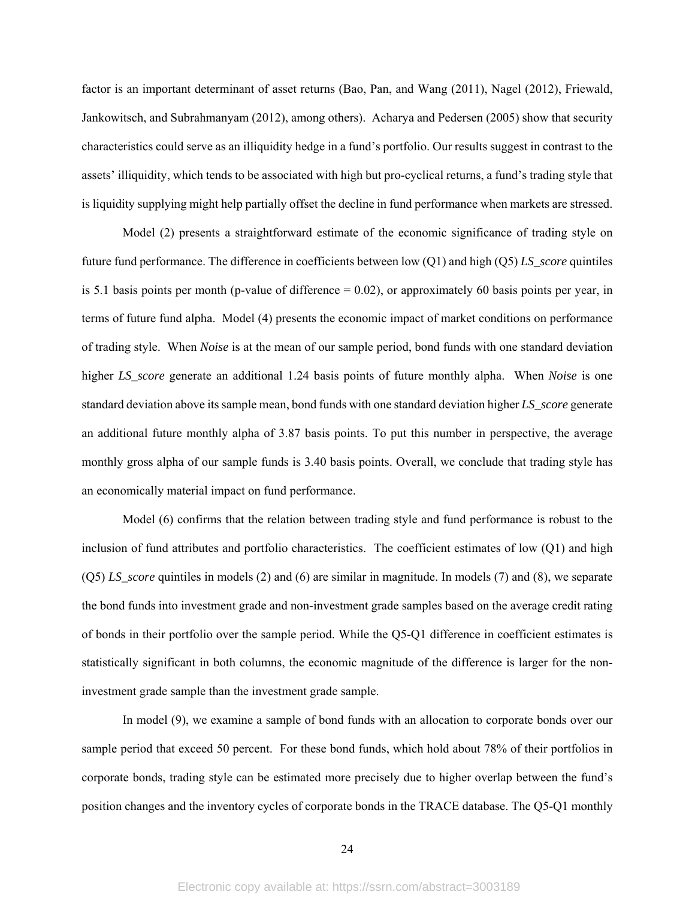factor is an important determinant of asset returns (Bao, Pan, and Wang (2011), Nagel (2012), Friewald, Jankowitsch, and Subrahmanyam (2012), among others). Acharya and Pedersen (2005) show that security characteristics could serve as an illiquidity hedge in a fund's portfolio. Our results suggest in contrast to the assets' illiquidity, which tends to be associated with high but pro-cyclical returns, a fund's trading style that is liquidity supplying might help partially offset the decline in fund performance when markets are stressed.

Model (2) presents a straightforward estimate of the economic significance of trading style on future fund performance. The difference in coefficients between low (Q1) and high (Q5) *LS\_score* quintiles is 5.1 basis points per month (p-value of difference  $= 0.02$ ), or approximately 60 basis points per year, in terms of future fund alpha. Model (4) presents the economic impact of market conditions on performance of trading style. When *Noise* is at the mean of our sample period, bond funds with one standard deviation higher *LS\_score* generate an additional 1.24 basis points of future monthly alpha. When *Noise* is one standard deviation above its sample mean, bond funds with one standard deviation higher *LS\_score* generate an additional future monthly alpha of 3.87 basis points. To put this number in perspective, the average monthly gross alpha of our sample funds is 3.40 basis points. Overall, we conclude that trading style has an economically material impact on fund performance.

Model (6) confirms that the relation between trading style and fund performance is robust to the inclusion of fund attributes and portfolio characteristics. The coefficient estimates of low (Q1) and high (Q5) *LS\_score* quintiles in models (2) and (6) are similar in magnitude. In models (7) and (8), we separate the bond funds into investment grade and non-investment grade samples based on the average credit rating of bonds in their portfolio over the sample period. While the Q5-Q1 difference in coefficient estimates is statistically significant in both columns, the economic magnitude of the difference is larger for the noninvestment grade sample than the investment grade sample.

In model (9), we examine a sample of bond funds with an allocation to corporate bonds over our sample period that exceed 50 percent. For these bond funds, which hold about 78% of their portfolios in corporate bonds, trading style can be estimated more precisely due to higher overlap between the fund's position changes and the inventory cycles of corporate bonds in the TRACE database. The Q5-Q1 monthly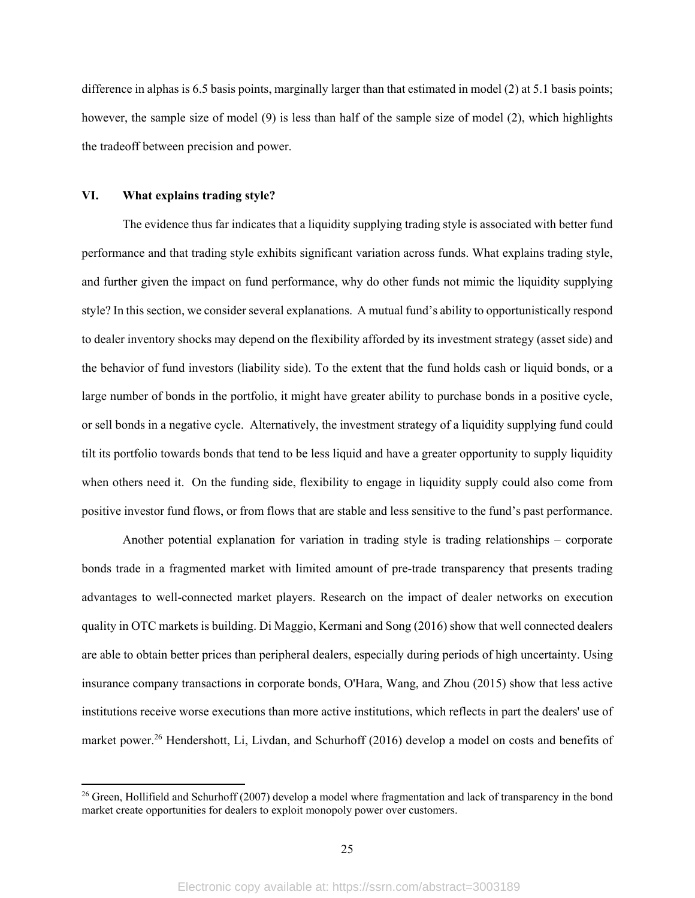difference in alphas is 6.5 basis points, marginally larger than that estimated in model (2) at 5.1 basis points; however, the sample size of model (9) is less than half of the sample size of model (2), which highlights the tradeoff between precision and power.

## **VI. What explains trading style?**

The evidence thus far indicates that a liquidity supplying trading style is associated with better fund performance and that trading style exhibits significant variation across funds. What explains trading style, and further given the impact on fund performance, why do other funds not mimic the liquidity supplying style? In this section, we consider several explanations. A mutual fund's ability to opportunistically respond to dealer inventory shocks may depend on the flexibility afforded by its investment strategy (asset side) and the behavior of fund investors (liability side). To the extent that the fund holds cash or liquid bonds, or a large number of bonds in the portfolio, it might have greater ability to purchase bonds in a positive cycle, or sell bonds in a negative cycle. Alternatively, the investment strategy of a liquidity supplying fund could tilt its portfolio towards bonds that tend to be less liquid and have a greater opportunity to supply liquidity when others need it. On the funding side, flexibility to engage in liquidity supply could also come from positive investor fund flows, or from flows that are stable and less sensitive to the fund's past performance.

Another potential explanation for variation in trading style is trading relationships – corporate bonds trade in a fragmented market with limited amount of pre-trade transparency that presents trading advantages to well-connected market players. Research on the impact of dealer networks on execution quality in OTC markets is building. Di Maggio, Kermani and Song (2016) show that well connected dealers are able to obtain better prices than peripheral dealers, especially during periods of high uncertainty. Using insurance company transactions in corporate bonds, O'Hara, Wang, and Zhou (2015) show that less active institutions receive worse executions than more active institutions, which reflects in part the dealers' use of market power.<sup>26</sup> Hendershott, Li, Livdan, and Schurhoff (2016) develop a model on costs and benefits of

<sup>&</sup>lt;sup>26</sup> Green, Hollifield and Schurhoff (2007) develop a model where fragmentation and lack of transparency in the bond market create opportunities for dealers to exploit monopoly power over customers.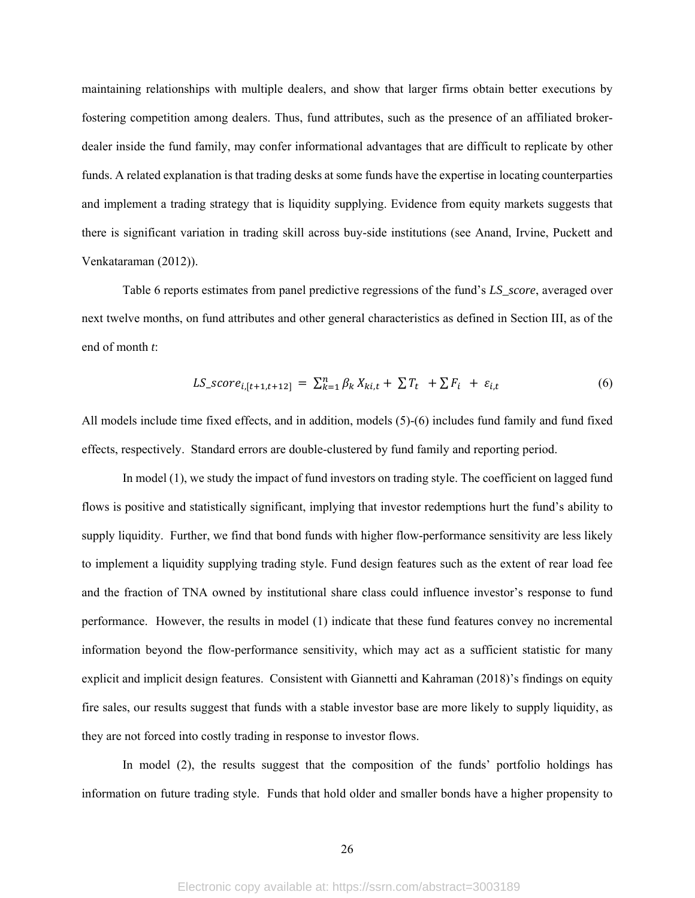maintaining relationships with multiple dealers, and show that larger firms obtain better executions by fostering competition among dealers. Thus, fund attributes, such as the presence of an affiliated brokerdealer inside the fund family, may confer informational advantages that are difficult to replicate by other funds. A related explanation is that trading desks at some funds have the expertise in locating counterparties and implement a trading strategy that is liquidity supplying. Evidence from equity markets suggests that there is significant variation in trading skill across buy-side institutions (see Anand, Irvine, Puckett and Venkataraman (2012)).

Table 6 reports estimates from panel predictive regressions of the fund's *LS\_score*, averaged over next twelve months, on fund attributes and other general characteristics as defined in Section III, as of the end of month *t*:

$$
LS\_score_{i,[t+1,t+12]} = \sum_{k=1}^{n} \beta_k X_{ki,t} + \sum T_t + \sum F_i + \varepsilon_{i,t}
$$
 (6)

All models include time fixed effects, and in addition, models (5)-(6) includes fund family and fund fixed effects, respectively. Standard errors are double-clustered by fund family and reporting period.

In model (1), we study the impact of fund investors on trading style. The coefficient on lagged fund flows is positive and statistically significant, implying that investor redemptions hurt the fund's ability to supply liquidity. Further, we find that bond funds with higher flow-performance sensitivity are less likely to implement a liquidity supplying trading style. Fund design features such as the extent of rear load fee and the fraction of TNA owned by institutional share class could influence investor's response to fund performance. However, the results in model (1) indicate that these fund features convey no incremental information beyond the flow-performance sensitivity, which may act as a sufficient statistic for many explicit and implicit design features. Consistent with Giannetti and Kahraman (2018)'s findings on equity fire sales, our results suggest that funds with a stable investor base are more likely to supply liquidity, as they are not forced into costly trading in response to investor flows.

In model (2), the results suggest that the composition of the funds' portfolio holdings has information on future trading style. Funds that hold older and smaller bonds have a higher propensity to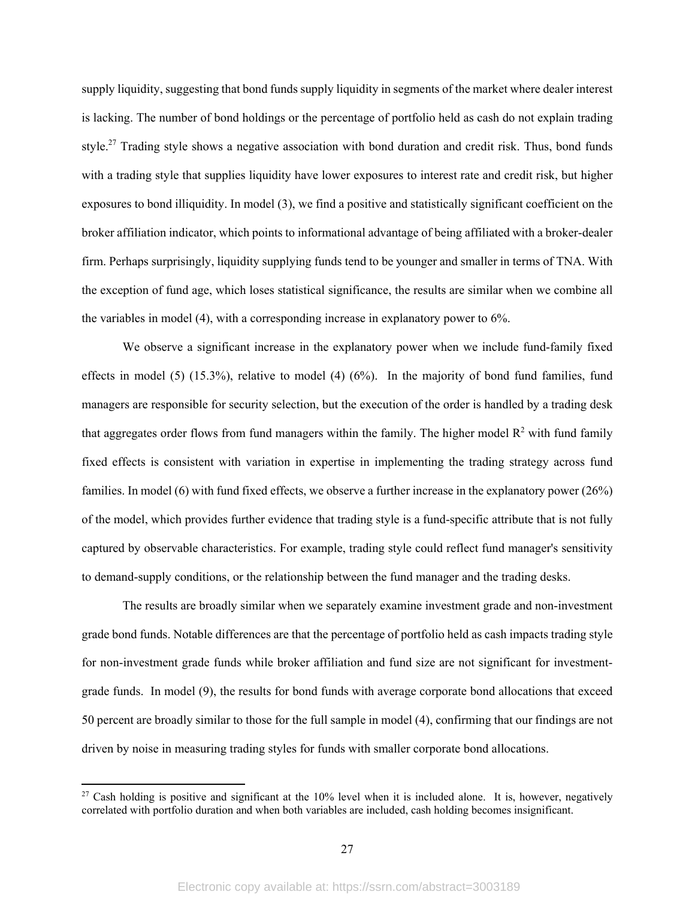supply liquidity, suggesting that bond funds supply liquidity in segments of the market where dealer interest is lacking. The number of bond holdings or the percentage of portfolio held as cash do not explain trading style.<sup>27</sup> Trading style shows a negative association with bond duration and credit risk. Thus, bond funds with a trading style that supplies liquidity have lower exposures to interest rate and credit risk, but higher exposures to bond illiquidity. In model (3), we find a positive and statistically significant coefficient on the broker affiliation indicator, which points to informational advantage of being affiliated with a broker-dealer firm. Perhaps surprisingly, liquidity supplying funds tend to be younger and smaller in terms of TNA. With the exception of fund age, which loses statistical significance, the results are similar when we combine all the variables in model (4), with a corresponding increase in explanatory power to 6%.

We observe a significant increase in the explanatory power when we include fund-family fixed effects in model  $(5)$   $(15.3\%)$ , relative to model  $(4)$   $(6\%)$ . In the majority of bond fund families, fund managers are responsible for security selection, but the execution of the order is handled by a trading desk that aggregates order flows from fund managers within the family. The higher model  $\mathbb{R}^2$  with fund family fixed effects is consistent with variation in expertise in implementing the trading strategy across fund families. In model (6) with fund fixed effects, we observe a further increase in the explanatory power (26%) of the model, which provides further evidence that trading style is a fund-specific attribute that is not fully captured by observable characteristics. For example, trading style could reflect fund manager's sensitivity to demand-supply conditions, or the relationship between the fund manager and the trading desks.

The results are broadly similar when we separately examine investment grade and non-investment grade bond funds. Notable differences are that the percentage of portfolio held as cash impacts trading style for non-investment grade funds while broker affiliation and fund size are not significant for investmentgrade funds. In model (9), the results for bond funds with average corporate bond allocations that exceed 50 percent are broadly similar to those for the full sample in model (4), confirming that our findings are not driven by noise in measuring trading styles for funds with smaller corporate bond allocations.

<sup>&</sup>lt;sup>27</sup> Cash holding is positive and significant at the 10% level when it is included alone. It is, however, negatively correlated with portfolio duration and when both variables are included, cash holding becomes insignificant.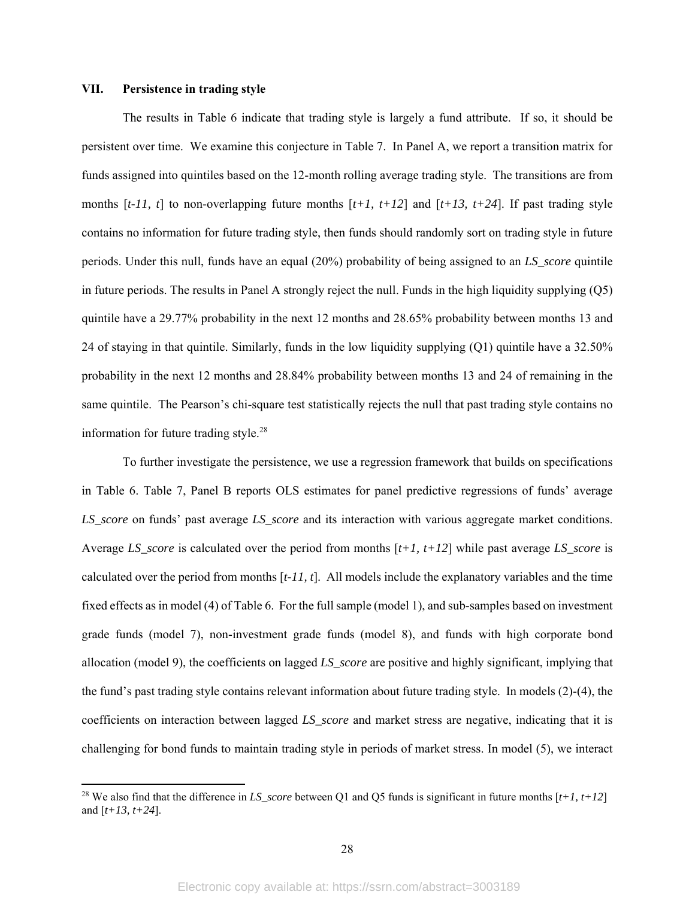## **VII. Persistence in trading style**

The results in Table 6 indicate that trading style is largely a fund attribute. If so, it should be persistent over time. We examine this conjecture in Table 7. In Panel A, we report a transition matrix for funds assigned into quintiles based on the 12-month rolling average trading style. The transitions are from months  $[t-11, t]$  to non-overlapping future months  $[t+1, t+12]$  and  $[t+13, t+24]$ . If past trading style contains no information for future trading style, then funds should randomly sort on trading style in future periods. Under this null, funds have an equal (20%) probability of being assigned to an *LS\_score* quintile in future periods. The results in Panel A strongly reject the null. Funds in the high liquidity supplying (Q5) quintile have a 29.77% probability in the next 12 months and 28.65% probability between months 13 and 24 of staying in that quintile. Similarly, funds in the low liquidity supplying (Q1) quintile have a 32.50% probability in the next 12 months and 28.84% probability between months 13 and 24 of remaining in the same quintile. The Pearson's chi-square test statistically rejects the null that past trading style contains no information for future trading style. $28$ 

To further investigate the persistence, we use a regression framework that builds on specifications in Table 6. Table 7, Panel B reports OLS estimates for panel predictive regressions of funds' average *LS\_score* on funds' past average *LS\_score* and its interaction with various aggregate market conditions. Average *LS\_score* is calculated over the period from months [*t+1, t+12*] while past average *LS\_score* is calculated over the period from months [*t-11, t*]. All models include the explanatory variables and the time fixed effects as in model (4) of Table 6. For the full sample (model 1), and sub-samples based on investment grade funds (model 7), non-investment grade funds (model 8), and funds with high corporate bond allocation (model 9), the coefficients on lagged *LS\_score* are positive and highly significant, implying that the fund's past trading style contains relevant information about future trading style. In models (2)-(4), the coefficients on interaction between lagged *LS\_score* and market stress are negative, indicating that it is challenging for bond funds to maintain trading style in periods of market stress. In model (5), we interact

<sup>28</sup> We also find that the difference in *LS\_score* between Q1 and Q5 funds is significant in future months [*t+1, t+12*] and [*t+13, t+24*].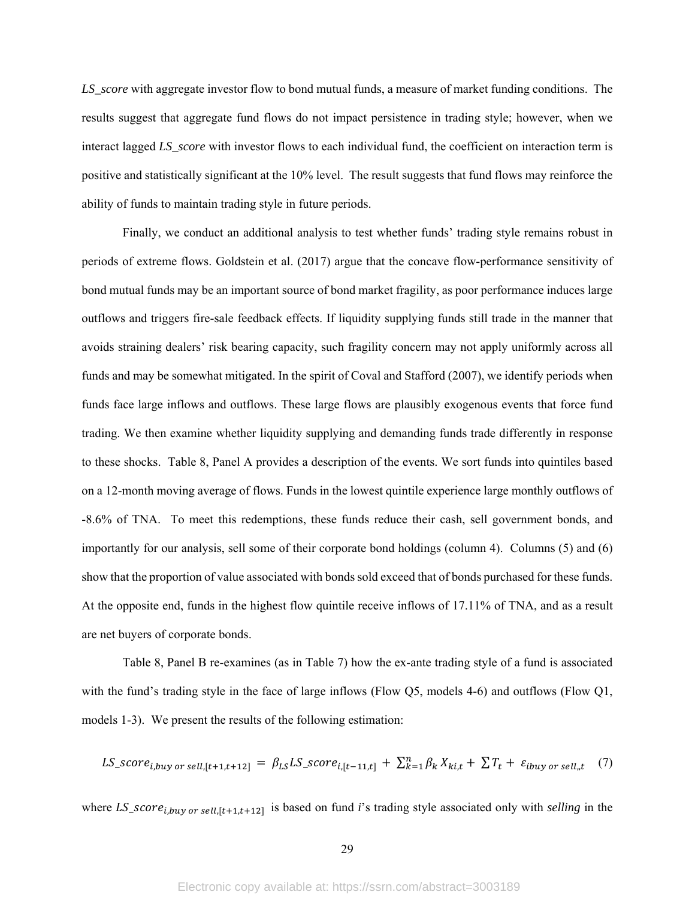*LS\_score* with aggregate investor flow to bond mutual funds, a measure of market funding conditions. The results suggest that aggregate fund flows do not impact persistence in trading style; however, when we interact lagged *LS\_score* with investor flows to each individual fund, the coefficient on interaction term is positive and statistically significant at the 10% level. The result suggests that fund flows may reinforce the ability of funds to maintain trading style in future periods.

Finally, we conduct an additional analysis to test whether funds' trading style remains robust in periods of extreme flows. Goldstein et al. (2017) argue that the concave flow-performance sensitivity of bond mutual funds may be an important source of bond market fragility, as poor performance induces large outflows and triggers fire-sale feedback effects. If liquidity supplying funds still trade in the manner that avoids straining dealers' risk bearing capacity, such fragility concern may not apply uniformly across all funds and may be somewhat mitigated. In the spirit of Coval and Stafford (2007), we identify periods when funds face large inflows and outflows. These large flows are plausibly exogenous events that force fund trading. We then examine whether liquidity supplying and demanding funds trade differently in response to these shocks. Table 8, Panel A provides a description of the events. We sort funds into quintiles based on a 12-month moving average of flows. Funds in the lowest quintile experience large monthly outflows of -8.6% of TNA. To meet this redemptions, these funds reduce their cash, sell government bonds, and importantly for our analysis, sell some of their corporate bond holdings (column 4). Columns (5) and (6) show that the proportion of value associated with bonds sold exceed that of bonds purchased for these funds. At the opposite end, funds in the highest flow quintile receive inflows of 17.11% of TNA, and as a result are net buyers of corporate bonds.

Table 8, Panel B re-examines (as in Table 7) how the ex-ante trading style of a fund is associated with the fund's trading style in the face of large inflows (Flow Q5, models 4-6) and outflows (Flow Q1, models 1-3). We present the results of the following estimation:

LS\_score<sub>i,buy</sub> or sell,[t+1,t+12] =  $\beta_{LS} LS$ \_score<sub>i,[t-11,t]</sub> +  $\sum_{k=1}^{n} \beta_k X_{ki,t} + \sum T_t + \varepsilon_{ibuy}$  or sell<sub>n</sub>t (7)

where  $LS\_score_{i,buy\ or\ sell, [t+1,t+12]}$  is based on fund *i*'s trading style associated only with *selling* in the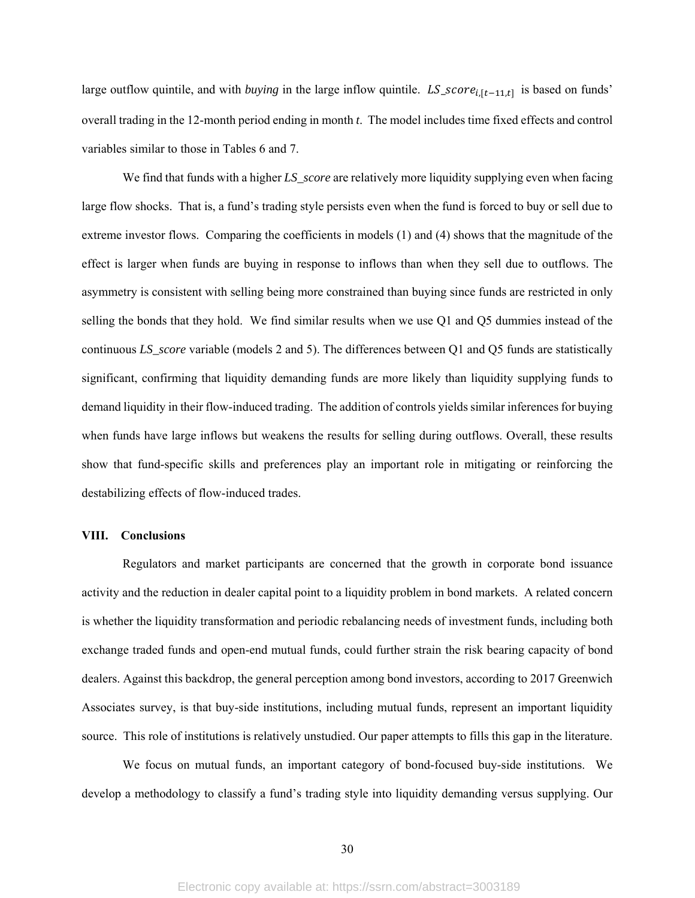large outflow quintile, and with *buying* in the large inflow quintile.  $LS\_score_{i,[t-11,t]}$  is based on funds' overall trading in the 12-month period ending in month *t*. The model includes time fixed effects and control variables similar to those in Tables 6 and 7.

We find that funds with a higher *LS\_score* are relatively more liquidity supplying even when facing large flow shocks. That is, a fund's trading style persists even when the fund is forced to buy or sell due to extreme investor flows. Comparing the coefficients in models (1) and (4) shows that the magnitude of the effect is larger when funds are buying in response to inflows than when they sell due to outflows. The asymmetry is consistent with selling being more constrained than buying since funds are restricted in only selling the bonds that they hold. We find similar results when we use Q1 and Q5 dummies instead of the continuous *LS\_score* variable (models 2 and 5). The differences between Q1 and Q5 funds are statistically significant, confirming that liquidity demanding funds are more likely than liquidity supplying funds to demand liquidity in their flow-induced trading. The addition of controls yields similar inferences for buying when funds have large inflows but weakens the results for selling during outflows. Overall, these results show that fund-specific skills and preferences play an important role in mitigating or reinforcing the destabilizing effects of flow-induced trades.

## **VIII. Conclusions**

Regulators and market participants are concerned that the growth in corporate bond issuance activity and the reduction in dealer capital point to a liquidity problem in bond markets. A related concern is whether the liquidity transformation and periodic rebalancing needs of investment funds, including both exchange traded funds and open-end mutual funds, could further strain the risk bearing capacity of bond dealers. Against this backdrop, the general perception among bond investors, according to 2017 Greenwich Associates survey, is that buy-side institutions, including mutual funds, represent an important liquidity source. This role of institutions is relatively unstudied. Our paper attempts to fills this gap in the literature.

We focus on mutual funds, an important category of bond-focused buy-side institutions. We develop a methodology to classify a fund's trading style into liquidity demanding versus supplying. Our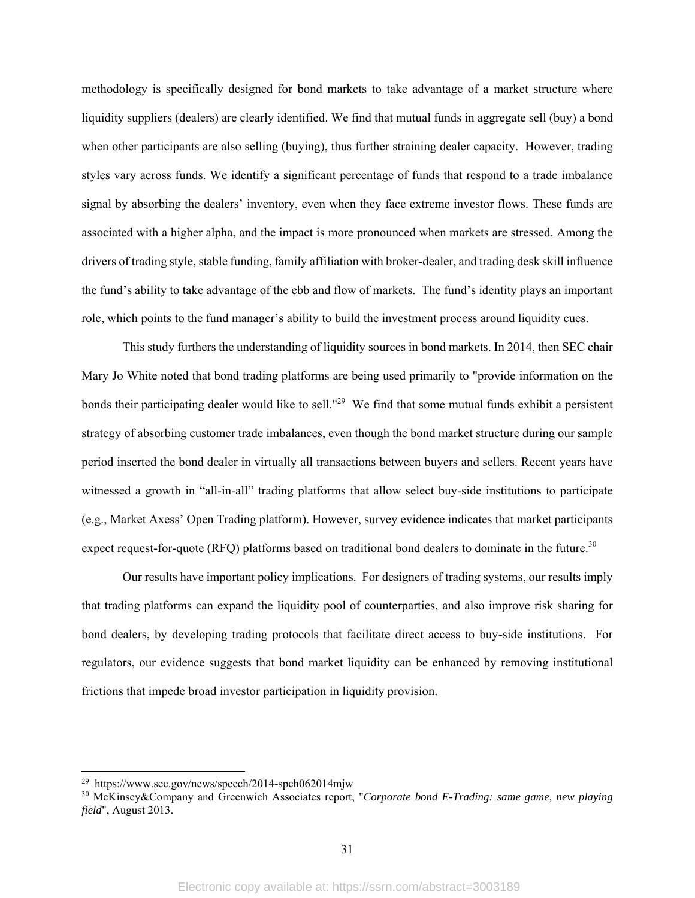methodology is specifically designed for bond markets to take advantage of a market structure where liquidity suppliers (dealers) are clearly identified. We find that mutual funds in aggregate sell (buy) a bond when other participants are also selling (buying), thus further straining dealer capacity. However, trading styles vary across funds. We identify a significant percentage of funds that respond to a trade imbalance signal by absorbing the dealers' inventory, even when they face extreme investor flows. These funds are associated with a higher alpha, and the impact is more pronounced when markets are stressed. Among the drivers of trading style, stable funding, family affiliation with broker-dealer, and trading desk skill influence the fund's ability to take advantage of the ebb and flow of markets. The fund's identity plays an important role, which points to the fund manager's ability to build the investment process around liquidity cues.

This study furthers the understanding of liquidity sources in bond markets. In 2014, then SEC chair Mary Jo White noted that bond trading platforms are being used primarily to "provide information on the bonds their participating dealer would like to sell."<sup>29</sup> We find that some mutual funds exhibit a persistent strategy of absorbing customer trade imbalances, even though the bond market structure during our sample period inserted the bond dealer in virtually all transactions between buyers and sellers. Recent years have witnessed a growth in "all-in-all" trading platforms that allow select buy-side institutions to participate (e.g., Market Axess' Open Trading platform). However, survey evidence indicates that market participants expect request-for-quote (RFQ) platforms based on traditional bond dealers to dominate in the future.<sup>30</sup>

Our results have important policy implications. For designers of trading systems, our results imply that trading platforms can expand the liquidity pool of counterparties, and also improve risk sharing for bond dealers, by developing trading protocols that facilitate direct access to buy-side institutions. For regulators, our evidence suggests that bond market liquidity can be enhanced by removing institutional frictions that impede broad investor participation in liquidity provision.

 $^{29}$  https://www.sec.gov/news/speech/2014-spch062014mjw

<sup>30</sup> McKinsey&Company and Greenwich Associates report, "*Corporate bond E-Trading: same game, new playing field*", August 2013.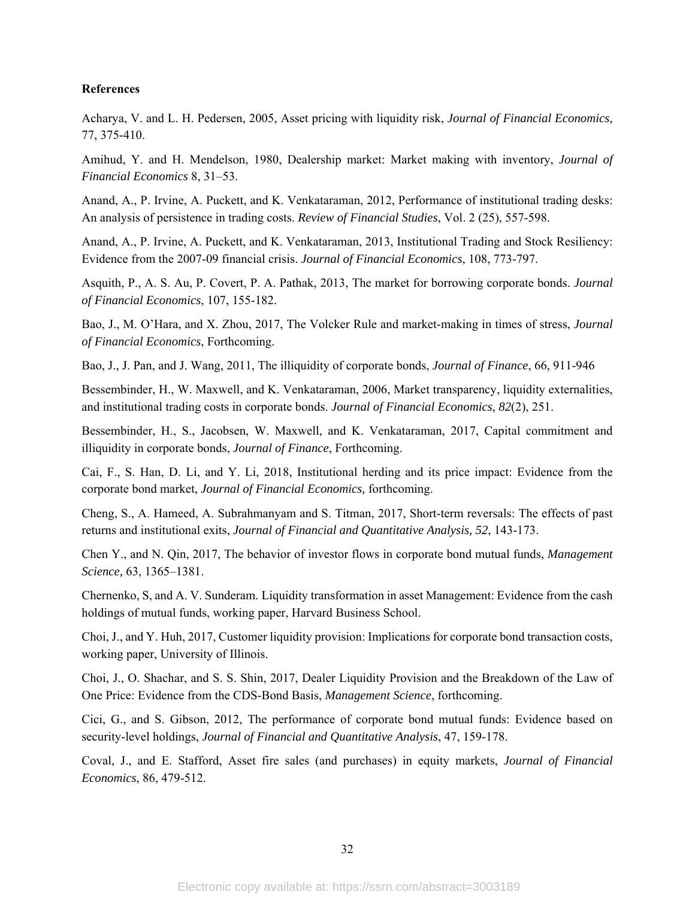## **References**

Acharya, V. and L. H. Pedersen, 2005, Asset pricing with liquidity risk, *Journal of Financial Economics,* 77, 375-410.

Amihud, Y. and H. Mendelson, 1980, Dealership market: Market making with inventory, *Journal of Financial Economics* 8, 31–53.

Anand, A., P. Irvine, A. Puckett, and K. Venkataraman, 2012, Performance of institutional trading desks: An analysis of persistence in trading costs. *Review of Financial Studies*, Vol. 2 (25), 557-598.

Anand, A., P. Irvine, A. Puckett, and K. Venkataraman, 2013, Institutional Trading and Stock Resiliency: Evidence from the 2007-09 financial crisis. *Journal of Financial Economics*, 108, 773-797.

Asquith, P., A. S. Au, P. Covert, P. A. Pathak, 2013, The market for borrowing corporate bonds. *Journal of Financial Economics*, 107, 155-182.

Bao, J., M. O'Hara, and X. Zhou, 2017, The Volcker Rule and market-making in times of stress, *Journal of Financial Economics*, Forthcoming.

Bao, J., J. Pan, and J. Wang, 2011, The illiquidity of corporate bonds, *Journal of Finance*, 66, 911-946

Bessembinder, H., W. Maxwell, and K. Venkataraman, 2006, Market transparency, liquidity externalities, and institutional trading costs in corporate bonds. *Journal of Financial Economics, 82*(2), 251.

Bessembinder, H., S., Jacobsen, W. Maxwell, and K. Venkataraman, 2017, Capital commitment and illiquidity in corporate bonds, *Journal of Finance*, Forthcoming.

Cai, F., S. Han, D. Li, and Y. Li, 2018, Institutional herding and its price impact: Evidence from the corporate bond market, *Journal of Financial Economics,* forthcoming.

Cheng, S., A. Hameed, A. Subrahmanyam and S. Titman, 2017, Short-term reversals: The effects of past returns and institutional exits, *Journal of Financial and Quantitative Analysis, 52*, 143-173.

Chen Y., and N. Qin, 2017, The behavior of investor flows in corporate bond mutual funds, *Management Science,* 63, 1365–1381.

Chernenko, S, and A. V. Sunderam. Liquidity transformation in asset Management: Evidence from the cash holdings of mutual funds, working paper, Harvard Business School.

Choi, J., and Y. Huh, 2017, Customer liquidity provision: Implications for corporate bond transaction costs, working paper, University of Illinois.

Choi, J., O. Shachar, and S. S. Shin, 2017, Dealer Liquidity Provision and the Breakdown of the Law of One Price: Evidence from the CDS-Bond Basis, *Management Science*, forthcoming.

Cici, G., and S. Gibson, 2012, The performance of corporate bond mutual funds: Evidence based on security-level holdings, *Journal of Financial and Quantitative Analysis*, 47, 159-178.

Coval, J., and E. Stafford, Asset fire sales (and purchases) in equity markets, *Journal of Financial Economics*, 86, 479-512.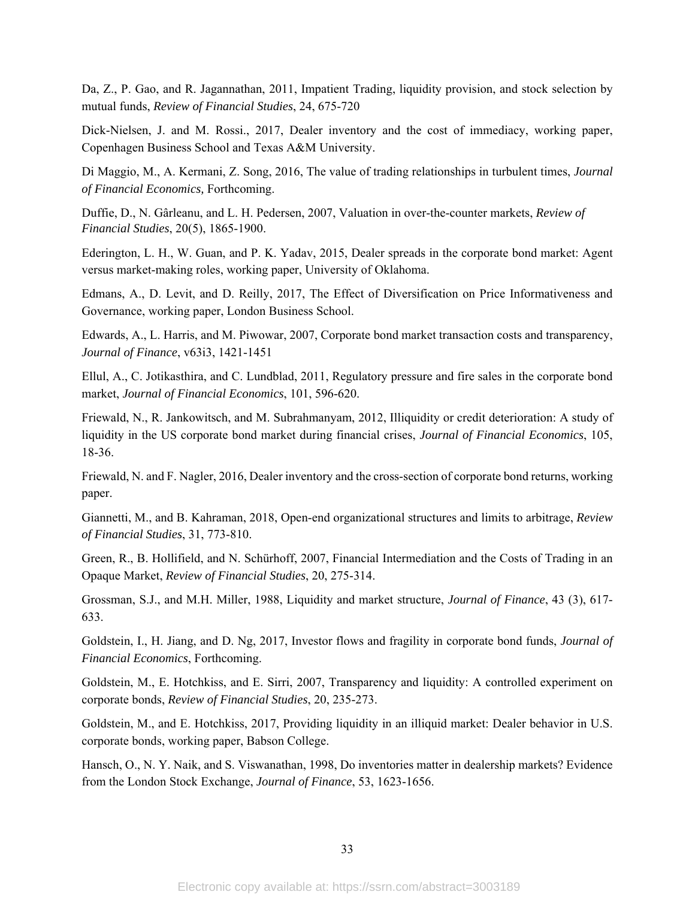Da, Z., P. Gao, and R. Jagannathan, 2011, Impatient Trading, liquidity provision, and stock selection by mutual funds, *Review of Financial Studies*, 24, 675-720

Dick-Nielsen, J. and M. Rossi., 2017, Dealer inventory and the cost of immediacy, working paper, Copenhagen Business School and Texas A&M University.

Di Maggio, M., A. Kermani, Z. Song, 2016, The value of trading relationships in turbulent times, *Journal of Financial Economics,* Forthcoming.

Duffie, D., N. Gârleanu, and L. H. Pedersen, 2007, Valuation in over-the-counter markets, *Review of Financial Studies*, 20(5), 1865-1900.

Ederington, L. H., W. Guan, and P. K. Yadav, 2015, Dealer spreads in the corporate bond market: Agent versus market-making roles, working paper, University of Oklahoma.

Edmans, A., D. Levit, and D. Reilly, 2017, The Effect of Diversification on Price Informativeness and Governance, working paper, London Business School.

Edwards, A., L. Harris, and M. Piwowar, 2007, Corporate bond market transaction costs and transparency, *Journal of Finance*, v63i3, 1421-1451

Ellul, A., C. Jotikasthira, and C. Lundblad, 2011, Regulatory pressure and fire sales in the corporate bond market, *Journal of Financial Economics*, 101, 596-620.

Friewald, N., R. Jankowitsch, and M. Subrahmanyam, 2012, Illiquidity or credit deterioration: A study of liquidity in the US corporate bond market during financial crises, *Journal of Financial Economics*, 105, 18-36.

Friewald, N. and F. Nagler, 2016, Dealer inventory and the cross-section of corporate bond returns, working paper.

Giannetti, M., and B. Kahraman, 2018, Open-end organizational structures and limits to arbitrage, *Review of Financial Studies*, 31, 773-810.

Green, R., B. Hollifield, and N. Schürhoff, 2007, Financial Intermediation and the Costs of Trading in an Opaque Market, *Review of Financial Studies*, 20, 275-314.

Grossman, S.J., and M.H. Miller, 1988, Liquidity and market structure, *Journal of Finance*, 43 (3), 617- 633.

Goldstein, I., H. Jiang, and D. Ng, 2017, Investor flows and fragility in corporate bond funds, *Journal of Financial Economics*, Forthcoming.

Goldstein, M., E. Hotchkiss, and E. Sirri, 2007, Transparency and liquidity: A controlled experiment on corporate bonds, *Review of Financial Studies*, 20, 235-273.

Goldstein, M., and E. Hotchkiss, 2017, Providing liquidity in an illiquid market: Dealer behavior in U.S. corporate bonds, working paper, Babson College.

Hansch, O., N. Y. Naik, and S. Viswanathan, 1998, Do inventories matter in dealership markets? Evidence from the London Stock Exchange, *Journal of Finance*, 53, 1623-1656.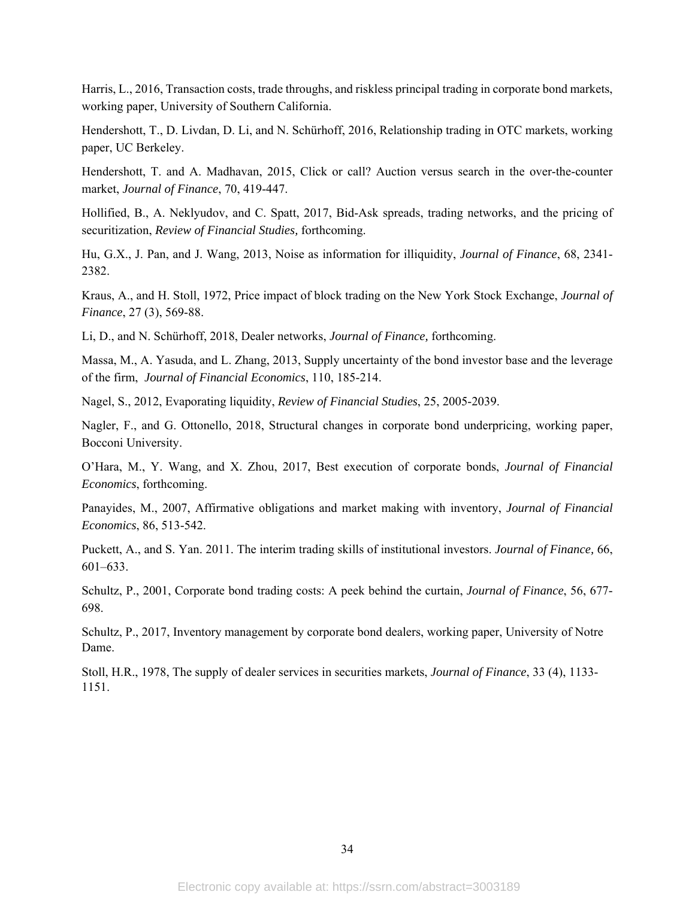Harris, L., 2016, Transaction costs, trade throughs, and riskless principal trading in corporate bond markets, working paper, University of Southern California.

Hendershott, T., D. Livdan, D. Li, and N. Schürhoff, 2016, Relationship trading in OTC markets, working paper, UC Berkeley.

Hendershott, T. and A. Madhavan, 2015, Click or call? Auction versus search in the over-the-counter market, *Journal of Finance*, 70, 419-447.

Hollified, B., A. Neklyudov, and C. Spatt, 2017, Bid-Ask spreads, trading networks, and the pricing of securitization, *Review of Financial Studies,* forthcoming.

Hu, G.X., J. Pan, and J. Wang, 2013, Noise as information for illiquidity, *Journal of Finance*, 68, 2341- 2382.

Kraus, A., and H. Stoll, 1972, Price impact of block trading on the New York Stock Exchange, *Journal of Finance*, 27 (3), 569-88.

Li, D., and N. Schürhoff, 2018, Dealer networks, *Journal of Finance,* forthcoming.

Massa, M., A. Yasuda, and L. Zhang, 2013, Supply uncertainty of the bond investor base and the leverage of the firm, *Journal of Financial Economics*, 110, 185-214.

Nagel, S., 2012, Evaporating liquidity, *Review of Financial Studies*, 25, 2005-2039.

Nagler, F., and G. Ottonello, 2018, Structural changes in corporate bond underpricing, working paper, Bocconi University.

O'Hara, M., Y. Wang, and X. Zhou, 2017, Best execution of corporate bonds, *Journal of Financial Economics*, forthcoming.

Panayides, M., 2007, Affirmative obligations and market making with inventory, *Journal of Financial Economics*, 86, 513-542.

Puckett, A., and S. Yan. 2011. The interim trading skills of institutional investors. *Journal of Finance,* 66, 601–633.

Schultz, P., 2001, Corporate bond trading costs: A peek behind the curtain, *Journal of Finance*, 56, 677- 698.

Schultz, P., 2017, Inventory management by corporate bond dealers, working paper, University of Notre Dame.

Stoll, H.R., 1978, The supply of dealer services in securities markets, *Journal of Finance*, 33 (4), 1133- 1151.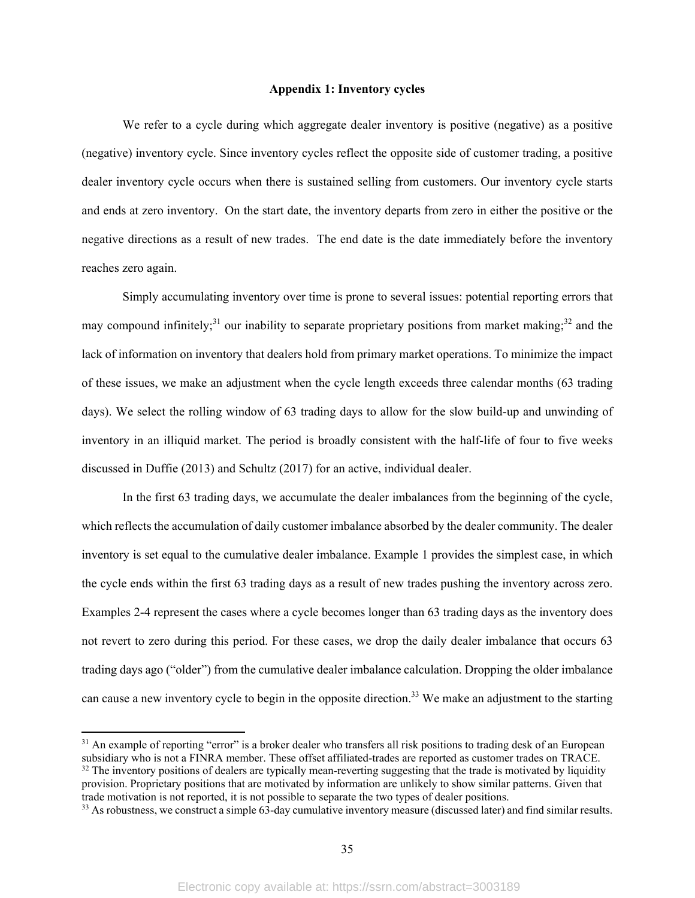## **Appendix 1: Inventory cycles**

We refer to a cycle during which aggregate dealer inventory is positive (negative) as a positive (negative) inventory cycle. Since inventory cycles reflect the opposite side of customer trading, a positive dealer inventory cycle occurs when there is sustained selling from customers. Our inventory cycle starts and ends at zero inventory. On the start date, the inventory departs from zero in either the positive or the negative directions as a result of new trades. The end date is the date immediately before the inventory reaches zero again.

Simply accumulating inventory over time is prone to several issues: potential reporting errors that may compound infinitely;<sup>31</sup> our inability to separate proprietary positions from market making;<sup>32</sup> and the lack of information on inventory that dealers hold from primary market operations. To minimize the impact of these issues, we make an adjustment when the cycle length exceeds three calendar months (63 trading days). We select the rolling window of 63 trading days to allow for the slow build-up and unwinding of inventory in an illiquid market. The period is broadly consistent with the half-life of four to five weeks discussed in Duffie (2013) and Schultz (2017) for an active, individual dealer.

In the first 63 trading days, we accumulate the dealer imbalances from the beginning of the cycle, which reflects the accumulation of daily customer imbalance absorbed by the dealer community. The dealer inventory is set equal to the cumulative dealer imbalance. Example 1 provides the simplest case, in which the cycle ends within the first 63 trading days as a result of new trades pushing the inventory across zero. Examples 2-4 represent the cases where a cycle becomes longer than 63 trading days as the inventory does not revert to zero during this period. For these cases, we drop the daily dealer imbalance that occurs 63 trading days ago ("older") from the cumulative dealer imbalance calculation. Dropping the older imbalance can cause a new inventory cycle to begin in the opposite direction.<sup>33</sup> We make an adjustment to the starting

 $31$  An example of reporting "error" is a broker dealer who transfers all risk positions to trading desk of an European subsidiary who is not a FINRA member. These offset affiliated-trades are reported as customer trades on TRACE. <sup>32</sup> The inventory positions of dealers are typically mean-reverting suggesting that the trade is motivated by liquidity provision. Proprietary positions that are motivated by information are unlikely to show similar patterns. Given that trade motivation is not reported, it is not possible to separate the two types of dealer positions.

<sup>&</sup>lt;sup>33</sup> As robustness, we construct a simple 63-day cumulative inventory measure (discussed later) and find similar results.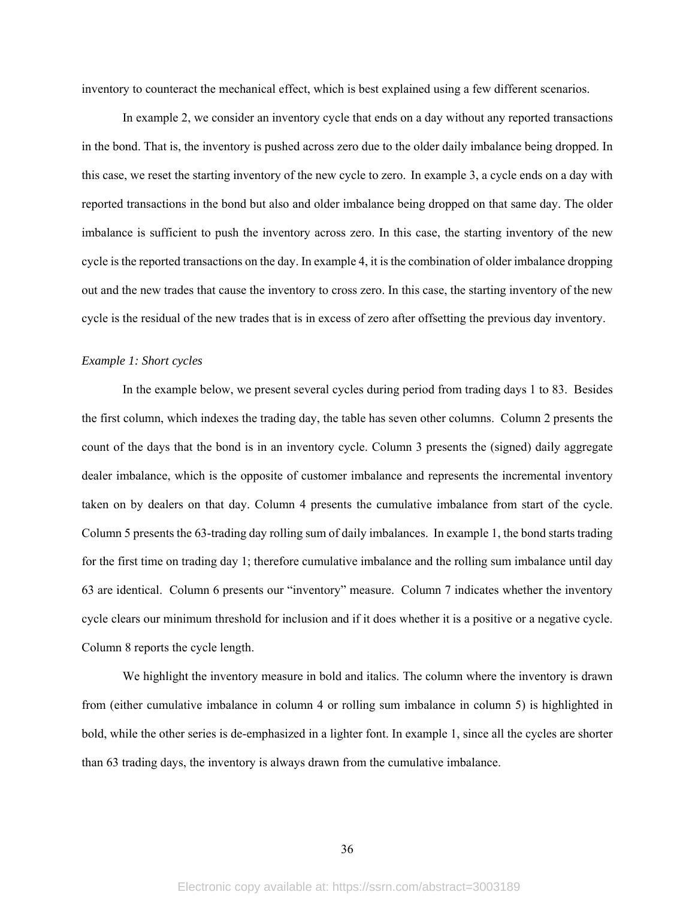inventory to counteract the mechanical effect, which is best explained using a few different scenarios.

In example 2, we consider an inventory cycle that ends on a day without any reported transactions in the bond. That is, the inventory is pushed across zero due to the older daily imbalance being dropped. In this case, we reset the starting inventory of the new cycle to zero. In example 3, a cycle ends on a day with reported transactions in the bond but also and older imbalance being dropped on that same day. The older imbalance is sufficient to push the inventory across zero. In this case, the starting inventory of the new cycle is the reported transactions on the day. In example 4, it is the combination of older imbalance dropping out and the new trades that cause the inventory to cross zero. In this case, the starting inventory of the new cycle is the residual of the new trades that is in excess of zero after offsetting the previous day inventory.

## *Example 1: Short cycles*

In the example below, we present several cycles during period from trading days 1 to 83. Besides the first column, which indexes the trading day, the table has seven other columns. Column 2 presents the count of the days that the bond is in an inventory cycle. Column 3 presents the (signed) daily aggregate dealer imbalance, which is the opposite of customer imbalance and represents the incremental inventory taken on by dealers on that day. Column 4 presents the cumulative imbalance from start of the cycle. Column 5 presents the 63-trading day rolling sum of daily imbalances. In example 1, the bond starts trading for the first time on trading day 1; therefore cumulative imbalance and the rolling sum imbalance until day 63 are identical. Column 6 presents our "inventory" measure. Column 7 indicates whether the inventory cycle clears our minimum threshold for inclusion and if it does whether it is a positive or a negative cycle. Column 8 reports the cycle length.

We highlight the inventory measure in bold and italics. The column where the inventory is drawn from (either cumulative imbalance in column 4 or rolling sum imbalance in column 5) is highlighted in bold, while the other series is de-emphasized in a lighter font. In example 1, since all the cycles are shorter than 63 trading days, the inventory is always drawn from the cumulative imbalance.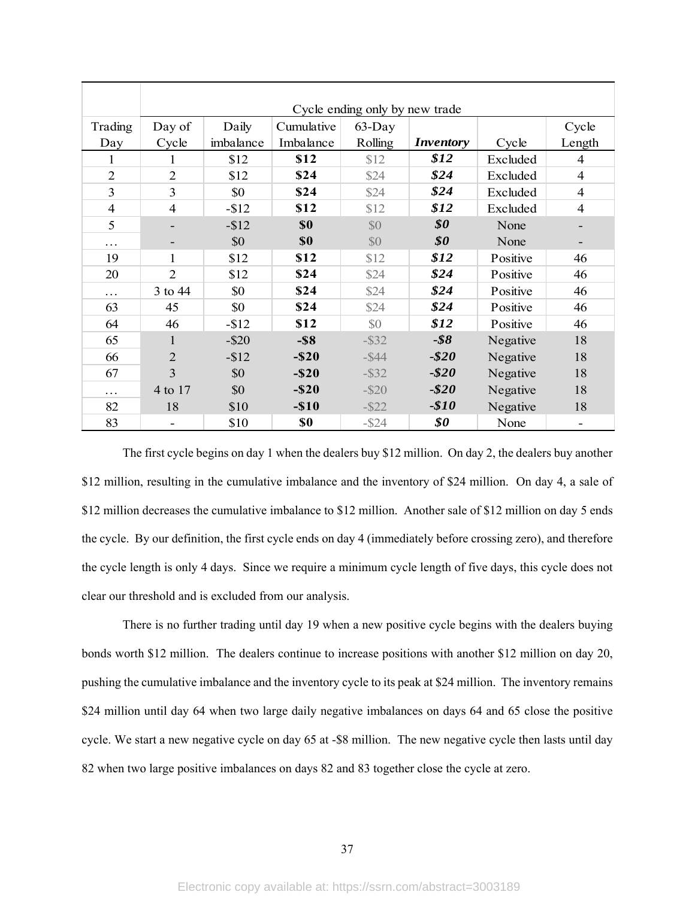|                | Cycle ending only by new trade |           |            |           |                                                   |          |                |  |  |  |  |
|----------------|--------------------------------|-----------|------------|-----------|---------------------------------------------------|----------|----------------|--|--|--|--|
| Trading        | Day of                         | Daily     | Cumulative | $63$ -Day |                                                   |          | Cycle          |  |  |  |  |
| Day            | Cycle                          | imbalance | Imbalance  | Rolling   | <i>Inventory</i>                                  | Cycle    | Length         |  |  |  |  |
| 1              | 1                              | \$12      | \$12       | \$12      | \$12                                              | Excluded | 4              |  |  |  |  |
| $\overline{2}$ | $\overline{2}$                 | \$12      | \$24       | \$24      | \$24                                              | Excluded | $\overline{4}$ |  |  |  |  |
| 3              | 3                              | \$0       | \$24       | \$24      | \$24                                              | Excluded | $\overline{4}$ |  |  |  |  |
| $\overline{4}$ | $\overline{4}$                 | $-$ \$12  | \$12       | \$12      | \$12                                              | Excluded | 4              |  |  |  |  |
| 5              |                                | $- $12$   | \$0        | \$0       | $\boldsymbol{\mathcal{S}}\boldsymbol{\mathit{0}}$ | None     |                |  |  |  |  |
| .              |                                | \$0       | \$0        | \$0       | \$0\$                                             | None     |                |  |  |  |  |
| 19             | 1                              | \$12      | \$12       | \$12      | \$12                                              | Positive | 46             |  |  |  |  |
| 20             | $\overline{2}$                 | \$12      | \$24       | \$24      | \$24                                              | Positive | 46             |  |  |  |  |
| .              | 3 to 44                        | \$0       | \$24       | \$24      | \$24                                              | Positive | 46             |  |  |  |  |
| 63             | 45                             | \$0       | \$24       | \$24      | \$24                                              | Positive | 46             |  |  |  |  |
| 64             | 46                             | $-$ \$12  | \$12       | \$0       | \$12                                              | Positive | 46             |  |  |  |  |
| 65             |                                | $-$ \$20  | $-$ \$8    | $-$ \$32  | $-$ \$8                                           | Negative | 18             |  |  |  |  |
| 66             | $\overline{2}$                 | $-$12$    | $-$ \$20   | $-S44$    | $- $20$                                           | Negative | 18             |  |  |  |  |
| 67             | 3                              | \$0       | $-$ \$20   | $-$ \$32  | $- $20$                                           | Negative | 18             |  |  |  |  |
| .              | 4 to 17                        | \$0       | $-$ \$20   | $-$ \$20  | $- $20$                                           | Negative | 18             |  |  |  |  |
| 82             | 18                             | \$10      | $-$ \$10   | $-$ \$22  | $-$10$                                            | Negative | 18             |  |  |  |  |
| 83             |                                | \$10      | \$0        | $-$ \$24  | \$0                                               | None     |                |  |  |  |  |

 The first cycle begins on day 1 when the dealers buy \$12 million. On day 2, the dealers buy another \$12 million, resulting in the cumulative imbalance and the inventory of \$24 million. On day 4, a sale of \$12 million decreases the cumulative imbalance to \$12 million. Another sale of \$12 million on day 5 ends the cycle. By our definition, the first cycle ends on day 4 (immediately before crossing zero), and therefore the cycle length is only 4 days. Since we require a minimum cycle length of five days, this cycle does not clear our threshold and is excluded from our analysis.

There is no further trading until day 19 when a new positive cycle begins with the dealers buying bonds worth \$12 million. The dealers continue to increase positions with another \$12 million on day 20, pushing the cumulative imbalance and the inventory cycle to its peak at \$24 million. The inventory remains \$24 million until day 64 when two large daily negative imbalances on days 64 and 65 close the positive cycle. We start a new negative cycle on day 65 at -\$8 million. The new negative cycle then lasts until day 82 when two large positive imbalances on days 82 and 83 together close the cycle at zero.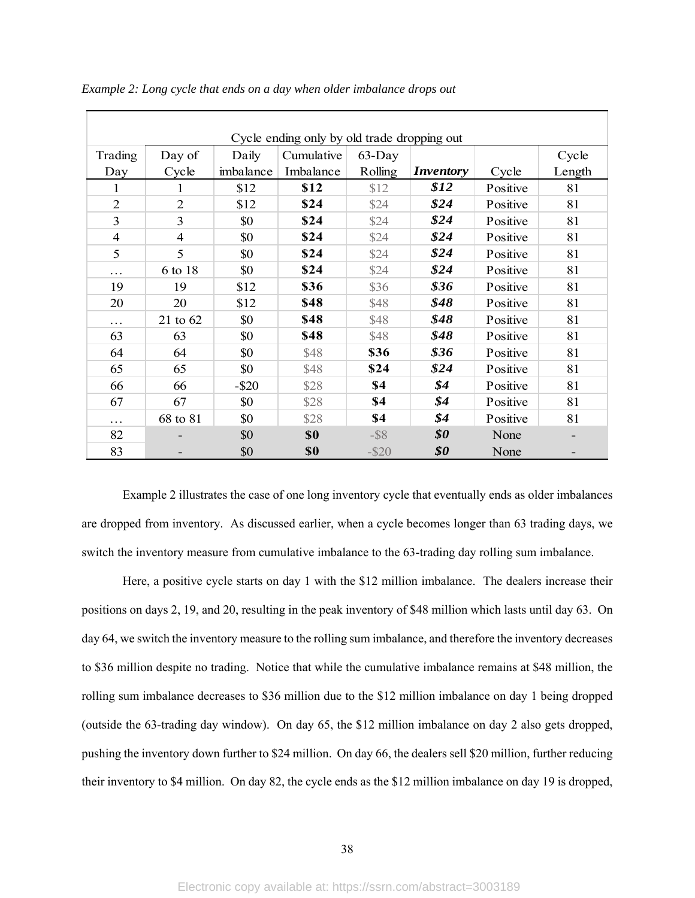| Cycle ending only by old trade dropping out |              |           |            |           |                  |          |        |  |  |  |  |
|---------------------------------------------|--------------|-----------|------------|-----------|------------------|----------|--------|--|--|--|--|
| Trading                                     | Day of       | Daily     | Cumulative | $63$ -Day |                  |          | Cycle  |  |  |  |  |
| Day                                         | Cycle        | imbalance | Imbalance  | Rolling   | <i>Inventory</i> | Cycle    | Length |  |  |  |  |
| 1                                           | 1            | \$12      | \$12       | \$12      | \$12             | Positive | 81     |  |  |  |  |
| $\overline{2}$                              | 2            | \$12      | \$24       | \$24      | \$24             | Positive | 81     |  |  |  |  |
| 3                                           | 3            | \$0       | \$24       | \$24      | \$24             | Positive | 81     |  |  |  |  |
| $\overline{4}$                              | 4            | \$0       | \$24       | \$24      | \$24             | Positive | 81     |  |  |  |  |
| 5                                           | 5            | \$0       | \$24       | \$24      | \$24             | Positive | 81     |  |  |  |  |
| .                                           | 6 to 18      | \$0       | \$24       | \$24      | \$24             | Positive | 81     |  |  |  |  |
| 19                                          | 19           | \$12      | \$36       | \$36      | \$36             | Positive | 81     |  |  |  |  |
| 20                                          | 20           | \$12      | \$48       | \$48      | \$48             | Positive | 81     |  |  |  |  |
| .                                           | $21$ to $62$ | \$0       | \$48       | \$48      | \$48             | Positive | 81     |  |  |  |  |
| 63                                          | 63           | \$0       | \$48       | \$48      | \$48             | Positive | 81     |  |  |  |  |
| 64                                          | 64           | \$0       | \$48       | \$36      | \$36             | Positive | 81     |  |  |  |  |
| 65                                          | 65           | \$0       | \$48       | \$24      | \$24             | Positive | 81     |  |  |  |  |
| 66                                          | 66           | $-$ \$20  | \$28       | \$4       | \$4              | Positive | 81     |  |  |  |  |
| 67                                          | 67           | \$0       | \$28       | \$4       | \$4              | Positive | 81     |  |  |  |  |
| .                                           | 68 to 81     | \$0       | \$28       | \$4       | \$4              | Positive | 81     |  |  |  |  |
| 82                                          |              | \$0       | \$0        | $-$ \$8   | \$0              | None     |        |  |  |  |  |
| 83                                          |              | \$0       | \$0        | $-$ \$20  | \$0              | None     |        |  |  |  |  |

*Example 2: Long cycle that ends on a day when older imbalance drops out* 

Example 2 illustrates the case of one long inventory cycle that eventually ends as older imbalances are dropped from inventory. As discussed earlier, when a cycle becomes longer than 63 trading days, we switch the inventory measure from cumulative imbalance to the 63-trading day rolling sum imbalance.

Here, a positive cycle starts on day 1 with the \$12 million imbalance. The dealers increase their positions on days 2, 19, and 20, resulting in the peak inventory of \$48 million which lasts until day 63. On day 64, we switch the inventory measure to the rolling sum imbalance, and therefore the inventory decreases to \$36 million despite no trading. Notice that while the cumulative imbalance remains at \$48 million, the rolling sum imbalance decreases to \$36 million due to the \$12 million imbalance on day 1 being dropped (outside the 63-trading day window). On day 65, the \$12 million imbalance on day 2 also gets dropped, pushing the inventory down further to \$24 million. On day 66, the dealers sell \$20 million, further reducing their inventory to \$4 million. On day 82, the cycle ends as the \$12 million imbalance on day 19 is dropped,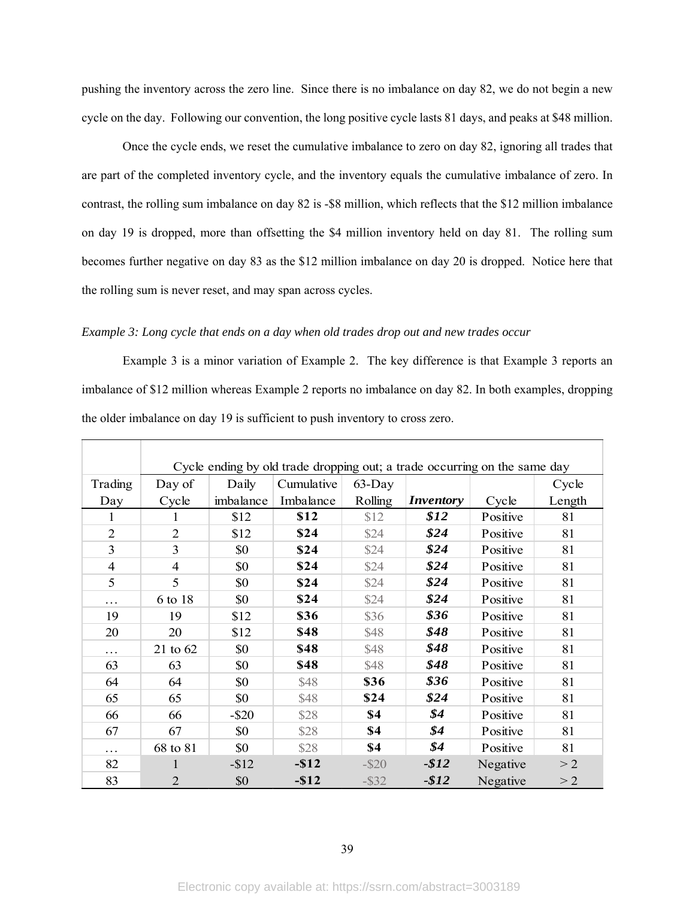pushing the inventory across the zero line. Since there is no imbalance on day 82, we do not begin a new cycle on the day. Following our convention, the long positive cycle lasts 81 days, and peaks at \$48 million.

Once the cycle ends, we reset the cumulative imbalance to zero on day 82, ignoring all trades that are part of the completed inventory cycle, and the inventory equals the cumulative imbalance of zero. In contrast, the rolling sum imbalance on day 82 is -\$8 million, which reflects that the \$12 million imbalance on day 19 is dropped, more than offsetting the \$4 million inventory held on day 81. The rolling sum becomes further negative on day 83 as the \$12 million imbalance on day 20 is dropped. Notice here that the rolling sum is never reset, and may span across cycles.

## *Example 3: Long cycle that ends on a day when old trades drop out and new trades occur*

Example 3 is a minor variation of Example 2. The key difference is that Example 3 reports an imbalance of \$12 million whereas Example 2 reports no imbalance on day 82. In both examples, dropping the older imbalance on day 19 is sufficient to push inventory to cross zero.

|                | Cycle ending by old trade dropping out; a trade occurring on the same day |           |            |          |                  |          |        |  |  |  |  |  |
|----------------|---------------------------------------------------------------------------|-----------|------------|----------|------------------|----------|--------|--|--|--|--|--|
| Trading        | Day of                                                                    | Daily     | Cumulative | 63-Day   |                  |          | Cycle  |  |  |  |  |  |
| Day            | Cycle                                                                     | imbalance | Imbalance  | Rolling  | <i>Inventory</i> | Cycle    | Length |  |  |  |  |  |
| 1              |                                                                           | \$12      | \$12       | \$12     | \$12             | Positive | 81     |  |  |  |  |  |
| $\overline{2}$ | $\overline{2}$                                                            | \$12      | \$24       | \$24     | \$24             | Positive | 81     |  |  |  |  |  |
| 3              | 3                                                                         | \$0       | \$24       | \$24     | \$24             | Positive | 81     |  |  |  |  |  |
| $\overline{4}$ | $\overline{4}$                                                            | \$0       | \$24       | \$24     | \$24             | Positive | 81     |  |  |  |  |  |
| 5              | 5                                                                         | \$0       | \$24       | \$24     | \$24             | Positive | 81     |  |  |  |  |  |
| .              | 6 to 18                                                                   | \$0       | \$24       | \$24     | \$24             | Positive | 81     |  |  |  |  |  |
| 19             | 19                                                                        | \$12      | \$36       | \$36     | \$36             | Positive | 81     |  |  |  |  |  |
| 20             | 20                                                                        | \$12      | \$48       | \$48     | \$48             | Positive | 81     |  |  |  |  |  |
| .              | 21 to 62                                                                  | \$0       | \$48       | \$48     | \$48             | Positive | 81     |  |  |  |  |  |
| 63             | 63                                                                        | \$0       | \$48       | \$48     | \$48             | Positive | 81     |  |  |  |  |  |
| 64             | 64                                                                        | \$0       | \$48       | \$36     | \$36             | Positive | 81     |  |  |  |  |  |
| 65             | 65                                                                        | \$0       | \$48       | \$24     | \$24             | Positive | 81     |  |  |  |  |  |
| 66             | 66                                                                        | $-$ \$20  | \$28       | \$4      | \$4              | Positive | 81     |  |  |  |  |  |
| 67             | 67                                                                        | \$0       | \$28       | \$4      | \$4              | Positive | 81     |  |  |  |  |  |
| .              | 68 to 81                                                                  | \$0       | \$28       | \$4      | \$4              | Positive | 81     |  |  |  |  |  |
| 82             |                                                                           | $-$12$    | $-$12$     | $-$ \$20 | $-$12$           | Negative | >2     |  |  |  |  |  |
| 83             | $\overline{2}$                                                            | \$0       | $-$12$     | $-$ \$32 | $-$12$           | Negative | >2     |  |  |  |  |  |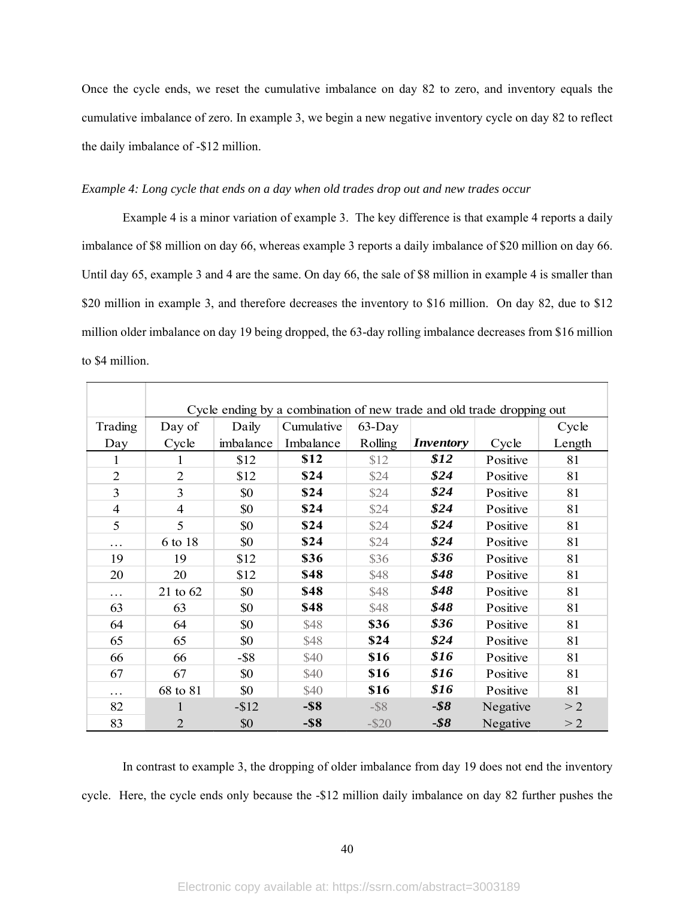Once the cycle ends, we reset the cumulative imbalance on day 82 to zero, and inventory equals the cumulative imbalance of zero. In example 3, we begin a new negative inventory cycle on day 82 to reflect the daily imbalance of -\$12 million.

## *Example 4: Long cycle that ends on a day when old trades drop out and new trades occur*

Example 4 is a minor variation of example 3. The key difference is that example 4 reports a daily imbalance of \$8 million on day 66, whereas example 3 reports a daily imbalance of \$20 million on day 66. Until day 65, example 3 and 4 are the same. On day 66, the sale of \$8 million in example 4 is smaller than \$20 million in example 3, and therefore decreases the inventory to \$16 million. On day 82, due to \$12 million older imbalance on day 19 being dropped, the 63-day rolling imbalance decreases from \$16 million to \$4 million.

|                | Cycle ending by a combination of new trade and old trade dropping out |           |            |          |                  |          |        |  |  |  |  |
|----------------|-----------------------------------------------------------------------|-----------|------------|----------|------------------|----------|--------|--|--|--|--|
| Trading        | Day of                                                                | Daily     | Cumulative | 63-Day   |                  |          | Cycle  |  |  |  |  |
| Day            | Cycle                                                                 | imbalance | Imbalance  | Rolling  | <i>Inventory</i> | Cycle    | Length |  |  |  |  |
| 1              |                                                                       | \$12      | \$12       | \$12     | \$12             | Positive | 81     |  |  |  |  |
| $\overline{2}$ | $\overline{2}$                                                        | \$12      | \$24       | \$24     | \$24             | Positive | 81     |  |  |  |  |
| 3              | 3                                                                     | \$0       | \$24       | \$24     | \$24             | Positive | 81     |  |  |  |  |
| 4              | 4                                                                     | \$0       | \$24       | \$24     | \$24             | Positive | 81     |  |  |  |  |
| 5              | 5                                                                     | \$0       | \$24       | \$24     | \$24             | Positive | 81     |  |  |  |  |
| .              | 6 to 18                                                               | \$0       | \$24       | \$24     | \$24             | Positive | 81     |  |  |  |  |
| 19             | 19                                                                    | \$12      | \$36       | \$36     | \$36             | Positive | 81     |  |  |  |  |
| 20             | 20                                                                    | \$12      | \$48       | \$48     | \$48             | Positive | 81     |  |  |  |  |
| .              | 21 to 62                                                              | \$0       | \$48       | \$48     | \$48             | Positive | 81     |  |  |  |  |
| 63             | 63                                                                    | \$0       | \$48       | \$48     | \$48             | Positive | 81     |  |  |  |  |
| 64             | 64                                                                    | \$0       | \$48       | \$36     | \$36             | Positive | 81     |  |  |  |  |
| 65             | 65                                                                    | \$0       | \$48       | \$24     | \$24             | Positive | 81     |  |  |  |  |
| 66             | 66                                                                    | $-$ \$8   | \$40       | \$16     | \$16             | Positive | 81     |  |  |  |  |
| 67             | 67                                                                    | \$0       | \$40       | \$16     | \$16             | Positive | 81     |  |  |  |  |
| .              | 68 to 81                                                              | \$0       | \$40       | \$16     | \$16             | Positive | 81     |  |  |  |  |
| 82             | 1                                                                     | $-$12$    | $-$ \$8    | $-$ \$8  | $-$ \$8          | Negative | >2     |  |  |  |  |
| 83             | $\overline{2}$                                                        | \$0       | $-$ \$8    | $-$ \$20 | $-$ \$8          | Negative | >2     |  |  |  |  |

In contrast to example 3, the dropping of older imbalance from day 19 does not end the inventory cycle. Here, the cycle ends only because the -\$12 million daily imbalance on day 82 further pushes the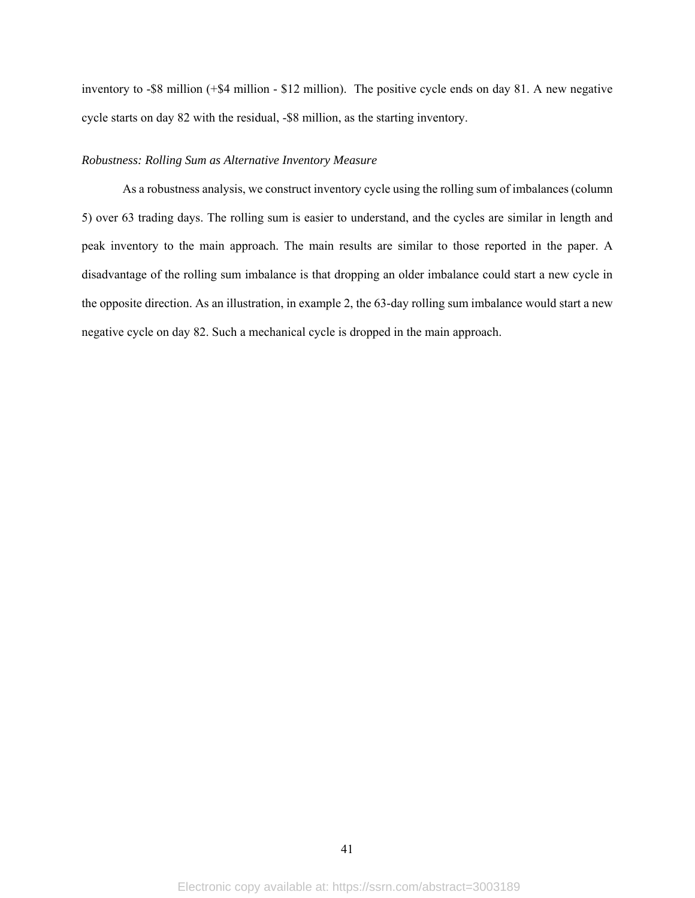inventory to -\$8 million (+\$4 million - \$12 million). The positive cycle ends on day 81. A new negative cycle starts on day 82 with the residual, -\$8 million, as the starting inventory.

## *Robustness: Rolling Sum as Alternative Inventory Measure*

As a robustness analysis, we construct inventory cycle using the rolling sum of imbalances (column 5) over 63 trading days. The rolling sum is easier to understand, and the cycles are similar in length and peak inventory to the main approach. The main results are similar to those reported in the paper. A disadvantage of the rolling sum imbalance is that dropping an older imbalance could start a new cycle in the opposite direction. As an illustration, in example 2, the 63-day rolling sum imbalance would start a new negative cycle on day 82. Such a mechanical cycle is dropped in the main approach.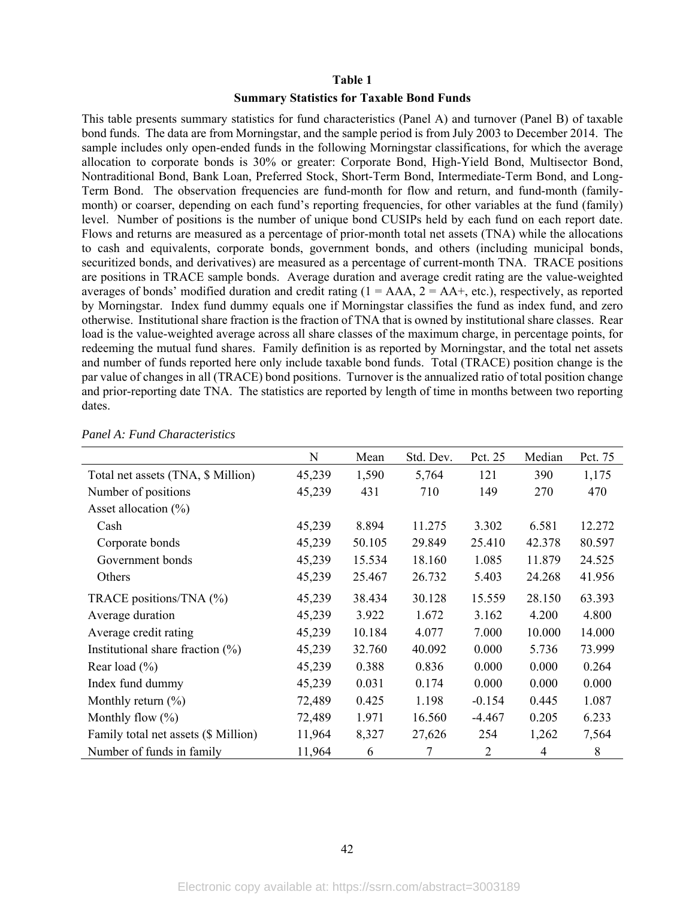## **Table 1**

## **Summary Statistics for Taxable Bond Funds**

This table presents summary statistics for fund characteristics (Panel A) and turnover (Panel B) of taxable bond funds. The data are from Morningstar, and the sample period is from July 2003 to December 2014. The sample includes only open-ended funds in the following Morningstar classifications, for which the average allocation to corporate bonds is 30% or greater: Corporate Bond, High-Yield Bond, Multisector Bond, Nontraditional Bond, Bank Loan, Preferred Stock, Short-Term Bond, Intermediate-Term Bond, and Long-Term Bond. The observation frequencies are fund-month for flow and return, and fund-month (familymonth) or coarser, depending on each fund's reporting frequencies, for other variables at the fund (family) level. Number of positions is the number of unique bond CUSIPs held by each fund on each report date. Flows and returns are measured as a percentage of prior-month total net assets (TNA) while the allocations to cash and equivalents, corporate bonds, government bonds, and others (including municipal bonds, securitized bonds, and derivatives) are measured as a percentage of current-month TNA. TRACE positions are positions in TRACE sample bonds. Average duration and average credit rating are the value-weighted averages of bonds' modified duration and credit rating  $(1 = AAA, 2 = AA+$ , etc.), respectively, as reported by Morningstar. Index fund dummy equals one if Morningstar classifies the fund as index fund, and zero otherwise. Institutional share fraction is the fraction of TNA that is owned by institutional share classes. Rear load is the value-weighted average across all share classes of the maximum charge, in percentage points, for redeeming the mutual fund shares. Family definition is as reported by Morningstar, and the total net assets and number of funds reported here only include taxable bond funds. Total (TRACE) position change is the par value of changes in all (TRACE) bond positions. Turnover is the annualized ratio of total position change and prior-reporting date TNA. The statistics are reported by length of time in months between two reporting dates.

|                                      | N      | Mean   | Std. Dev. | Pct. 25  | Median | Pct. 75 |
|--------------------------------------|--------|--------|-----------|----------|--------|---------|
| Total net assets (TNA, \$ Million)   | 45,239 | 1,590  | 5,764     | 121      | 390    | 1,175   |
| Number of positions                  | 45,239 | 431    | 710       | 149      | 270    | 470     |
| Asset allocation $(\%)$              |        |        |           |          |        |         |
| Cash                                 | 45,239 | 8.894  | 11.275    | 3.302    | 6.581  | 12.272  |
| Corporate bonds                      | 45,239 | 50.105 | 29.849    | 25.410   | 42.378 | 80.597  |
| Government bonds                     | 45,239 | 15.534 | 18.160    | 1.085    | 11.879 | 24.525  |
| Others                               | 45,239 | 25.467 | 26.732    | 5.403    | 24.268 | 41.956  |
| TRACE positions/TNA (%)              | 45,239 | 38.434 | 30.128    | 15.559   | 28.150 | 63.393  |
| Average duration                     | 45,239 | 3.922  | 1.672     | 3.162    | 4.200  | 4.800   |
| Average credit rating                | 45,239 | 10.184 | 4.077     | 7.000    | 10.000 | 14.000  |
| Institutional share fraction $(\%)$  | 45,239 | 32.760 | 40.092    | 0.000    | 5.736  | 73.999  |
| Rear load $(\% )$                    | 45,239 | 0.388  | 0.836     | 0.000    | 0.000  | 0.264   |
| Index fund dummy                     | 45,239 | 0.031  | 0.174     | 0.000    | 0.000  | 0.000   |
| Monthly return $(\% )$               | 72,489 | 0.425  | 1.198     | $-0.154$ | 0.445  | 1.087   |
| Monthly flow $(\% )$                 | 72,489 | 1.971  | 16.560    | $-4.467$ | 0.205  | 6.233   |
| Family total net assets (\$ Million) | 11,964 | 8,327  | 27,626    | 254      | 1,262  | 7,564   |
| Number of funds in family            | 11,964 | 6      | 7         | 2        | 4      | 8       |

*Panel A: Fund Characteristics*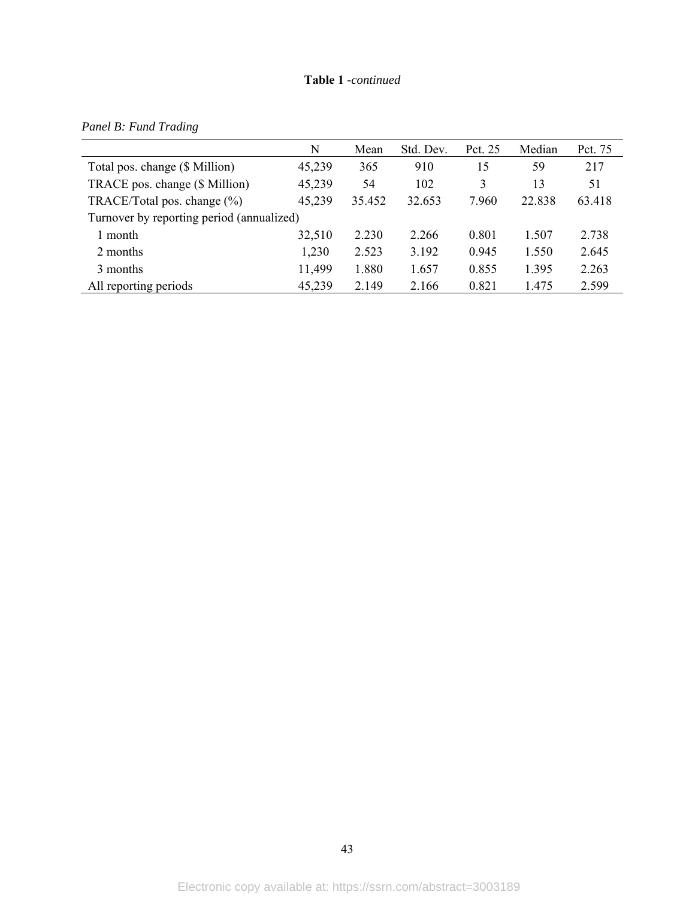## **Table 1** *-continued*

|                                           | N      | Mean   | Std. Dev. | Pct. 25 | Median | Pct. 75 |
|-------------------------------------------|--------|--------|-----------|---------|--------|---------|
| Total pos. change (\$ Million)            | 45,239 | 365    | 910       | 15      | 59     | 217     |
| TRACE pos. change (\$ Million)            | 45,239 | 54     | 102       | 3       | 13     | 51      |
| TRACE/Total pos. change $(\%)$            | 45,239 | 35.452 | 32.653    | 7.960   | 22.838 | 63.418  |
| Turnover by reporting period (annualized) |        |        |           |         |        |         |
| 1 month                                   | 32,510 | 2.230  | 2.266     | 0.801   | 1.507  | 2.738   |
| 2 months                                  | 1,230  | 2.523  | 3.192     | 0.945   | 1.550  | 2.645   |
| 3 months                                  | 11,499 | 1.880  | 1.657     | 0.855   | 1.395  | 2.263   |
| All reporting periods                     | 45,239 | 2.149  | 2.166     | 0.821   | 1.475  | 2.599   |

*Panel B: Fund Trading*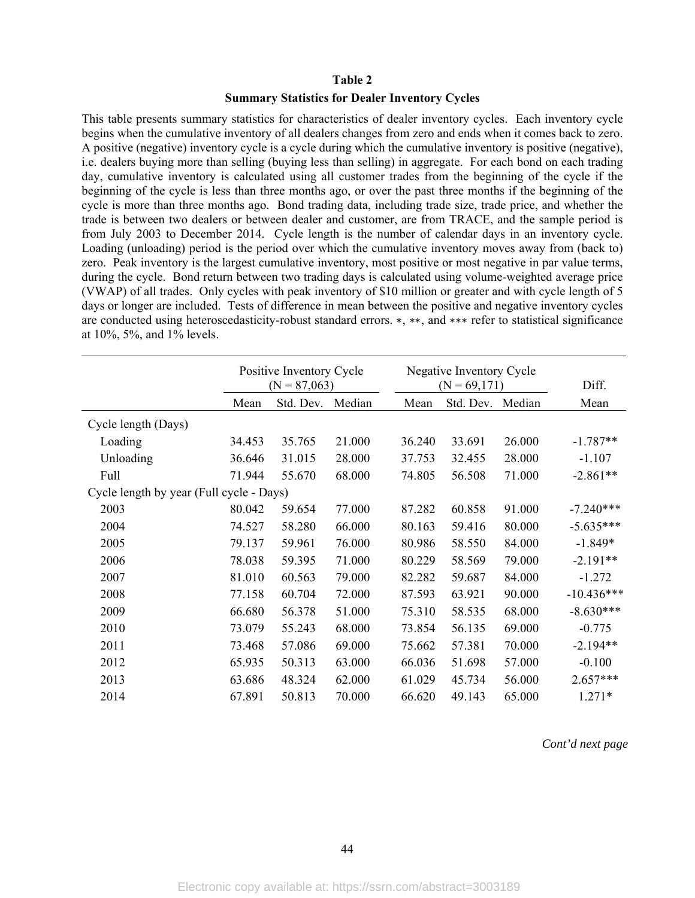## **Table 2**

## **Summary Statistics for Dealer Inventory Cycles**

This table presents summary statistics for characteristics of dealer inventory cycles. Each inventory cycle begins when the cumulative inventory of all dealers changes from zero and ends when it comes back to zero. A positive (negative) inventory cycle is a cycle during which the cumulative inventory is positive (negative), i.e. dealers buying more than selling (buying less than selling) in aggregate. For each bond on each trading day, cumulative inventory is calculated using all customer trades from the beginning of the cycle if the beginning of the cycle is less than three months ago, or over the past three months if the beginning of the cycle is more than three months ago. Bond trading data, including trade size, trade price, and whether the trade is between two dealers or between dealer and customer, are from TRACE, and the sample period is from July 2003 to December 2014. Cycle length is the number of calendar days in an inventory cycle. Loading (unloading) period is the period over which the cumulative inventory moves away from (back to) zero. Peak inventory is the largest cumulative inventory, most positive or most negative in par value terms, during the cycle. Bond return between two trading days is calculated using volume-weighted average price (VWAP) of all trades. Only cycles with peak inventory of \$10 million or greater and with cycle length of 5 days or longer are included. Tests of difference in mean between the positive and negative inventory cycles are conducted using heteroscedasticity-robust standard errors. ∗, ∗∗, and ∗∗∗ refer to statistical significance at 10%, 5%, and 1% levels.

|                                          | Positive Inventory Cycle<br>$(N = 87,063)$ |           |        |        | Negative Inventory Cycle<br>$(N = 69,171)$ |        | Diff.        |  |
|------------------------------------------|--------------------------------------------|-----------|--------|--------|--------------------------------------------|--------|--------------|--|
|                                          | Mean                                       | Std. Dev. | Median | Mean   | Std. Dev.                                  | Median | Mean         |  |
| Cycle length (Days)                      |                                            |           |        |        |                                            |        |              |  |
| Loading                                  | 34.453                                     | 35.765    | 21.000 | 36.240 | 33.691                                     | 26.000 | $-1.787**$   |  |
| Unloading                                | 36.646                                     | 31.015    | 28.000 | 37.753 | 32.455                                     | 28.000 | $-1.107$     |  |
| Full                                     | 71.944                                     | 55.670    | 68.000 | 74.805 | 56.508                                     | 71.000 | $-2.861**$   |  |
| Cycle length by year (Full cycle - Days) |                                            |           |        |        |                                            |        |              |  |
| 2003                                     | 80.042                                     | 59.654    | 77.000 | 87.282 | 60.858                                     | 91.000 | $-7.240***$  |  |
| 2004                                     | 74.527                                     | 58.280    | 66.000 | 80.163 | 59.416                                     | 80.000 | $-5.635***$  |  |
| 2005                                     | 79.137                                     | 59.961    | 76.000 | 80.986 | 58.550                                     | 84.000 | $-1.849*$    |  |
| 2006                                     | 78.038                                     | 59.395    | 71.000 | 80.229 | 58.569                                     | 79.000 | $-2.191**$   |  |
| 2007                                     | 81.010                                     | 60.563    | 79.000 | 82.282 | 59.687                                     | 84.000 | $-1.272$     |  |
| 2008                                     | 77.158                                     | 60.704    | 72.000 | 87.593 | 63.921                                     | 90.000 | $-10.436***$ |  |
| 2009                                     | 66.680                                     | 56.378    | 51.000 | 75.310 | 58.535                                     | 68.000 | $-8.630***$  |  |
| 2010                                     | 73.079                                     | 55.243    | 68.000 | 73.854 | 56.135                                     | 69.000 | $-0.775$     |  |
| 2011                                     | 73.468                                     | 57.086    | 69.000 | 75.662 | 57.381                                     | 70.000 | $-2.194**$   |  |
| 2012                                     | 65.935                                     | 50.313    | 63.000 | 66.036 | 51.698                                     | 57.000 | $-0.100$     |  |
| 2013                                     | 63.686                                     | 48.324    | 62.000 | 61.029 | 45.734                                     | 56.000 | $2.657***$   |  |
| 2014                                     | 67.891                                     | 50.813    | 70.000 | 66.620 | 49.143                                     | 65.000 | $1.271*$     |  |

*Cont'd next page*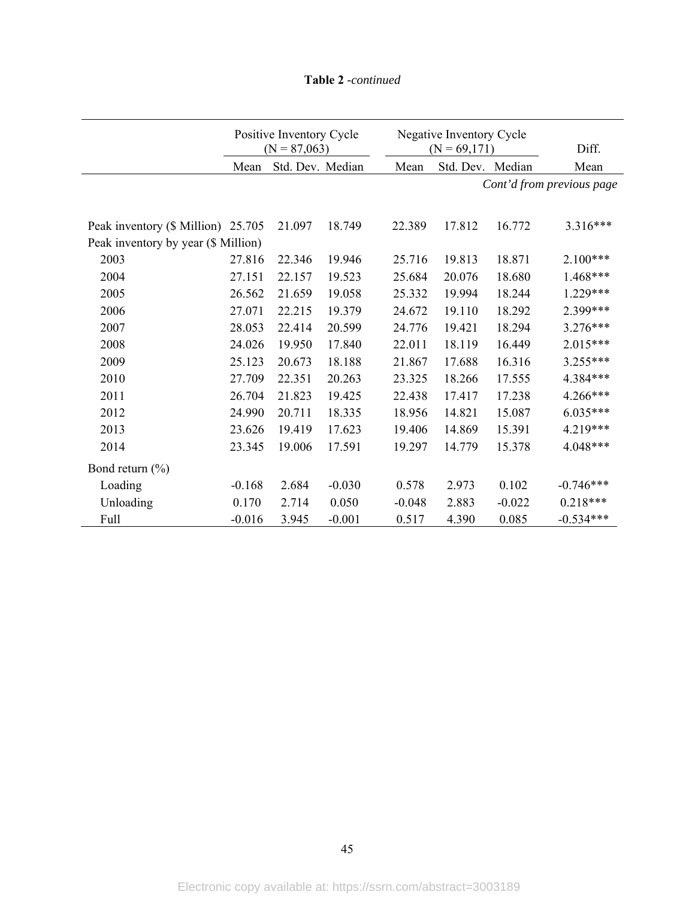|                                     | Positive Inventory Cycle<br>$(N = 87,063)$ |                  |          |          | Negative Inventory Cycle<br>$(N = 69,171)$ |          | Diff.                     |
|-------------------------------------|--------------------------------------------|------------------|----------|----------|--------------------------------------------|----------|---------------------------|
|                                     | Mean                                       | Std. Dev. Median |          | Mean     | Std. Dev. Median                           |          | Mean                      |
|                                     |                                            |                  |          |          |                                            |          | Cont'd from previous page |
|                                     |                                            |                  |          |          |                                            |          |                           |
| Peak inventory (\$ Million) 25.705  |                                            | 21.097           | 18.749   | 22.389   | 17.812                                     | 16.772   | $3.316***$                |
| Peak inventory by year (\$ Million) |                                            |                  |          |          |                                            |          |                           |
| 2003                                | 27.816                                     | 22.346           | 19.946   | 25.716   | 19.813                                     | 18.871   | $2.100***$                |
| 2004                                | 27.151                                     | 22.157           | 19.523   | 25.684   | 20.076                                     | 18.680   | 1.468***                  |
| 2005                                | 26.562                                     | 21.659           | 19.058   | 25.332   | 19.994                                     | 18.244   | 1.229***                  |
| 2006                                | 27.071                                     | 22.215           | 19.379   | 24.672   | 19.110                                     | 18.292   | 2.399***                  |
| 2007                                | 28.053                                     | 22.414           | 20.599   | 24.776   | 19.421                                     | 18.294   | 3.276***                  |
| 2008                                | 24.026                                     | 19.950           | 17.840   | 22.011   | 18.119                                     | 16.449   | 2.015***                  |
| 2009                                | 25.123                                     | 20.673           | 18.188   | 21.867   | 17.688                                     | 16.316   | 3.255***                  |
| 2010                                | 27.709                                     | 22.351           | 20.263   | 23.325   | 18.266                                     | 17.555   | 4.384***                  |
| 2011                                | 26.704                                     | 21.823           | 19.425   | 22.438   | 17.417                                     | 17.238   | 4.266***                  |
| 2012                                | 24.990                                     | 20.711           | 18.335   | 18.956   | 14.821                                     | 15.087   | 6.035***                  |
| 2013                                | 23.626                                     | 19.419           | 17.623   | 19.406   | 14.869                                     | 15.391   | 4.219***                  |
| 2014                                | 23.345                                     | 19.006           | 17.591   | 19.297   | 14.779                                     | 15.378   | 4.048***                  |
| Bond return $(\% )$                 |                                            |                  |          |          |                                            |          |                           |
| Loading                             | $-0.168$                                   | 2.684            | $-0.030$ | 0.578    | 2.973                                      | 0.102    | $-0.746***$               |
| Unloading                           | 0.170                                      | 2.714            | 0.050    | $-0.048$ | 2.883                                      | $-0.022$ | $0.218***$                |
| Full                                | $-0.016$                                   | 3.945            | $-0.001$ | 0.517    | 4.390                                      | 0.085    | $-0.534***$               |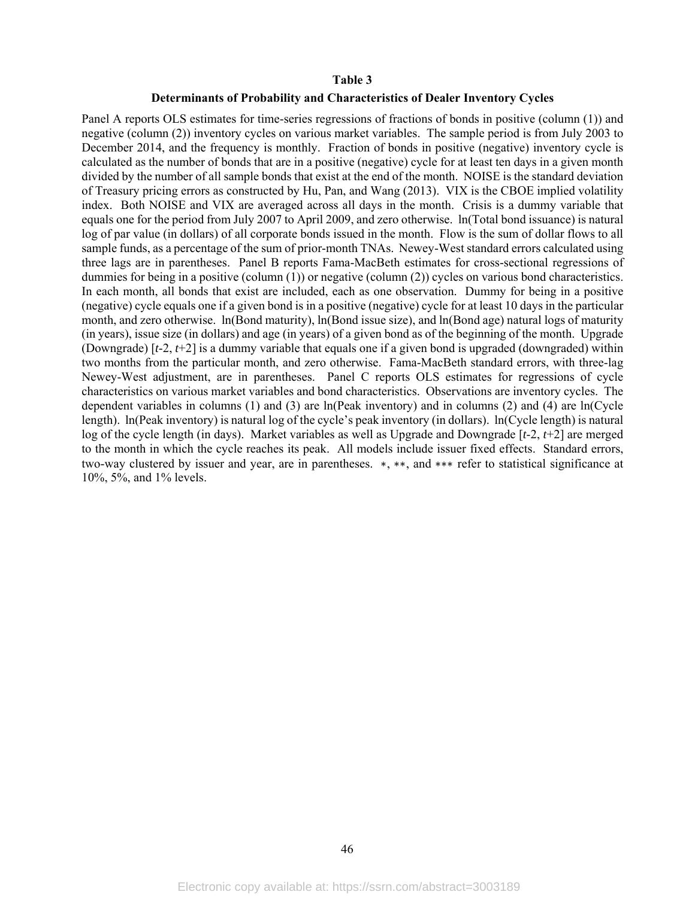## **Table 3**

## **Determinants of Probability and Characteristics of Dealer Inventory Cycles**

Panel A reports OLS estimates for time-series regressions of fractions of bonds in positive (column (1)) and negative (column (2)) inventory cycles on various market variables. The sample period is from July 2003 to December 2014, and the frequency is monthly. Fraction of bonds in positive (negative) inventory cycle is calculated as the number of bonds that are in a positive (negative) cycle for at least ten days in a given month divided by the number of all sample bonds that exist at the end of the month. NOISE is the standard deviation of Treasury pricing errors as constructed by Hu, Pan, and Wang (2013). VIX is the CBOE implied volatility index. Both NOISE and VIX are averaged across all days in the month. Crisis is a dummy variable that equals one for the period from July 2007 to April 2009, and zero otherwise. ln(Total bond issuance) is natural log of par value (in dollars) of all corporate bonds issued in the month. Flow is the sum of dollar flows to all sample funds, as a percentage of the sum of prior-month TNAs. Newey-West standard errors calculated using three lags are in parentheses. Panel B reports Fama-MacBeth estimates for cross-sectional regressions of dummies for being in a positive (column (1)) or negative (column (2)) cycles on various bond characteristics. In each month, all bonds that exist are included, each as one observation. Dummy for being in a positive (negative) cycle equals one if a given bond is in a positive (negative) cycle for at least 10 days in the particular month, and zero otherwise. ln(Bond maturity), ln(Bond issue size), and ln(Bond age) natural logs of maturity (in years), issue size (in dollars) and age (in years) of a given bond as of the beginning of the month. Upgrade (Downgrade) [*t*-2, *t*+2] is a dummy variable that equals one if a given bond is upgraded (downgraded) within two months from the particular month, and zero otherwise. Fama-MacBeth standard errors, with three-lag Newey-West adjustment, are in parentheses. Panel C reports OLS estimates for regressions of cycle characteristics on various market variables and bond characteristics. Observations are inventory cycles. The dependent variables in columns (1) and (3) are ln(Peak inventory) and in columns (2) and (4) are ln(Cycle length). ln(Peak inventory) is natural log of the cycle's peak inventory (in dollars). ln(Cycle length) is natural log of the cycle length (in days). Market variables as well as Upgrade and Downgrade [*t*-2, *t*+2] are merged to the month in which the cycle reaches its peak. All models include issuer fixed effects. Standard errors, two-way clustered by issuer and year, are in parentheses. ∗, ∗∗, and ∗∗∗ refer to statistical significance at 10%, 5%, and 1% levels.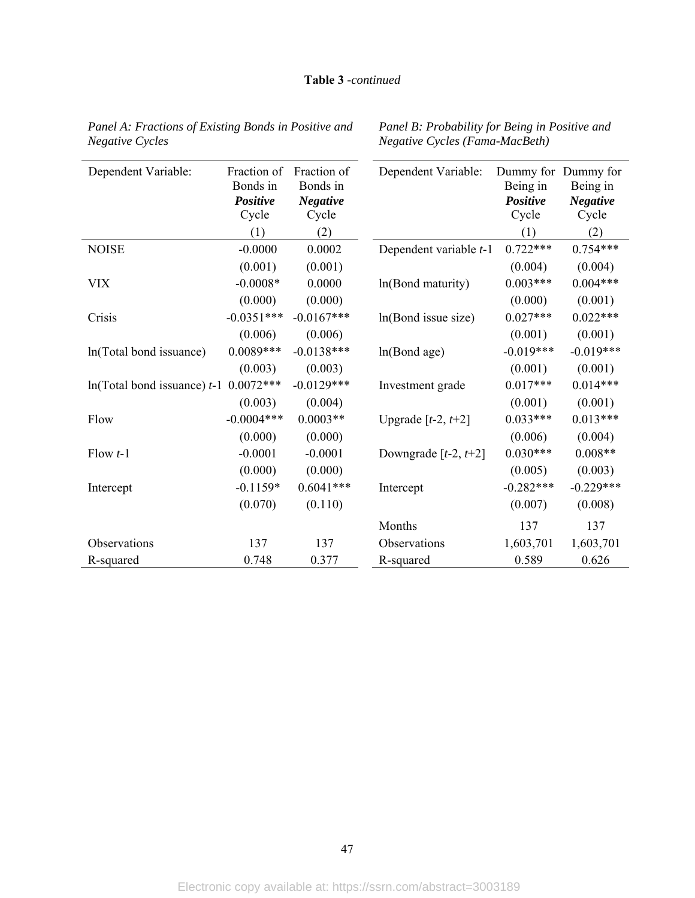| Dependent Variable:                      | Fraction of<br>Bonds in<br>Positive<br>Cycle<br>(1) | Fraction of<br>Bonds in<br><b>Negative</b><br>Cycle<br>(2) | Dependent Variable:    | Being in<br>Positive<br>Cycle<br>(1) | Dummy for Dummy for<br>Being in<br><b>Negative</b><br>Cycle<br>(2) |
|------------------------------------------|-----------------------------------------------------|------------------------------------------------------------|------------------------|--------------------------------------|--------------------------------------------------------------------|
| <b>NOISE</b>                             | $-0.0000$                                           | 0.0002                                                     | Dependent variable t-1 | $0.722***$                           | $0.754***$                                                         |
|                                          | (0.001)                                             | (0.001)                                                    |                        | (0.004)                              | (0.004)                                                            |
| <b>VIX</b>                               | $-0.0008*$                                          | 0.0000                                                     | ln(Bond maturity)      | $0.003***$                           | $0.004***$                                                         |
|                                          | (0.000)                                             | (0.000)                                                    |                        | (0.000)                              | (0.001)                                                            |
| Crisis                                   | $-0.0351***$                                        | $-0.0167***$                                               | ln(Bond issue size)    | $0.027***$                           | $0.022***$                                                         |
|                                          | (0.006)                                             | (0.006)                                                    |                        | (0.001)                              | (0.001)                                                            |
| ln(Total bond issuance)                  | $0.0089***$                                         | $-0.0138***$                                               | ln(Bond age)           | $-0.019***$                          | $-0.019***$                                                        |
|                                          | (0.003)                                             | (0.003)                                                    |                        | (0.001)                              | (0.001)                                                            |
| $ln(Total bond is suance) t-1$ 0.0072*** |                                                     | $-0.0129***$                                               | Investment grade       | $0.017***$                           | $0.014***$                                                         |
|                                          | (0.003)                                             | (0.004)                                                    |                        | (0.001)                              | (0.001)                                                            |
| Flow                                     | $-0.0004***$                                        | $0.0003**$                                                 | Upgrade $[t-2, t+2]$   | $0.033***$                           | $0.013***$                                                         |
|                                          | (0.000)                                             | (0.000)                                                    |                        | (0.006)                              | (0.004)                                                            |
| Flow $t-1$                               | $-0.0001$                                           | $-0.0001$                                                  | Downgrade $[t-2, t+2]$ | $0.030***$                           | $0.008**$                                                          |
|                                          | (0.000)                                             | (0.000)                                                    |                        | (0.005)                              | (0.003)                                                            |
| Intercept                                | $-0.1159*$                                          | $0.6041***$                                                | Intercept              | $-0.282***$                          | $-0.229***$                                                        |
|                                          | (0.070)                                             | (0.110)                                                    |                        | (0.007)                              | (0.008)                                                            |
|                                          |                                                     |                                                            | Months                 | 137                                  | 137                                                                |
| Observations                             | 137                                                 | 137                                                        | Observations           | 1,603,701                            | 1,603,701                                                          |
| R-squared                                | 0.748                                               | 0.377                                                      | R-squared              | 0.589                                | 0.626                                                              |

*Panel A: Fractions of Existing Bonds in Positive and Negative Cycles* 

*Panel B: Probability for Being in Positive and Negative Cycles (Fama-MacBeth)*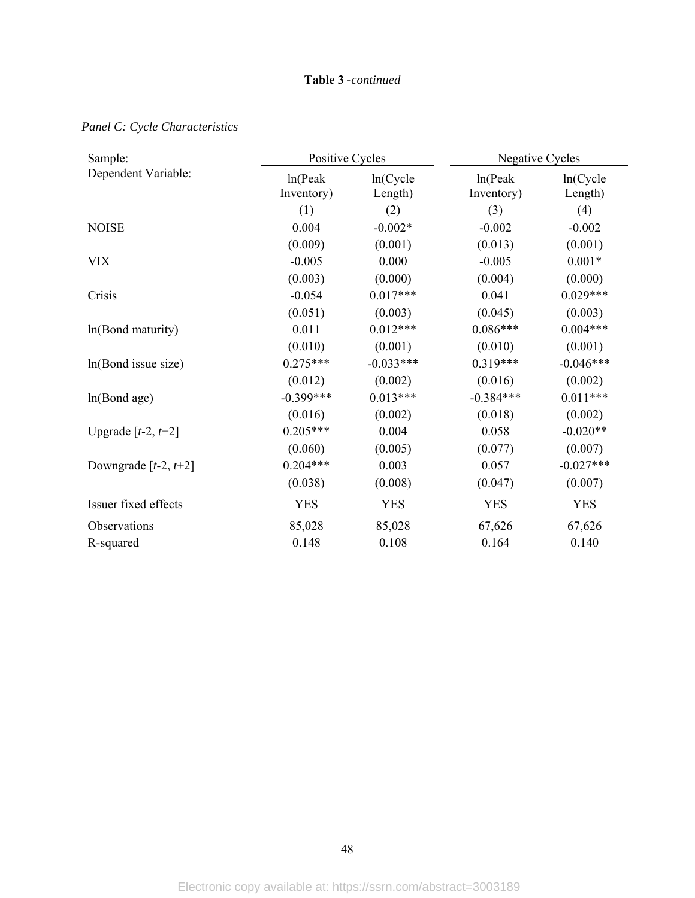| Sample:                     | Positive Cycles        |                     | Negative Cycles       |                     |
|-----------------------------|------------------------|---------------------|-----------------------|---------------------|
| Dependent Variable:         | ln(Peak)<br>Inventory) | ln(Cycle<br>Length) | ln(Peak<br>Inventory) | ln(Cycle<br>Length) |
|                             | (1)                    | (2)                 | (3)                   | (4)                 |
| <b>NOISE</b>                | 0.004                  | $-0.002*$           | $-0.002$              | $-0.002$            |
|                             | (0.009)                | (0.001)             | (0.013)               | (0.001)             |
| <b>VIX</b>                  | $-0.005$               | 0.000               | $-0.005$              | $0.001*$            |
|                             | (0.003)                | (0.000)             | (0.004)               | (0.000)             |
| Crisis                      | $-0.054$               | $0.017***$          | 0.041                 | $0.029***$          |
|                             | (0.051)                | (0.003)             | (0.045)               | (0.003)             |
| ln(Bond maturity)           | 0.011                  | $0.012***$          | $0.086***$            | $0.004***$          |
|                             | (0.010)                | (0.001)             | (0.010)               | (0.001)             |
| ln(Bond issue size)         | $0.275***$             | $-0.033***$         | $0.319***$            | $-0.046***$         |
|                             | (0.012)                | (0.002)             | (0.016)               | (0.002)             |
| ln(Bond age)                | $-0.399***$            | $0.013***$          | $-0.384***$           | $0.011***$          |
|                             | (0.016)                | (0.002)             | (0.018)               | (0.002)             |
| Upgrade $[t-2, t+2]$        | $0.205***$             | 0.004               | 0.058                 | $-0.020**$          |
|                             | (0.060)                | (0.005)             | (0.077)               | (0.007)             |
| Downgrade [ $t-2$ , $t+2$ ] | $0.204***$             | 0.003               | 0.057                 | $-0.027***$         |
|                             | (0.038)                | (0.008)             | (0.047)               | (0.007)             |
| Issuer fixed effects        | <b>YES</b>             | <b>YES</b>          | <b>YES</b>            | <b>YES</b>          |
| Observations                | 85,028                 | 85,028              | 67,626                | 67,626              |
| R-squared                   | 0.148                  | 0.108               | 0.164                 | 0.140               |

*Panel C: Cycle Characteristics*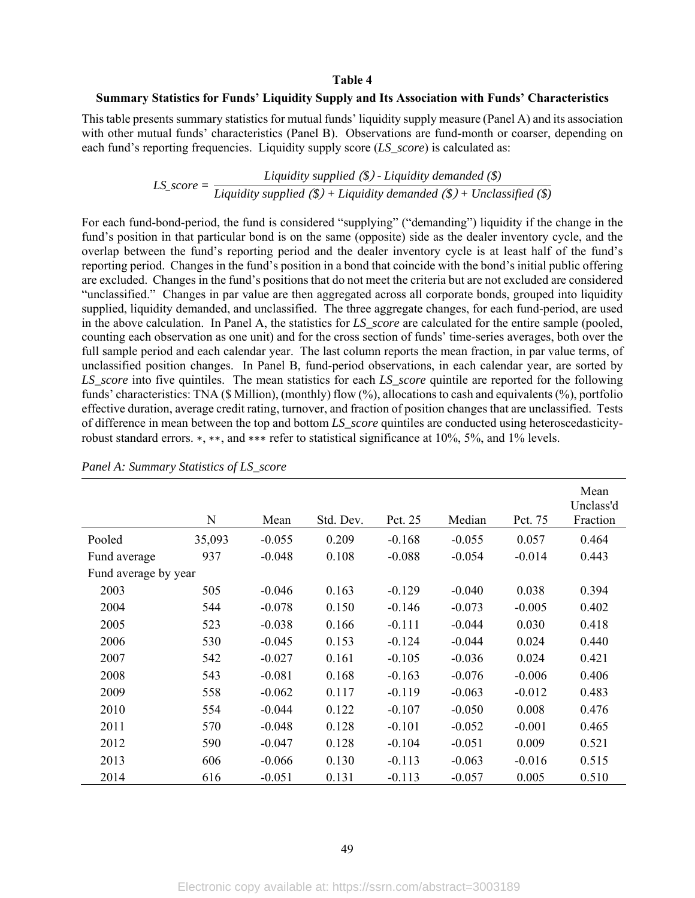## **Table 4**

## **Summary Statistics for Funds' Liquidity Supply and Its Association with Funds' Characteristics**

This table presents summary statistics for mutual funds' liquidity supply measure (Panel A) and its association with other mutual funds' characteristics (Panel B). Observations are fund-month or coarser, depending on each fund's reporting frequencies. Liquidity supply score (*LS\_score*) is calculated as:

# *LS\_score* =  $\frac{Liquidity \, supplied \, (\$) - Liquidity \, demanded \, (\$) }{Liquidity \, supplied \, (\$) + Liquidity \, demanded \, (\$) + Unclassified (\$) }$

For each fund-bond-period, the fund is considered "supplying" ("demanding") liquidity if the change in the fund's position in that particular bond is on the same (opposite) side as the dealer inventory cycle, and the overlap between the fund's reporting period and the dealer inventory cycle is at least half of the fund's reporting period. Changes in the fund's position in a bond that coincide with the bond's initial public offering are excluded. Changes in the fund's positions that do not meet the criteria but are not excluded are considered "unclassified." Changes in par value are then aggregated across all corporate bonds, grouped into liquidity supplied, liquidity demanded, and unclassified. The three aggregate changes, for each fund-period, are used in the above calculation. In Panel A, the statistics for *LS\_score* are calculated for the entire sample (pooled, counting each observation as one unit) and for the cross section of funds' time-series averages, both over the full sample period and each calendar year. The last column reports the mean fraction, in par value terms, of unclassified position changes. In Panel B, fund-period observations, in each calendar year, are sorted by *LS\_score* into five quintiles. The mean statistics for each *LS\_score* quintile are reported for the following funds' characteristics: TNA (\$ Million), (monthly) flow (%), allocations to cash and equivalents (%), portfolio effective duration, average credit rating, turnover, and fraction of position changes that are unclassified. Tests of difference in mean between the top and bottom *LS\_score* quintiles are conducted using heteroscedasticityrobust standard errors. ∗, ∗∗, and ∗∗∗ refer to statistical significance at 10%, 5%, and 1% levels.

|                      | N      | Mean     | Std. Dev. | Pct. 25  | Median   | Pct. 75  | Mean<br>Unclass'd<br>Fraction |
|----------------------|--------|----------|-----------|----------|----------|----------|-------------------------------|
| Pooled               | 35,093 | $-0.055$ | 0.209     | $-0.168$ | $-0.055$ | 0.057    | 0.464                         |
| Fund average         | 937    | $-0.048$ | 0.108     | $-0.088$ | $-0.054$ | $-0.014$ | 0.443                         |
| Fund average by year |        |          |           |          |          |          |                               |
| 2003                 | 505    | $-0.046$ | 0.163     | $-0.129$ | $-0.040$ | 0.038    | 0.394                         |
| 2004                 | 544    | $-0.078$ | 0.150     | $-0.146$ | $-0.073$ | $-0.005$ | 0.402                         |
| 2005                 | 523    | $-0.038$ | 0.166     | $-0.111$ | $-0.044$ | 0.030    | 0.418                         |
| 2006                 | 530    | $-0.045$ | 0.153     | $-0.124$ | $-0.044$ | 0.024    | 0.440                         |
| 2007                 | 542    | $-0.027$ | 0.161     | $-0.105$ | $-0.036$ | 0.024    | 0.421                         |
| 2008                 | 543    | $-0.081$ | 0.168     | $-0.163$ | $-0.076$ | $-0.006$ | 0.406                         |
| 2009                 | 558    | $-0.062$ | 0.117     | $-0.119$ | $-0.063$ | $-0.012$ | 0.483                         |
| 2010                 | 554    | $-0.044$ | 0.122     | $-0.107$ | $-0.050$ | 0.008    | 0.476                         |
| 2011                 | 570    | $-0.048$ | 0.128     | $-0.101$ | $-0.052$ | $-0.001$ | 0.465                         |
| 2012                 | 590    | $-0.047$ | 0.128     | $-0.104$ | $-0.051$ | 0.009    | 0.521                         |
| 2013                 | 606    | $-0.066$ | 0.130     | $-0.113$ | $-0.063$ | $-0.016$ | 0.515                         |
| 2014                 | 616    | $-0.051$ | 0.131     | $-0.113$ | $-0.057$ | 0.005    | 0.510                         |

*Panel A: Summary Statistics of LS\_score*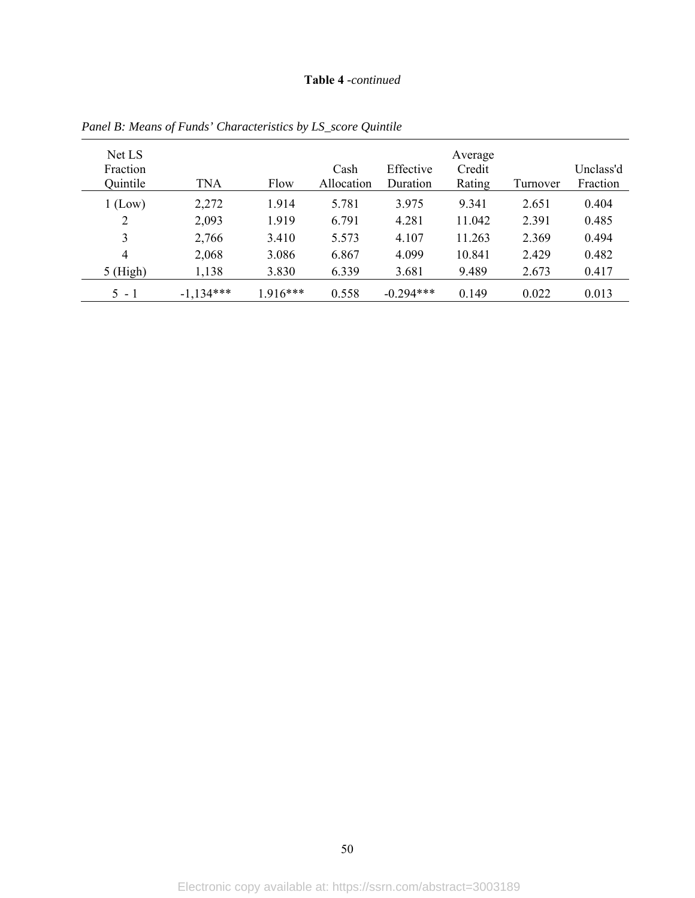## **Table 4** *-continued*

| Net LS<br>Fraction<br>Quintile | <b>TNA</b>  | Flow       | Cash<br>Allocation | Effective<br>Duration | Average<br>Credit<br>Rating | Turnover | Unclass'd<br>Fraction |
|--------------------------------|-------------|------------|--------------------|-----------------------|-----------------------------|----------|-----------------------|
| 1 (Low)                        | 2,272       | 1.914      | 5.781              | 3.975                 | 9.341                       | 2.651    | 0.404                 |
| 2                              | 2,093       | 1.919      | 6.791              | 4.281                 | 11.042                      | 2.391    | 0.485                 |
| 3                              | 2,766       | 3.410      | 5.573              | 4.107                 | 11.263                      | 2.369    | 0.494                 |
| 4                              | 2,068       | 3.086      | 6.867              | 4.099                 | 10.841                      | 2.429    | 0.482                 |
| $5$ (High)                     | 1,138       | 3.830      | 6.339              | 3.681                 | 9.489                       | 2.673    | 0.417                 |
| $5 - 1$                        | $-1,134***$ | $1.916***$ | 0.558              | $-0.294***$           | 0.149                       | 0.022    | 0.013                 |

*Panel B: Means of Funds' Characteristics by LS\_score Quintile*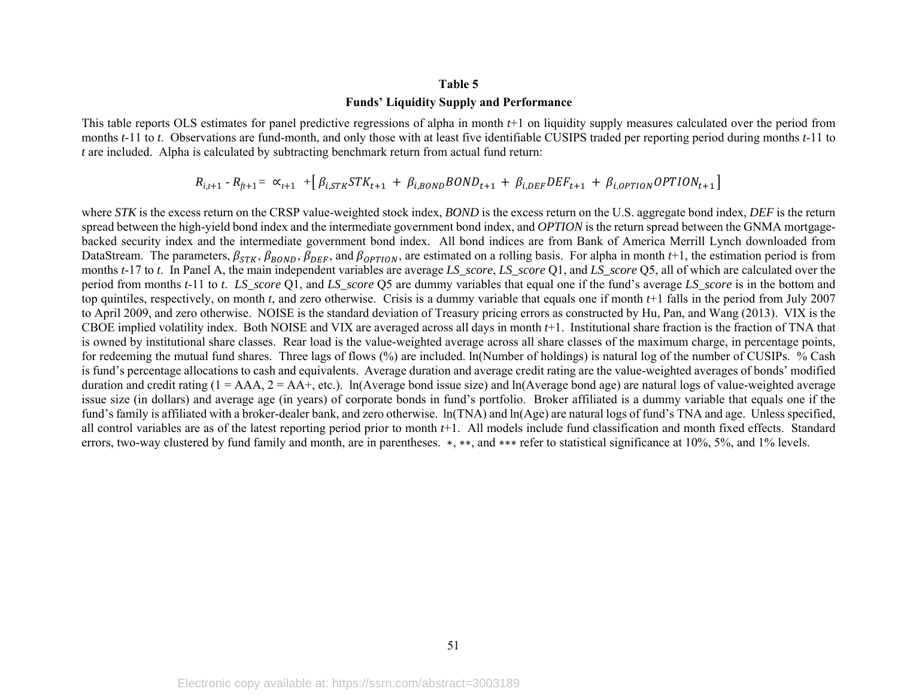#### **Table 5**

## **Funds' Liquidity Supply and Performance**

This table reports OLS estimates for panel predictive regressions of alpha in month *t*+1 on liquidity supply measures calculated over the period from months *t*-11 to *t*. Observations are fund-month, and only those with at least five identifiable CUSIPS traded per reporting period during months *t*-11 to *<sup>t</sup>* are included. Alpha is calculated by subtracting benchmark return from actual fund return:

$$
R_{i,t+1} - R_{ft+1} = \alpha_{t+1} + [\beta_{i,STK} STK_{t+1} + \beta_{i,BOND} BOND_{t+1} + \beta_{i,DEF} DEF_{t+1} + \beta_{i,OPTION} OPTION_{t+1}]
$$

where *STK* is the excess return on the CRSP value-weighted stock index, *BOND* is the excess return on the U.S. aggregate bond index, *DEF* is the return spread between the high-yield bond index and the intermediate government bond index, and *OPTION* is the return spread between the GNMA mortgagebacked security index and the intermediate government bond index. All bond indices are from Bank of America Merrill Lynch downloaded from DataStream. The parameters,  $\beta_{STK}$ ,  $\beta_{BOND}$ ,  $\beta_{DEF}$ , and  $\beta_{OPTION}$ , are estimated on a rolling basis. For alpha in month *t*+1, the estimation period is from months *t*-17 to *t*. In Panel A, the main independent variables are average *LS\_score*, *LS\_score* Q1, and *LS\_score* Q5, all of which are calculated over the period from months *t*-11 to *t*. *LS\_score* Q1, and *LS\_score* Q5 are dummy variables that equal one if the fund's average *LS\_score* is in the bottom and top quintiles, respectively, on month *<sup>t</sup>*, and zero otherwise. Crisis is a dummy variable that equals one if month *t*+1 falls in the period from July 2007 to April 2009, and zero otherwise. NOISE is the standard deviation of Treasury pricing errors as constructed by Hu, Pan, and Wang (2013). VIX is the CBOE implied volatility index. Both NOISE and VIX are averaged across all days in month *t*+1. Institutional share fraction is the fraction of TNA that is owned by institutional share classes. Rear load is the value-weighted average across all share classes of the maximum charge, in percentage points, for redeeming the mutual fund shares. Three lags of flows (%) are included. ln(Number of holdings) is natural log of the number of CUSIPs. % Cash is fund's percentage allocations to cash and equivalents. Average duration and average credit rating are the value-weighted averages of bonds' modified duration and credit rating  $(1 = AAA, 2 = AA +$ , etc.). In (Average bond issue size) and ln (Average bond age) are natural logs of value-weighted average issue size (in dollars) and average age (in years) of corporate bonds in fund's portfolio. Broker affiliated is a dummy variable that equals one if the fund's family is affiliated with a broker-dealer bank, and zero otherwise.  $ln(TNA)$  and  $ln(Age)$  are natural logs of fund's TNA and age. Unless specified, all control variables are as of the latest reporting period prior to month *t*+1. All models include fund classification and month fixed effects. Standard errors, two-way clustered by fund family and month, are in parentheses. \*, \*\*, and \*\*\* refer to statistical significance at 10%, 5%, and 1% levels.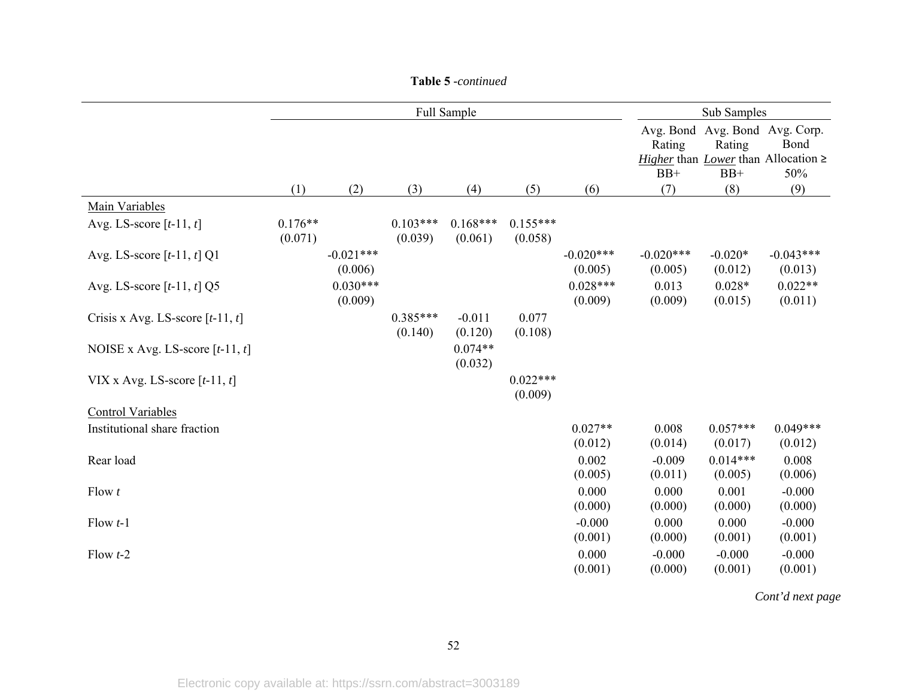|                                    |                      |                        | Full Sample           |                       | Sub Samples           |                        |                              |                       |                                                                                 |
|------------------------------------|----------------------|------------------------|-----------------------|-----------------------|-----------------------|------------------------|------------------------------|-----------------------|---------------------------------------------------------------------------------|
|                                    |                      |                        |                       |                       |                       |                        | Avg. Bond<br>Rating<br>$BB+$ | Rating<br>$BB+$       | Avg. Bond Avg. Corp.<br>Bond<br>Higher than Lower than Allocation $\geq$<br>50% |
|                                    | (1)                  | (2)                    | (3)                   | (4)                   | (5)                   | (6)                    | (7)                          | (8)                   | (9)                                                                             |
| Main Variables                     |                      |                        |                       |                       |                       |                        |                              |                       |                                                                                 |
| Avg. LS-score $[t-11, t]$          | $0.176**$<br>(0.071) |                        | $0.103***$<br>(0.039) | $0.168***$<br>(0.061) | $0.155***$<br>(0.058) |                        |                              |                       |                                                                                 |
| Avg. LS-score $[t-11, t]$ Q1       |                      | $-0.021***$<br>(0.006) |                       |                       |                       | $-0.020***$<br>(0.005) | $-0.020***$<br>(0.005)       | $-0.020*$<br>(0.012)  | $-0.043***$<br>(0.013)                                                          |
| Avg. LS-score $[t-11, t]$ Q5       |                      | $0.030***$<br>(0.009)  |                       |                       |                       | $0.028***$<br>(0.009)  | 0.013<br>(0.009)             | $0.028*$<br>(0.015)   | $0.022**$<br>(0.011)                                                            |
| Crisis x Avg. LS-score $[t-11, t]$ |                      |                        | $0.385***$<br>(0.140) | $-0.011$<br>(0.120)   | 0.077<br>(0.108)      |                        |                              |                       |                                                                                 |
| NOISE x Avg. LS-score $[t-11, t]$  |                      |                        |                       | $0.074**$<br>(0.032)  |                       |                        |                              |                       |                                                                                 |
| VIX x Avg. LS-score $[t-11, t]$    |                      |                        |                       |                       | $0.022***$<br>(0.009) |                        |                              |                       |                                                                                 |
| <b>Control Variables</b>           |                      |                        |                       |                       |                       |                        |                              |                       |                                                                                 |
| Institutional share fraction       |                      |                        |                       |                       |                       | $0.027**$<br>(0.012)   | 0.008<br>(0.014)             | $0.057***$<br>(0.017) | $0.049***$<br>(0.012)                                                           |
| Rear load                          |                      |                        |                       |                       |                       | 0.002<br>(0.005)       | $-0.009$<br>(0.011)          | $0.014***$<br>(0.005) | 0.008<br>(0.006)                                                                |
| Flow t                             |                      |                        |                       |                       |                       | 0.000<br>(0.000)       | 0.000<br>(0.000)             | 0.001<br>(0.000)      | $-0.000$<br>(0.000)                                                             |
| Flow $t-1$                         |                      |                        |                       |                       |                       | $-0.000$<br>(0.001)    | 0.000<br>(0.000)             | 0.000<br>(0.001)      | $-0.000$<br>(0.001)                                                             |
| Flow $t-2$                         |                      |                        |                       |                       |                       | 0.000<br>(0.001)       | $-0.000$<br>(0.000)          | $-0.000$<br>(0.001)   | $-0.000$<br>(0.001)                                                             |

*Cont'd next page*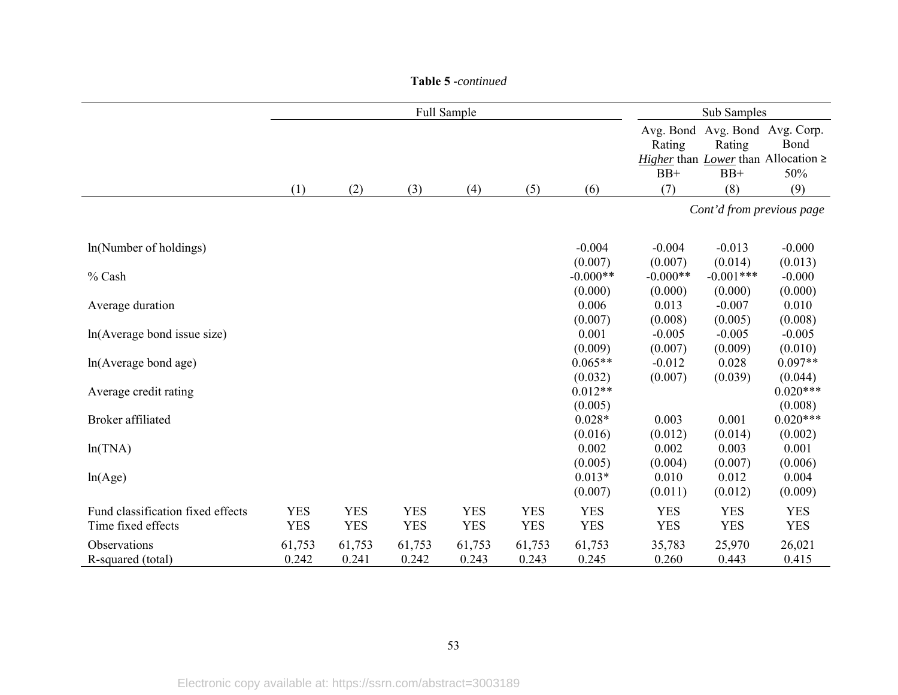|                                                         |                          |                          |                          | Full Sample              |                          |                                  | Sub Samples                      |                                         |                                                         |
|---------------------------------------------------------|--------------------------|--------------------------|--------------------------|--------------------------|--------------------------|----------------------------------|----------------------------------|-----------------------------------------|---------------------------------------------------------|
|                                                         |                          |                          |                          |                          |                          |                                  | Avg. Bond<br>Rating<br>$BB+$     | Avg. Bond Avg. Corp.<br>Rating<br>$BB+$ | Bond<br>Higher than Lower than Allocation $\geq$<br>50% |
|                                                         | (1)                      | (2)                      | (3)                      | (4)                      | (5)                      | (6)                              | (7)                              | (8)                                     | (9)                                                     |
|                                                         |                          |                          |                          |                          |                          |                                  |                                  | Cont'd from previous page               |                                                         |
| ln(Number of holdings)                                  |                          |                          |                          |                          |                          | $-0.004$                         | $-0.004$                         | $-0.013$                                | $-0.000$                                                |
| % Cash                                                  |                          |                          |                          |                          |                          | (0.007)<br>$-0.000**$<br>(0.000) | (0.007)<br>$-0.000**$<br>(0.000) | (0.014)<br>$-0.001***$<br>(0.000)       | (0.013)<br>$-0.000$<br>(0.000)                          |
| Average duration                                        |                          |                          |                          |                          |                          | 0.006                            | 0.013                            | $-0.007$                                | 0.010                                                   |
| ln(Average bond issue size)                             |                          |                          |                          |                          |                          | (0.007)<br>0.001                 | (0.008)<br>$-0.005$              | (0.005)<br>$-0.005$                     | (0.008)<br>$-0.005$                                     |
| ln(Average bond age)                                    |                          |                          |                          |                          |                          | (0.009)<br>$0.065**$<br>(0.032)  | (0.007)<br>$-0.012$<br>(0.007)   | (0.009)<br>0.028<br>(0.039)             | (0.010)<br>$0.097**$<br>(0.044)                         |
| Average credit rating                                   |                          |                          |                          |                          |                          | $0.012**$                        |                                  |                                         | $0.020***$                                              |
| Broker affiliated                                       |                          |                          |                          |                          |                          | (0.005)<br>$0.028*$<br>(0.016)   | 0.003<br>(0.012)                 | 0.001<br>(0.014)                        | (0.008)<br>$0.020***$<br>(0.002)                        |
| ln(TNA)                                                 |                          |                          |                          |                          |                          | 0.002                            | 0.002                            | 0.003                                   | 0.001                                                   |
| ln(Age)                                                 |                          |                          |                          |                          |                          | (0.005)<br>$0.013*$<br>(0.007)   | (0.004)<br>0.010<br>(0.011)      | (0.007)<br>0.012<br>(0.012)             | (0.006)<br>0.004<br>(0.009)                             |
| Fund classification fixed effects<br>Time fixed effects | <b>YES</b><br><b>YES</b> | <b>YES</b><br><b>YES</b> | <b>YES</b><br><b>YES</b> | <b>YES</b><br><b>YES</b> | <b>YES</b><br><b>YES</b> | <b>YES</b><br><b>YES</b>         | <b>YES</b><br><b>YES</b>         | <b>YES</b><br><b>YES</b>                | <b>YES</b><br><b>YES</b>                                |
| Observations<br>R-squared (total)                       | 61,753<br>0.242          | 61,753<br>0.241          | 61,753<br>0.242          | 61,753<br>0.243          | 61,753<br>0.243          | 61,753<br>0.245                  | 35,783<br>0.260                  | 25,970<br>0.443                         | 26,021<br>0.415                                         |

#### **Table 5** *-continued*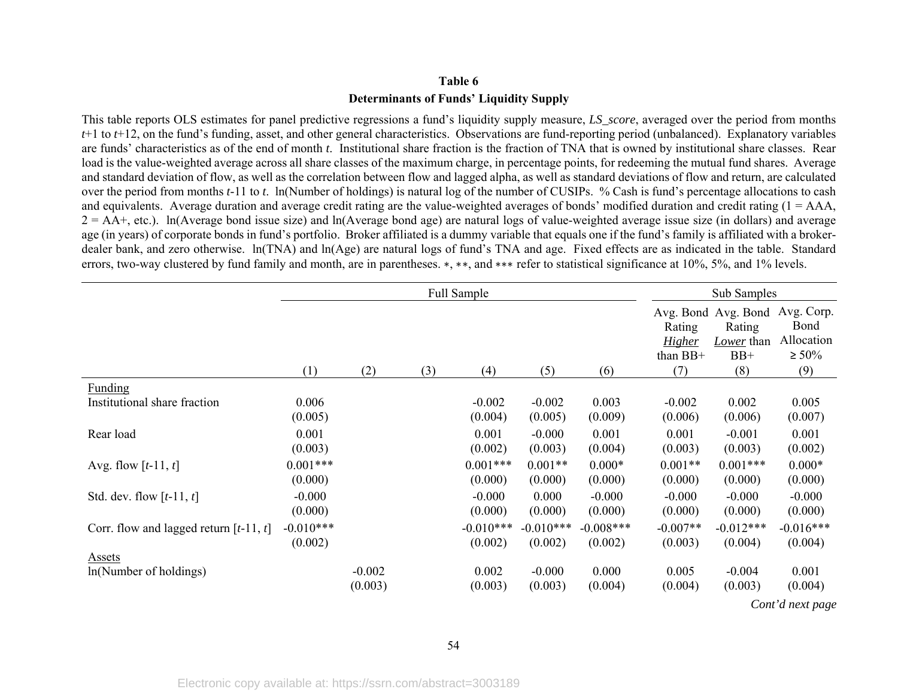## **Table 6 Determinants of Funds' Liquidity Supply**

This table reports OLS estimates for panel predictive regressions a fund's liquidity supply measure, *LS\_score*, averaged over the period from months *<sup>t</sup>*+1 to *t*+12, on the fund's funding, asset, and other general characteristics. Observations are fund-reporting period (unbalanced). Explanatory variables are funds' characteristics as of the end of month *t*. Institutional share fraction is the fraction of TNA that is owned by institutional share classes. Rear load is the value-weighted average across all share classes of the maximum charge, in percentage points, for redeeming the mutual fund shares. Average and standard deviation of flow, as well as the correlation between flow and lagged alpha, as well as standard deviations of flow and return, are calculated over the period from months *t*-11 to *t*. ln(Number of holdings) is natural log of the number of CUSIPs. % Cash is fund's percentage allocations to cash and equivalents. Average duration and average credit rating are the value-weighted averages of bonds' modified duration and credit rating  $(1 = AAA,$  $2 = AA$ +, etc.). ln(Average bond issue size) and ln(Average bond age) are natural logs of value-weighted average issue size (in dollars) and average age (in years) of corporate bonds in fund's portfolio. Broker affiliated is a dummy variable that equals one if the fund's family is affiliated with a brokerdealer bank, and zero otherwise. ln(TNA) and ln(Age) are natural logs of fund's TNA and age. Fixed effects are as indicated in the table. Standard errors, two-way clustered by fund family and month, are in parentheses. \*, \*\*, and \*\*\* refer to statistical significance at 10%, 5%, and 1% levels.

|                                          |                        |                     | Full Sample |                        | Sub Samples            |                        |                                            |                                                             |                                                        |
|------------------------------------------|------------------------|---------------------|-------------|------------------------|------------------------|------------------------|--------------------------------------------|-------------------------------------------------------------|--------------------------------------------------------|
|                                          | (1)                    | (2)                 | (3)         | (4)                    | (5)                    | (6)                    | Rating<br><b>Higher</b><br>than BB+<br>(7) | Avg. Bond Avg. Bond<br>Rating<br>Lower than<br>$BB+$<br>(8) | Avg. Corp.<br>Bond<br>Allocation<br>$\geq 50\%$<br>(9) |
| <b>Funding</b>                           |                        |                     |             |                        |                        |                        |                                            |                                                             |                                                        |
| Institutional share fraction             | 0.006<br>(0.005)       |                     |             | $-0.002$<br>(0.004)    | $-0.002$<br>(0.005)    | 0.003<br>(0.009)       | $-0.002$<br>(0.006)                        | 0.002<br>(0.006)                                            | 0.005<br>(0.007)                                       |
| Rear load                                | 0.001<br>(0.003)       |                     |             | 0.001<br>(0.002)       | $-0.000$<br>(0.003)    | 0.001<br>(0.004)       | 0.001<br>(0.003)                           | $-0.001$<br>(0.003)                                         | 0.001<br>(0.002)                                       |
| Avg. flow $[t-11, t]$                    | $0.001***$<br>(0.000)  |                     |             | $0.001***$<br>(0.000)  | $0.001**$<br>(0.000)   | $0.000*$<br>(0.000)    | $0.001**$<br>(0.000)                       | $0.001***$<br>(0.000)                                       | $0.000*$<br>(0.000)                                    |
| Std. dev. flow $[t-11, t]$               | $-0.000$<br>(0.000)    |                     |             | $-0.000$<br>(0.000)    | 0.000<br>(0.000)       | $-0.000$<br>(0.000)    | $-0.000$<br>(0.000)                        | $-0.000$<br>(0.000)                                         | $-0.000$<br>(0.000)                                    |
| Corr. flow and lagged return $[t-11, t]$ | $-0.010***$<br>(0.002) |                     |             | $-0.010***$<br>(0.002) | $-0.010***$<br>(0.002) | $-0.008***$<br>(0.002) | $-0.007**$<br>(0.003)                      | $-0.012***$<br>(0.004)                                      | $-0.016***$<br>(0.004)                                 |
| Assets<br>ln(Number of holdings)         |                        | $-0.002$<br>(0.003) |             | 0.002<br>(0.003)       | $-0.000$<br>(0.003)    | 0.000<br>(0.004)       | 0.005<br>(0.004)                           | $-0.004$<br>(0.003)                                         | 0.001<br>(0.004)                                       |

*Cont'd next page*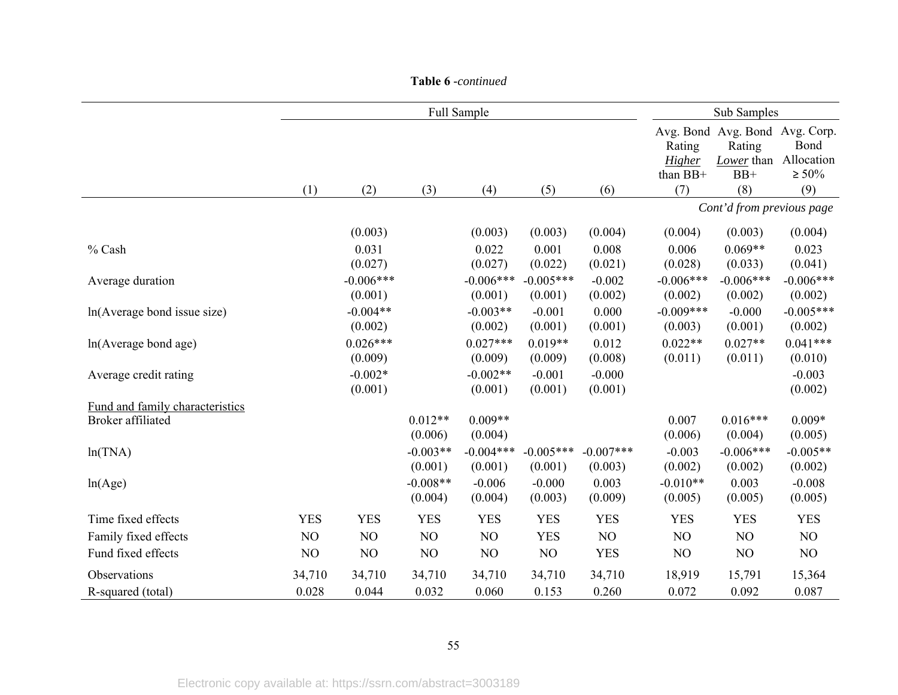|                                 |            |                |            | Full Sample    |             |             |                                     | Sub Samples                                                            |                                          |
|---------------------------------|------------|----------------|------------|----------------|-------------|-------------|-------------------------------------|------------------------------------------------------------------------|------------------------------------------|
|                                 | (1)        | (2)            | (3)        | (4)            | (5)         | (6)         | Rating<br>Higher<br>than BB+<br>(7) | Avg. Bond Avg. Bond Avg. Corp.<br>Rating<br>Lower than<br>$BB+$<br>(8) | Bond<br>Allocation<br>$\geq 50\%$<br>(9) |
|                                 |            |                |            |                |             |             |                                     | Cont'd from previous page                                              |                                          |
|                                 |            |                |            |                |             |             |                                     |                                                                        |                                          |
|                                 |            | (0.003)        |            | (0.003)        | (0.003)     | (0.004)     | (0.004)                             | (0.003)                                                                | (0.004)                                  |
| % Cash                          |            | 0.031          |            | 0.022          | 0.001       | 0.008       | 0.006                               | $0.069**$                                                              | 0.023                                    |
|                                 |            | (0.027)        |            | (0.027)        | (0.022)     | (0.021)     | (0.028)                             | (0.033)                                                                | (0.041)                                  |
| Average duration                |            | $-0.006***$    |            | $-0.006***$    | $-0.005***$ | $-0.002$    | $-0.006***$                         | $-0.006***$                                                            | $-0.006***$                              |
|                                 |            | (0.001)        |            | (0.001)        | (0.001)     | (0.002)     | (0.002)                             | (0.002)                                                                | (0.002)                                  |
| ln(Average bond issue size)     |            | $-0.004**$     |            | $-0.003**$     | $-0.001$    | 0.000       | $-0.009***$                         | $-0.000$                                                               | $-0.005***$                              |
|                                 |            | (0.002)        |            | (0.002)        | (0.001)     | (0.001)     | (0.003)                             | (0.001)                                                                | (0.002)                                  |
| ln(Average bond age)            |            | $0.026***$     |            | $0.027***$     | $0.019**$   | 0.012       | $0.022**$                           | $0.027**$                                                              | $0.041***$                               |
|                                 |            | (0.009)        |            | (0.009)        | (0.009)     | (0.008)     | (0.011)                             | (0.011)                                                                | (0.010)                                  |
| Average credit rating           |            | $-0.002*$      |            | $-0.002**$     | $-0.001$    | $-0.000$    |                                     |                                                                        | $-0.003$                                 |
|                                 |            | (0.001)        |            | (0.001)        | (0.001)     | (0.001)     |                                     |                                                                        | (0.002)                                  |
| Fund and family characteristics |            |                | $0.012**$  | $0.009**$      |             |             | 0.007                               | $0.016***$                                                             | $0.009*$                                 |
| Broker affiliated               |            |                | (0.006)    | (0.004)        |             |             | (0.006)                             | (0.004)                                                                | (0.005)                                  |
|                                 |            |                | $-0.003**$ | $-0.004***$    | $-0.005***$ | $-0.007***$ | $-0.003$                            | $-0.006***$                                                            | $-0.005**$                               |
| ln(TNA)                         |            |                | (0.001)    | (0.001)        | (0.001)     | (0.003)     | (0.002)                             | (0.002)                                                                | (0.002)                                  |
|                                 |            |                | $-0.008**$ | $-0.006$       | $-0.000$    | 0.003       | $-0.010**$                          | 0.003                                                                  | $-0.008$                                 |
| ln(Age)                         |            |                | (0.004)    | (0.004)        | (0.003)     | (0.009)     | (0.005)                             | (0.005)                                                                | (0.005)                                  |
|                                 |            |                |            |                |             |             |                                     |                                                                        |                                          |
| Time fixed effects              | <b>YES</b> | <b>YES</b>     | <b>YES</b> | <b>YES</b>     | <b>YES</b>  | <b>YES</b>  | <b>YES</b>                          | <b>YES</b>                                                             | <b>YES</b>                               |
| Family fixed effects            | NO         | NO             | NO         | NO             | <b>YES</b>  | NO          | NO                                  | NO                                                                     | NO                                       |
| Fund fixed effects              | NO         | N <sub>O</sub> | NO         | N <sub>O</sub> | NO          | <b>YES</b>  | NO                                  | NO                                                                     | NO                                       |
| Observations                    | 34,710     | 34,710         | 34,710     | 34,710         | 34,710      | 34,710      | 18,919                              | 15,791                                                                 | 15,364                                   |
| R-squared (total)               | 0.028      | 0.044          | 0.032      | 0.060          | 0.153       | 0.260       | 0.072                               | 0.092                                                                  | 0.087                                    |

#### **Table 6** *-continued*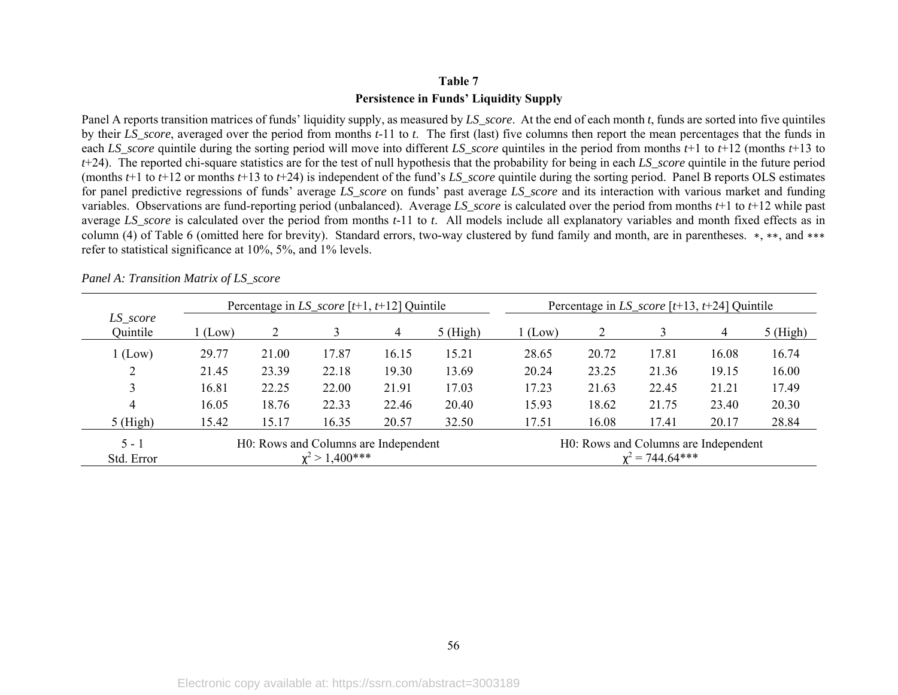## **Table 7 Persistence in Funds' Liquidity Supply**

Panel A reports transition matrices of funds' liquidity supply, as measured by *LS\_score*. At the end of each month *t*, funds are sorted into five quintiles by their *LS\_score*, averaged over the period from months *t*-11 to *t*. The first (last) five columns then report the mean percentages that the funds in each *LS* score quintile during the sorting period will move into different *LS* score quintiles in the period from months  $t+1$  to  $t+12$  (months  $t+13$  to *<sup>t</sup>*+24). The reported chi-square statistics are for the test of null hypothesis that the probability for being in each *LS\_score* quintile in the future period (months  $t+1$  to  $t+12$  or months  $t+13$  to  $t+24$ ) is independent of the fund's *LS* score quintile during the sorting period. Panel B reports OLS estimates for panel predictive regressions of funds' average *LS\_score* on funds' past average *LS\_score* and its interaction with various market and funding variables. Observations are fund-reporting period (unbalanced). Average *LS\_score* is calculated over the period from months *t*+1 to *t*+12 while past average *LS\_score* is calculated over the period from months *t*-11 to *t*. All models include all explanatory variables and month fixed effects as in column (4) of Table 6 (omitted here for brevity). Standard errors, two-way clustered by fund family and month, are in parentheses. <sup>∗</sup>, ∗∗, and ∗∗∗ refer to statistical significance at 10%, 5%, and 1% levels.

|                      |                                      |       | Percentage in $LS\_score$ [t+1, t+12] Quintile |       |            | Percentage in $LS\_score$ [ $t+13, t+24$ ] Quintile |                                      |                   |       |            |
|----------------------|--------------------------------------|-------|------------------------------------------------|-------|------------|-----------------------------------------------------|--------------------------------------|-------------------|-------|------------|
| LS_score<br>Quintile | (Low)                                |       |                                                | 4     | $5$ (High) | $1$ (Low)                                           |                                      |                   | 4     | $5$ (High) |
| 1 (Low)              | 29.77                                | 21.00 | 17.87                                          | 16.15 | 15.21      | 28.65                                               | 20.72                                | 17.81             | 16.08 | 16.74      |
| ∠                    | 21.45                                | 23.39 | 22.18                                          | 19.30 | 13.69      | 20.24                                               | 23.25                                | 21.36             | 19.15 | 16.00      |
| 3                    | 16.81                                | 22.25 | 22.00                                          | 21.91 | 17.03      | 17.23                                               | 21.63                                | 22.45             | 21.21 | 17.49      |
| 4                    | 16.05                                | 18.76 | 22.33                                          | 22.46 | 20.40      | 15.93                                               | 18.62                                | 21.75             | 23.40 | 20.30      |
| $5$ (High)           | 15.42                                | 15.17 | 16.35                                          | 20.57 | 32.50      | 17.51                                               | 16.08                                | 17.41             | 20.17 | 28.84      |
| $5 - 1$              | H0: Rows and Columns are Independent |       |                                                |       |            |                                                     | H0: Rows and Columns are Independent |                   |       |            |
| Std. Error           |                                      |       | $x^2 > 1,400$ ***                              |       |            |                                                     |                                      | $x^2 = 744.64***$ |       |            |

*Panel A: Transition Matrix of LS\_score*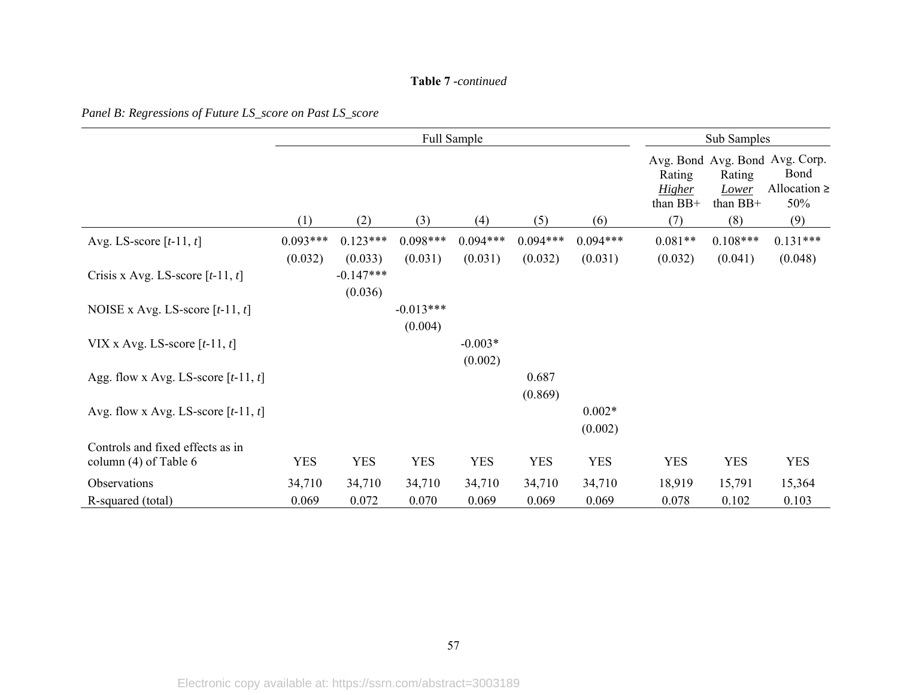#### **Table 7** *-continued*

*Panel B: Regressions of Future LS\_score on Past LS\_score* 

|                                                             |            |                                   | Full Sample |                      | Sub Samples |                     |                                     |                               |                                                                    |
|-------------------------------------------------------------|------------|-----------------------------------|-------------|----------------------|-------------|---------------------|-------------------------------------|-------------------------------|--------------------------------------------------------------------|
|                                                             |            |                                   |             |                      |             |                     | Rating<br><b>Higher</b><br>than BB+ | Rating<br>Lower<br>than $BB+$ | Avg. Bond Avg. Bond Avg. Corp.<br>Bond<br>Allocation $\geq$<br>50% |
|                                                             | (1)        | (2)                               | (3)         | (4)                  | (5)         | (6)                 | (7)                                 | (8)                           | (9)                                                                |
| Avg. LS-score $[t-11, t]$                                   | $0.093***$ | $0.123***$                        | $0.098***$  | $0.094***$           | $0.094***$  | $0.094***$          | $0.081**$                           | $0.108***$                    | $0.131***$                                                         |
| Crisis x Avg. LS-score $[t-11, t]$                          | (0.032)    | (0.033)<br>$-0.147***$<br>(0.036) | (0.031)     | (0.031)              | (0.032)     | (0.031)             | (0.032)                             | (0.041)                       | (0.048)                                                            |
| NOISE x Avg. LS-score $[t-11, t]$                           |            |                                   | $-0.013***$ |                      |             |                     |                                     |                               |                                                                    |
|                                                             |            |                                   | (0.004)     |                      |             |                     |                                     |                               |                                                                    |
| VIX x Avg. LS-score $[t-11, t]$                             |            |                                   |             | $-0.003*$<br>(0.002) |             |                     |                                     |                               |                                                                    |
| Agg. flow x Avg. LS-score $[t-11, t]$                       |            |                                   |             |                      | 0.687       |                     |                                     |                               |                                                                    |
|                                                             |            |                                   |             |                      | (0.869)     |                     |                                     |                               |                                                                    |
| Avg. flow x Avg. LS-score $[t-11, t]$                       |            |                                   |             |                      |             | $0.002*$<br>(0.002) |                                     |                               |                                                                    |
| Controls and fixed effects as in<br>column $(4)$ of Table 6 | <b>YES</b> | <b>YES</b>                        | <b>YES</b>  | <b>YES</b>           | <b>YES</b>  | <b>YES</b>          | <b>YES</b>                          | <b>YES</b>                    | <b>YES</b>                                                         |
| Observations                                                | 34,710     | 34,710                            | 34,710      | 34,710               | 34,710      | 34,710              | 18,919                              | 15,791                        | 15,364                                                             |
| R-squared (total)                                           | 0.069      | 0.072                             | 0.070       | 0.069                | 0.069       | 0.069               | 0.078                               | 0.102                         | 0.103                                                              |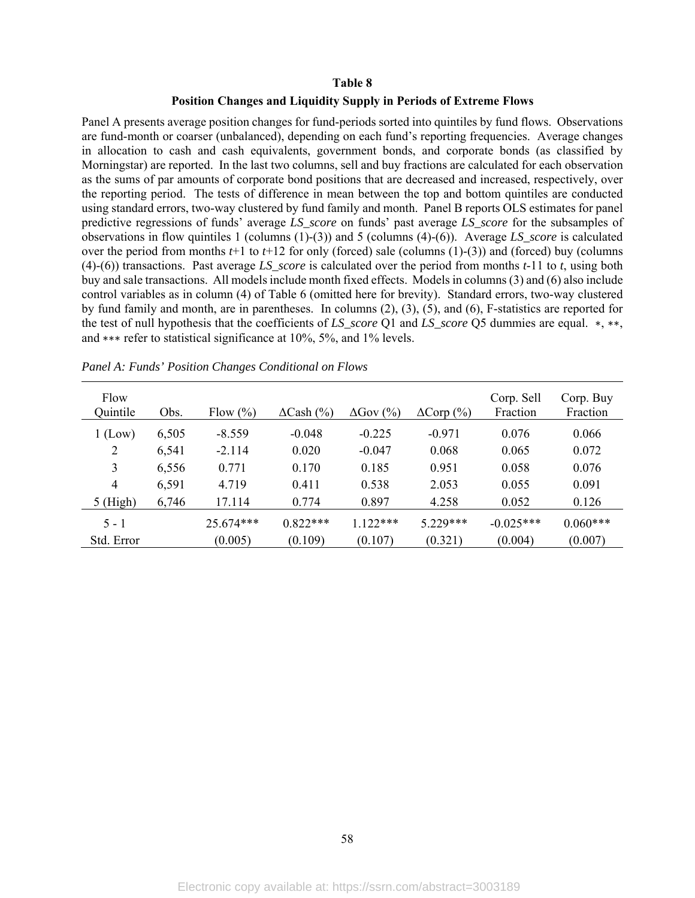## **Table 8**

## **Position Changes and Liquidity Supply in Periods of Extreme Flows**

Panel A presents average position changes for fund-periods sorted into quintiles by fund flows. Observations are fund-month or coarser (unbalanced), depending on each fund's reporting frequencies. Average changes in allocation to cash and cash equivalents, government bonds, and corporate bonds (as classified by Morningstar) are reported. In the last two columns, sell and buy fractions are calculated for each observation as the sums of par amounts of corporate bond positions that are decreased and increased, respectively, over the reporting period. The tests of difference in mean between the top and bottom quintiles are conducted using standard errors, two-way clustered by fund family and month. Panel B reports OLS estimates for panel predictive regressions of funds' average *LS\_score* on funds' past average *LS\_score* for the subsamples of observations in flow quintiles 1 (columns (1)-(3)) and 5 (columns (4)-(6)). Average *LS\_score* is calculated over the period from months *t*+1 to *t*+12 for only (forced) sale (columns (1)-(3)) and (forced) buy (columns (4)-(6)) transactions. Past average *LS\_score* is calculated over the period from months *t*-11 to *t*, using both buy and sale transactions. All models include month fixed effects. Models in columns (3) and (6) also include control variables as in column (4) of Table 6 (omitted here for brevity). Standard errors, two-way clustered by fund family and month, are in parentheses. In columns (2), (3), (5), and (6), F-statistics are reported for the test of null hypothesis that the coefficients of *LS\_score* Q1 and *LS\_score* Q5 dummies are equal. ∗, ∗∗, and ∗∗∗ refer to statistical significance at 10%, 5%, and 1% levels.

| Flow<br>Quintile | Obs.  | Flow $(\%)$ | $\Delta$ Cash (%) | $\Delta$ Gov $(\%$ | $\Delta \text{Corp}$ (%) | Corp. Sell<br>Fraction | Corp. Buy<br>Fraction |
|------------------|-------|-------------|-------------------|--------------------|--------------------------|------------------------|-----------------------|
| $1$ (Low)        | 6,505 | $-8.559$    | $-0.048$          | $-0.225$           | $-0.971$                 | 0.076                  | 0.066                 |
| 2                | 6,541 | $-2.114$    | 0.020             | $-0.047$           | 0.068                    | 0.065                  | 0.072                 |
| 3                | 6,556 | 0.771       | 0.170             | 0.185              | 0.951                    | 0.058                  | 0.076                 |
| $\overline{4}$   | 6,591 | 4.719       | 0.411             | 0.538              | 2.053                    | 0.055                  | 0.091                 |
| $5$ (High)       | 6,746 | 17.114      | 0.774             | 0.897              | 4.258                    | 0.052                  | 0.126                 |
| $5 - 1$          |       | 25.674***   | $0.822***$        | $1.122***$         | $5.229***$               | $-0.025***$            | $0.060***$            |
| Std. Error       |       | (0.005)     | (0.109)           | (0.107)            | (0.321)                  | (0.004)                | (0.007)               |

*Panel A: Funds' Position Changes Conditional on Flows*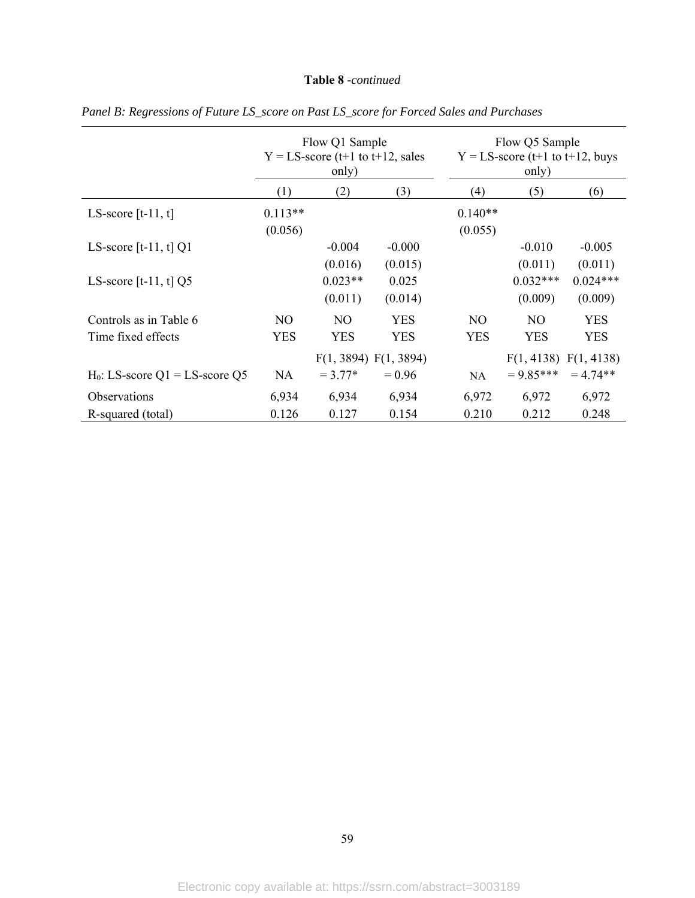## **Table 8** *-continued*

|                                   | Flow Q1 Sample<br>$Y = LS$ -score (t+1 to t+12, sales<br>only) |                       |            | Flow Q5 Sample<br>$Y = LS$ -score (t+1 to t+12, buys<br>only) |                       |            |  |
|-----------------------------------|----------------------------------------------------------------|-----------------------|------------|---------------------------------------------------------------|-----------------------|------------|--|
|                                   | (1)                                                            | (2)                   | (3)        | (4)                                                           | (5)                   | (6)        |  |
| LS-score $[t-11, t]$              | $0.113**$<br>(0.056)                                           |                       |            | $0.140**$<br>(0.055)                                          |                       |            |  |
| LS-score [t-11, t] $Q1$           |                                                                | $-0.004$              | $-0.000$   |                                                               | $-0.010$              | $-0.005$   |  |
|                                   |                                                                | (0.016)               | (0.015)    |                                                               | (0.011)               | (0.011)    |  |
| LS-score [t-11, t] $Q5$           |                                                                | $0.023**$             | 0.025      |                                                               | $0.032***$            | $0.024***$ |  |
|                                   |                                                                | (0.011)               | (0.014)    |                                                               | (0.009)               | (0.009)    |  |
| Controls as in Table 6            | NO.                                                            | NO.                   | <b>YES</b> | NO.                                                           | NO.                   | <b>YES</b> |  |
| Time fixed effects                | <b>YES</b>                                                     | <b>YES</b>            | <b>YES</b> | <b>YES</b>                                                    | <b>YES</b>            | <b>YES</b> |  |
|                                   |                                                                | F(1, 3894) F(1, 3894) |            |                                                               | F(1, 4138) F(1, 4138) |            |  |
| $H_0$ : LS-score Q1 = LS-score Q5 | NA.                                                            | $= 3.77*$             | $= 0.96$   | NA.                                                           | $= 9.85***$           | $= 4.74**$ |  |
| <b>Observations</b>               | 6,934                                                          | 6,934                 | 6,934      | 6,972                                                         | 6,972                 | 6,972      |  |
| R-squared (total)                 | 0.126                                                          | 0.127                 | 0.154      | 0.210                                                         | 0.212                 | 0.248      |  |

*Panel B: Regressions of Future LS\_score on Past LS\_score for Forced Sales and Purchases*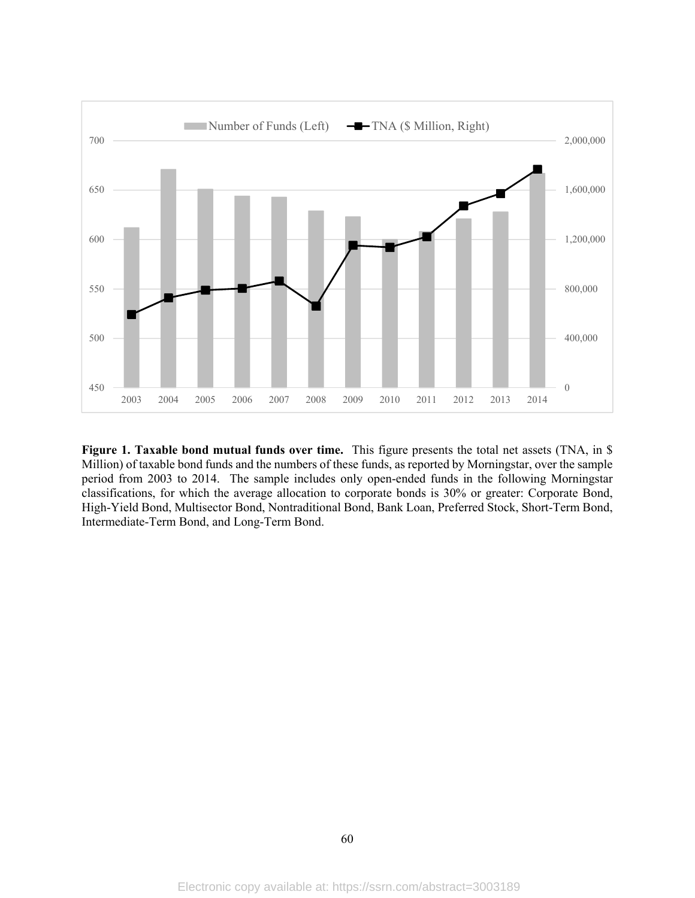

**Figure 1. Taxable bond mutual funds over time.** This figure presents the total net assets (TNA, in \$ Million) of taxable bond funds and the numbers of these funds, as reported by Morningstar, over the sample period from 2003 to 2014. The sample includes only open-ended funds in the following Morningstar classifications, for which the average allocation to corporate bonds is 30% or greater: Corporate Bond, High-Yield Bond, Multisector Bond, Nontraditional Bond, Bank Loan, Preferred Stock, Short-Term Bond, Intermediate-Term Bond, and Long-Term Bond.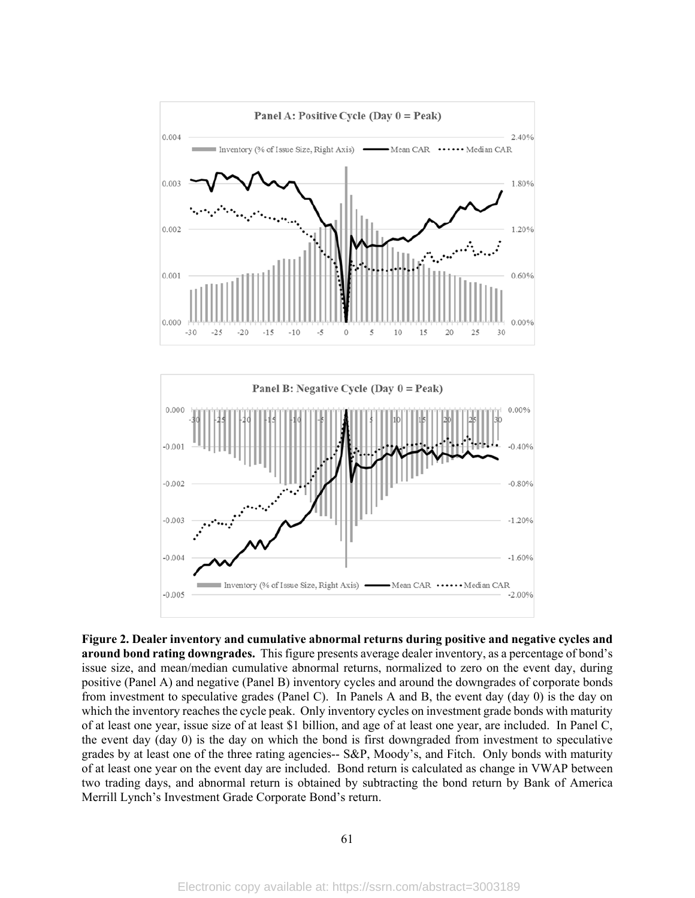

**Figure 2. Dealer inventory and cumulative abnormal returns during positive and negative cycles and around bond rating downgrades.** This figure presents average dealer inventory, as a percentage of bond's issue size, and mean/median cumulative abnormal returns, normalized to zero on the event day, during positive (Panel A) and negative (Panel B) inventory cycles and around the downgrades of corporate bonds from investment to speculative grades (Panel C). In Panels A and B, the event day (day 0) is the day on which the inventory reaches the cycle peak. Only inventory cycles on investment grade bonds with maturity of at least one year, issue size of at least \$1 billion, and age of at least one year, are included. In Panel C, the event day (day 0) is the day on which the bond is first downgraded from investment to speculative grades by at least one of the three rating agencies-- S&P, Moody's, and Fitch. Only bonds with maturity of at least one year on the event day are included. Bond return is calculated as change in VWAP between two trading days, and abnormal return is obtained by subtracting the bond return by Bank of America Merrill Lynch's Investment Grade Corporate Bond's return.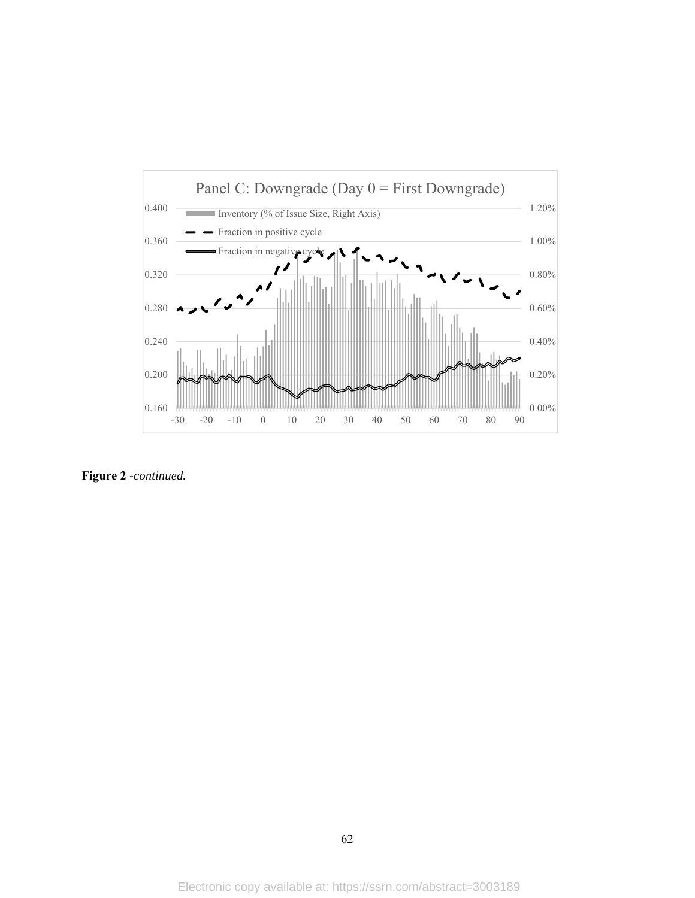

**Figure 2** *-continued.*